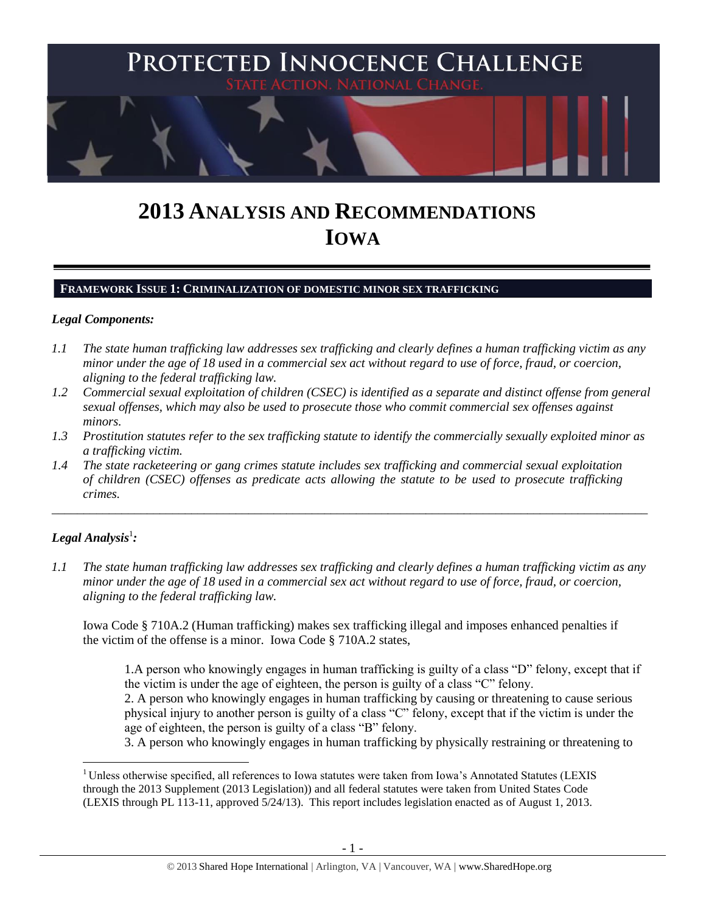

# **2013 ANALYSIS AND RECOMMENDATIONS IOWA**

## **FRAMEWORK ISSUE 1: CRIMINALIZATION OF DOMESTIC MINOR SEX TRAFFICKING**

## *Legal Components:*

- *1.1 The state human trafficking law addresses sex trafficking and clearly defines a human trafficking victim as any minor under the age of 18 used in a commercial sex act without regard to use of force, fraud, or coercion, aligning to the federal trafficking law.*
- *1.2 Commercial sexual exploitation of children (CSEC) is identified as a separate and distinct offense from general sexual offenses, which may also be used to prosecute those who commit commercial sex offenses against minors.*
- *1.3 Prostitution statutes refer to the sex trafficking statute to identify the commercially sexually exploited minor as a trafficking victim.*

\_\_\_\_\_\_\_\_\_\_\_\_\_\_\_\_\_\_\_\_\_\_\_\_\_\_\_\_\_\_\_\_\_\_\_\_\_\_\_\_\_\_\_\_\_\_\_\_\_\_\_\_\_\_\_\_\_\_\_\_\_\_\_\_\_\_\_\_\_\_\_\_\_\_\_\_\_\_\_\_\_\_\_\_\_\_\_\_\_\_\_\_\_\_

*1.4 The state racketeering or gang crimes statute includes sex trafficking and commercial sexual exploitation of children (CSEC) offenses as predicate acts allowing the statute to be used to prosecute trafficking crimes.* 

# $\bm{\mathit{Legal\; Analysis^1:}}$

 $\overline{a}$ 

*1.1 The state human trafficking law addresses sex trafficking and clearly defines a human trafficking victim as any minor under the age of 18 used in a commercial sex act without regard to use of force, fraud, or coercion, aligning to the federal trafficking law.*

Iowa Code § 710A.2 (Human trafficking) makes sex trafficking illegal and imposes enhanced penalties if the victim of the offense is a minor. Iowa Code § 710A.2 states,

1.A person who knowingly engages in human trafficking is guilty of a class "D" felony, except that if the victim is under the age of eighteen, the person is guilty of a class "C" felony.

2. A person who knowingly engages in human trafficking by causing or threatening to cause serious physical injury to another person is guilty of a class "C" felony, except that if the victim is under the age of eighteen, the person is guilty of a class "B" felony.

3. A person who knowingly engages in human trafficking by physically restraining or threatening to

<sup>&</sup>lt;sup>1</sup> Unless otherwise specified, all references to Iowa statutes were taken from Iowa's Annotated Statutes (LEXIS through the 2013 Supplement (2013 Legislation)) and all federal statutes were taken from United States Code (LEXIS through PL 113-11, approved 5/24/13). This report includes legislation enacted as of August 1, 2013.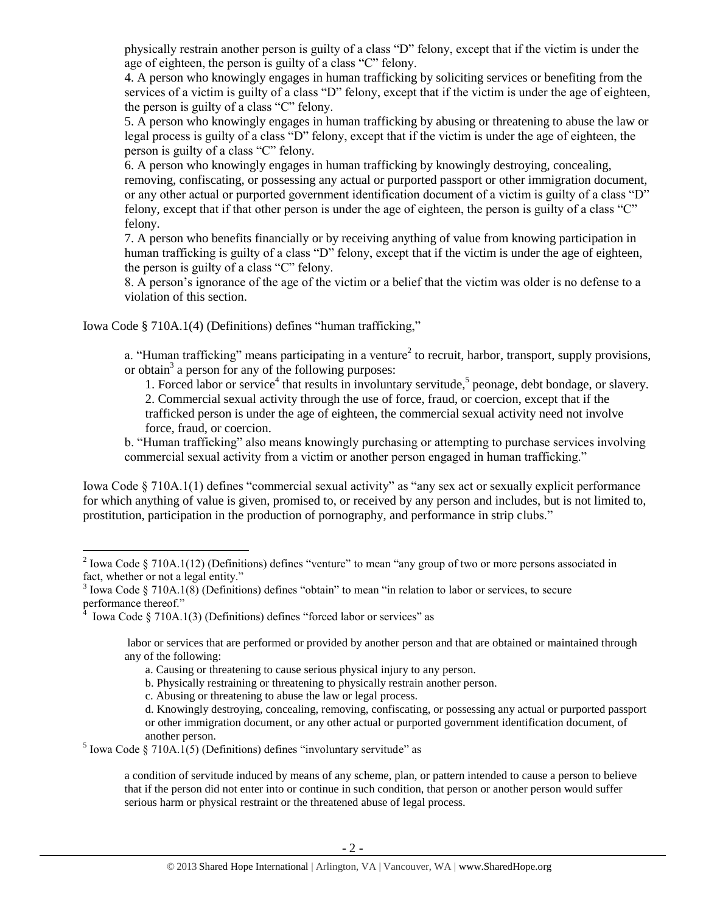physically restrain another person is guilty of a class "D" felony, except that if the victim is under the age of eighteen, the person is guilty of a class "C" felony.

4. A person who knowingly engages in human trafficking by soliciting services or benefiting from the services of a victim is guilty of a class "D" felony, except that if the victim is under the age of eighteen, the person is guilty of a class "C" felony.

5. A person who knowingly engages in human trafficking by abusing or threatening to abuse the law or legal process is guilty of a class "D" felony, except that if the victim is under the age of eighteen, the person is guilty of a class "C" felony.

6. A person who knowingly engages in human trafficking by knowingly destroying, concealing, removing, confiscating, or possessing any actual or purported passport or other immigration document, or any other actual or purported government identification document of a victim is guilty of a class "D" felony, except that if that other person is under the age of eighteen, the person is guilty of a class "C" felony.

7. A person who benefits financially or by receiving anything of value from knowing participation in human trafficking is guilty of a class "D" felony, except that if the victim is under the age of eighteen, the person is guilty of a class "C" felony.

8. A person's ignorance of the age of the victim or a belief that the victim was older is no defense to a violation of this section.

Iowa Code § 710A.1(4) (Definitions) defines "human trafficking,"

a. "Human trafficking" means participating in a venture<sup>2</sup> to recruit, harbor, transport, supply provisions, or obtain<sup>3</sup> a person for any of the following purposes:

<span id="page-1-0"></span>1. Forced labor or service<sup>4</sup> that results in involuntary servitude,<sup>5</sup> peonage, debt bondage, or slavery. 2. Commercial sexual activity through the use of force, fraud, or coercion, except that if the trafficked person is under the age of eighteen, the commercial sexual activity need not involve force, fraud, or coercion.

b. "Human trafficking" also means knowingly purchasing or attempting to purchase services involving commercial sexual activity from a victim or another person engaged in human trafficking."

Iowa Code § 710A.1(1) defines "commercial sexual activity" as "any sex act or sexually explicit performance for which anything of value is given, promised to, or received by any person and includes, but is not limited to, prostitution, participation in the production of pornography, and performance in strip clubs."

 $\overline{a}$ 

labor or services that are performed or provided by another person and that are obtained or maintained through any of the following:

c. Abusing or threatening to abuse the law or legal process.

<sup>5</sup> Iowa Code § 710A.1(5) (Definitions) defines "involuntary servitude" as

a condition of servitude induced by means of any scheme, plan, or pattern intended to cause a person to believe that if the person did not enter into or continue in such condition, that person or another person would suffer serious harm or physical restraint or the threatened abuse of legal process.

<sup>&</sup>lt;sup>2</sup> Iowa Code § 710A.1(12) (Definitions) defines "venture" to mean "any group of two or more persons associated in fact, whether or not a legal entity."

 $3$  Iowa Code § 710A.1(8) (Definitions) defines "obtain" to mean "in relation to labor or services, to secure performance thereof."

Iowa Code § 710A.1(3) (Definitions) defines "forced labor or services" as

a. Causing or threatening to cause serious physical injury to any person.

b. Physically restraining or threatening to physically restrain another person.

d. Knowingly destroying, concealing, removing, confiscating, or possessing any actual or purported passport or other immigration document, or any other actual or purported government identification document, of another person.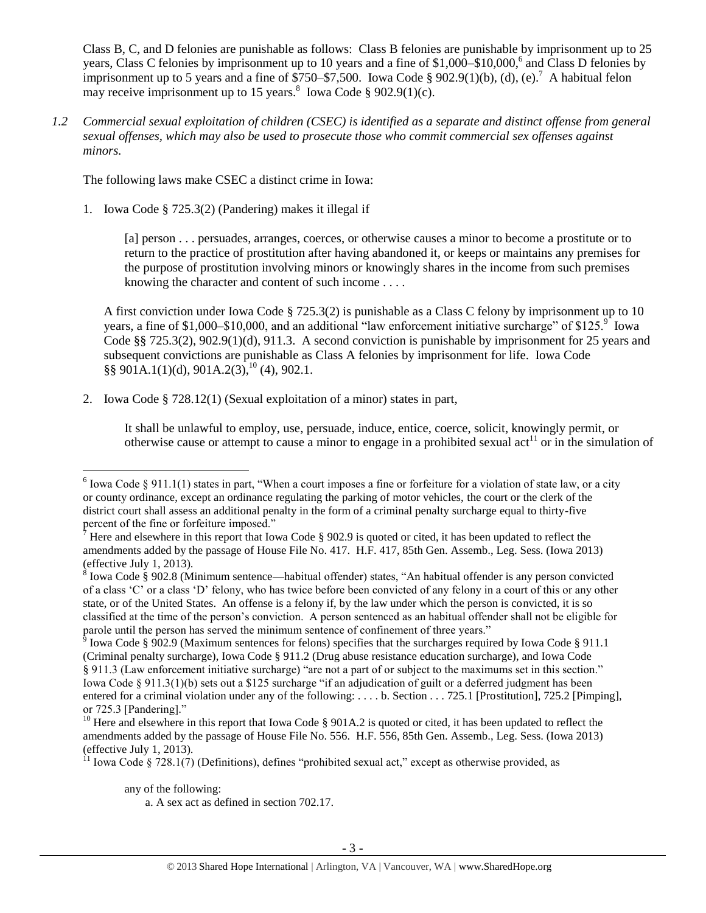<span id="page-2-2"></span>Class B, C, and D felonies are punishable as follows: Class B felonies are punishable by imprisonment up to 25 years, Class C felonies by imprisonment up to 10 years and a fine of \$1,000–\$10,000,<sup>6</sup> and Class D felonies by imprisonment up to 5 years and a fine of  $\sqrt{$750-$7,500}$ . Iowa Code  $\sqrt{$8902.9(1)(b)}$ , (d), (e).<sup>7</sup> A habitual felon may receive imprisonment up to 15 years.<sup>8</sup> Iowa Code § 902.9(1)(c).

*1.2 Commercial sexual exploitation of children (CSEC) is identified as a separate and distinct offense from general sexual offenses, which may also be used to prosecute those who commit commercial sex offenses against minors.*

The following laws make CSEC a distinct crime in Iowa:

1. Iowa Code § 725.3(2) (Pandering) makes it illegal if

<span id="page-2-4"></span><span id="page-2-0"></span>[a] person . . . persuades, arranges, coerces, or otherwise causes a minor to become a prostitute or to return to the practice of prostitution after having abandoned it, or keeps or maintains any premises for the purpose of prostitution involving minors or knowingly shares in the income from such premises knowing the character and content of such income . . . .

A first conviction under Iowa Code § 725.3(2) is punishable as a Class C felony by imprisonment up to 10 years, a fine of \$1,000–\$10,000, and an additional "law enforcement initiative surcharge" of \$125. $\degree$  lowa Code §§ 725.3(2), 902.9(1)(d), 911.3. A second conviction is punishable by imprisonment for 25 years and subsequent convictions are punishable as Class A felonies by imprisonment for life. Iowa Code  $\S\S 901A.1(1)(d), 901A.2(3),^{10}(4), 902.1.$ 

2. Iowa Code § 728.12(1) (Sexual exploitation of a minor) states in part,

<span id="page-2-3"></span><span id="page-2-1"></span>It shall be unlawful to employ, use, persuade, induce, entice, coerce, solicit, knowingly permit, or otherwise cause or attempt to cause a minor to engage in a prohibited sexual  $act<sup>11</sup>$  or in the simulation of

<sup>&</sup>lt;sup>6</sup> Iowa Code § 911.1(1) states in part, "When a court imposes a fine or forfeiture for a violation of state law, or a city or county ordinance, except an ordinance regulating the parking of motor vehicles, the court or the clerk of the district court shall assess an additional penalty in the form of a criminal penalty surcharge equal to thirty-five percent of the fine or forfeiture imposed."

<sup>7</sup> Here and elsewhere in this report that Iowa Code § 902.9 is quoted or cited, it has been updated to reflect the amendments added by the passage of House File No. 417. H.F. 417, 85th Gen. Assemb., Leg. Sess. (Iowa 2013) (effective July 1, 2013).

 $8$  Iowa Code § 902.8 (Minimum sentence—habitual offender) states, "An habitual offender is any person convicted of a class 'C' or a class 'D' felony, who has twice before been convicted of any felony in a court of this or any other state, or of the United States. An offense is a felony if, by the law under which the person is convicted, it is so classified at the time of the person's conviction. A person sentenced as an habitual offender shall not be eligible for parole until the person has served the minimum sentence of confinement of three years."<br><sup>9</sup> Iowa Code § 902.9 (Maximum sentences for felons) specifies that the surcharges required by Iowa Code § 911.1

<sup>(</sup>Criminal penalty surcharge), Iowa Code § 911.2 (Drug abuse resistance education surcharge), and Iowa Code § 911.3 (Law enforcement initiative surcharge) "are not a part of or subject to the maximums set in this section." Iowa Code § 911.3(1)(b) sets out a \$125 surcharge "if an adjudication of guilt or a deferred judgment has been entered for a criminal violation under any of the following: . . . . b. Section . . . 725.1 [Prostitution], 725.2 [Pimping], or 725.3 [Pandering]."

<sup>&</sup>lt;sup>10</sup> Here and elsewhere in this report that Iowa Code § 901A.2 is quoted or cited, it has been updated to reflect the amendments added by the passage of House File No. 556. H.F. 556, 85th Gen. Assemb., Leg. Sess. (Iowa 2013) (effective July 1, 2013).

 $11$  Iowa Code § 728.1(7) (Definitions), defines "prohibited sexual act," except as otherwise provided, as

any of the following:

a. A sex act as defined in section 702.17.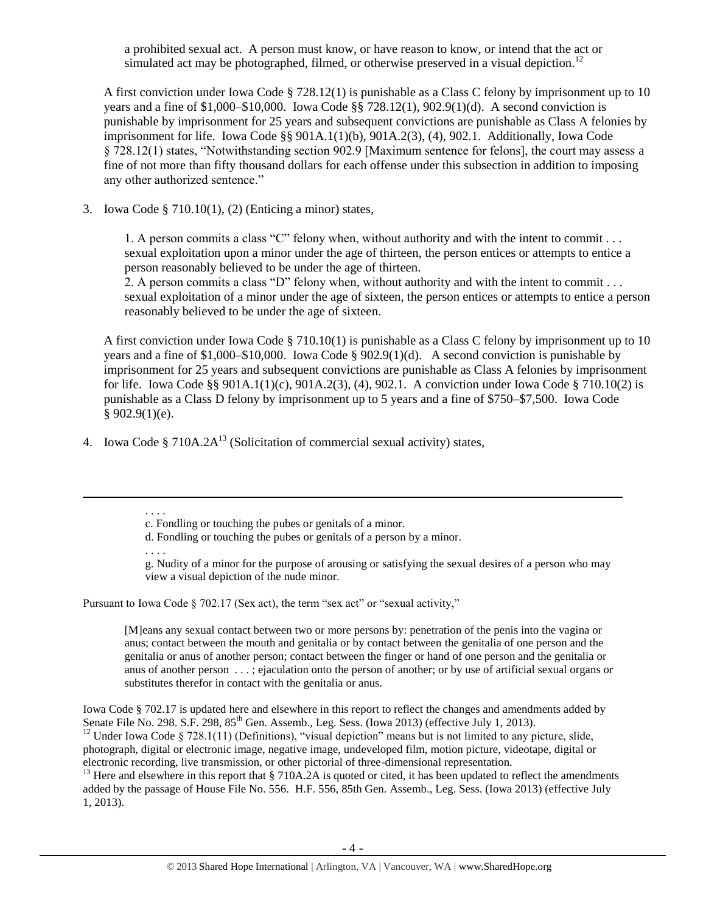a prohibited sexual act. A person must know, or have reason to know, or intend that the act or simulated act may be photographed, filmed, or otherwise preserved in a visual depiction.<sup>12</sup>

A first conviction under Iowa Code § 728.12(1) is punishable as a Class C felony by imprisonment up to 10 years and a fine of \$1,000–\$10,000. Iowa Code §§ 728.12(1), 902.9(1)(d). A second conviction is punishable by imprisonment for 25 years and subsequent convictions are punishable as Class A felonies by imprisonment for life. Iowa Code §§ 901A.1(1)(b), 901A.2(3), (4), 902.1. Additionally, Iowa Code § 728.12(1) states, "Notwithstanding section 902.9 [Maximum sentence for felons], the court may assess a fine of not more than fifty thousand dollars for each offense under this subsection in addition to imposing any other authorized sentence."

3. Iowa Code § 710.10(1), (2) (Enticing a minor) states,

1. A person commits a class "C" felony when, without authority and with the intent to commit . . . sexual exploitation upon a minor under the age of thirteen, the person entices or attempts to entice a person reasonably believed to be under the age of thirteen.

2. A person commits a class "D" felony when, without authority and with the intent to commit ... sexual exploitation of a minor under the age of sixteen, the person entices or attempts to entice a person reasonably believed to be under the age of sixteen.

A first conviction under Iowa Code § 710.10(1) is punishable as a Class C felony by imprisonment up to 10 years and a fine of \$1,000–\$10,000. Iowa Code § 902.9(1)(d). A second conviction is punishable by imprisonment for 25 years and subsequent convictions are punishable as Class A felonies by imprisonment for life. Iowa Code §§ 901A.1(1)(c), 901A.2(3), (4), 902.1. A conviction under Iowa Code § 710.10(2) is punishable as a Class D felony by imprisonment up to 5 years and a fine of \$750–\$7,500. Iowa Code  $§ 902.9(1)(e).$ 

4. Iowa Code § 710A.2 $A^{13}$  (Solicitation of commercial sexual activity) states,

 $\overline{a}$ 

. . . .

g. Nudity of a minor for the purpose of arousing or satisfying the sexual desires of a person who may view a visual depiction of the nude minor.

Pursuant to Iowa Code § 702.17 (Sex act), the term "sex act" or "sexual activity,"

[M]eans any sexual contact between two or more persons by: penetration of the penis into the vagina or anus; contact between the mouth and genitalia or by contact between the genitalia of one person and the genitalia or anus of another person; contact between the finger or hand of one person and the genitalia or anus of another person . . . ; ejaculation onto the person of another; or by use of artificial sexual organs or substitutes therefor in contact with the genitalia or anus.

Iowa Code § 702.17 is updated here and elsewhere in this report to reflect the changes and amendments added by Senate File No. 298. S.F. 298, 85<sup>th</sup> Gen. Assemb., Leg. Sess. (Iowa 2013) (effective July 1, 2013).

<sup>12</sup> Under Iowa Code § 728.1(11) (Definitions), "visual depiction" means but is not limited to any picture, slide, photograph, digital or electronic image, negative image, undeveloped film, motion picture, videotape, digital or electronic recording, live transmission, or other pictorial of three-dimensional representation.

 $13$  Here and elsewhere in this report that § 710A.2A is quoted or cited, it has been updated to reflect the amendments added by the passage of House File No. 556. H.F. 556, 85th Gen. Assemb., Leg. Sess. (Iowa 2013) (effective July 1, 2013).

<span id="page-3-0"></span><sup>. . . .</sup> c. Fondling or touching the pubes or genitals of a minor.

d. Fondling or touching the pubes or genitals of a person by a minor.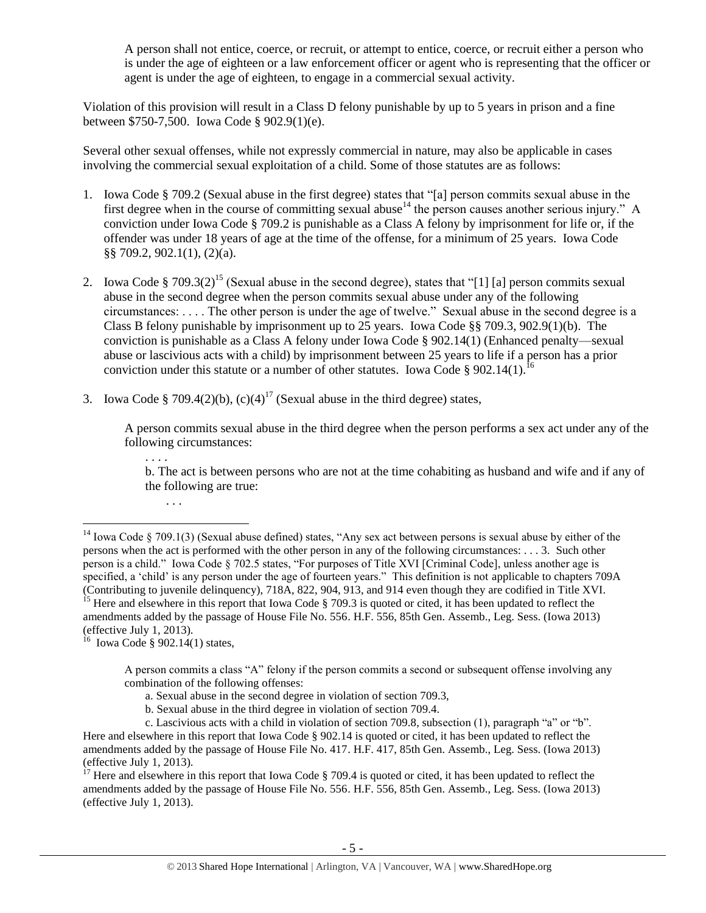A person shall not entice, coerce, or recruit, or attempt to entice, coerce, or recruit either a person who is under the age of eighteen or a law enforcement officer or agent who is representing that the officer or agent is under the age of eighteen, to engage in a commercial sexual activity.

Violation of this provision will result in a Class D felony punishable by up to 5 years in prison and a fine between \$750-7,500. Iowa Code § 902.9(1)(e).

Several other sexual offenses, while not expressly commercial in nature, may also be applicable in cases involving the commercial sexual exploitation of a child. Some of those statutes are as follows:

- <span id="page-4-1"></span>1. Iowa Code § 709.2 (Sexual abuse in the first degree) states that "[a] person commits sexual abuse in the first degree when in the course of committing sexual abuse<sup>14</sup> the person causes another serious injury." A conviction under Iowa Code § 709.2 is punishable as a Class A felony by imprisonment for life or, if the offender was under 18 years of age at the time of the offense, for a minimum of 25 years. Iowa Code §§ 709.2, 902.1(1), (2)(a).
- 2. Iowa Code § 709.3(2)<sup>15</sup> (Sexual abuse in the second degree), states that "[1] [a] person commits sexual abuse in the second degree when the person commits sexual abuse under any of the following circumstances: . . . . The other person is under the age of twelve." Sexual abuse in the second degree is a Class B felony punishable by imprisonment up to 25 years. Iowa Code §§ 709.3, 902.9(1)(b). The conviction is punishable as a Class A felony under Iowa Code § 902.14(1) (Enhanced penalty—sexual abuse or lascivious acts with a child) by imprisonment between 25 years to life if a person has a prior conviction under this statute or a number of other statutes. Iowa Code § 902.14(1).<sup>16</sup>
- 3. Iowa Code § 709.4(2)(b),  $(c)(4)^{17}$  (Sexual abuse in the third degree) states,

A person commits sexual abuse in the third degree when the person performs a sex act under any of the following circumstances:

b. The act is between persons who are not at the time cohabiting as husband and wife and if any of the following are true:

<span id="page-4-0"></span>. . . .

 $\overline{a}$ 

amendments added by the passage of House File No. 556. H.F. 556, 85th Gen. Assemb., Leg. Sess. (Iowa 2013) (effective July 1, 2013).<br><sup>16</sup> Iowa Code § 902.14(1) states,

b. Sexual abuse in the third degree in violation of section 709.4.

<sup>. . .</sup> 

<sup>&</sup>lt;sup>14</sup> Iowa Code § 709.1(3) (Sexual abuse defined) states, "Any sex act between persons is sexual abuse by either of the persons when the act is performed with the other person in any of the following circumstances: . . . 3. Such other person is a child." Iowa Code § 702.5 states, "For purposes of Title XVI [Criminal Code], unless another age is specified, a 'child' is any person under the age of fourteen years." This definition is not applicable to chapters 709A (Contributing to juvenile delinquency), 718A, 822, 904, 913, and 914 even though they are codified in Title XVI. <sup>15</sup> Here and elsewhere in this report that Iowa Code  $\S$  709.3 is quoted or cited, it has been updated to reflect the

A person commits a class "A" felony if the person commits a second or subsequent offense involving any combination of the following offenses:

a. Sexual abuse in the second degree in violation of section 709.3,

c. Lascivious acts with a child in violation of section 709.8, subsection (1), paragraph "a" or "b". Here and elsewhere in this report that Iowa Code § 902.14 is quoted or cited, it has been updated to reflect the amendments added by the passage of House File No. 417. H.F. 417, 85th Gen. Assemb., Leg. Sess. (Iowa 2013) (effective July 1, 2013).

<sup>17</sup> Here and elsewhere in this report that Iowa Code § 709.4 is quoted or cited, it has been updated to reflect the amendments added by the passage of House File No. 556. H.F. 556, 85th Gen. Assemb., Leg. Sess. (Iowa 2013) (effective July 1, 2013).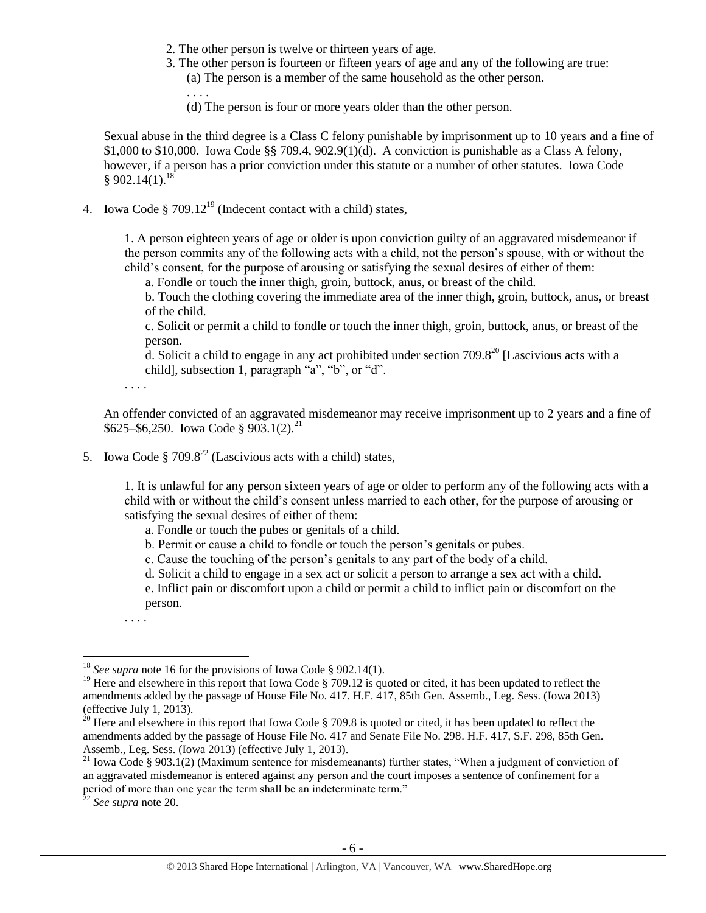- 2. The other person is twelve or thirteen years of age.
- 3. The other person is fourteen or fifteen years of age and any of the following are true:
	- (a) The person is a member of the same household as the other person.
	- (d) The person is four or more years older than the other person.

Sexual abuse in the third degree is a Class C felony punishable by imprisonment up to 10 years and a fine of \$1,000 to \$10,000. Iowa Code §§ 709.4,  $902.9(1)(d)$ . A conviction is punishable as a Class A felony, however, if a person has a prior conviction under this statute or a number of other statutes. Iowa Code  $$902.14(1).$ <sup>18</sup>

4. Iowa Code § 709.12<sup>19</sup> (Indecent contact with a child) states,

. . . .

<span id="page-5-1"></span>1. A person eighteen years of age or older is upon conviction guilty of an aggravated misdemeanor if the person commits any of the following acts with a child, not the person's spouse, with or without the child's consent, for the purpose of arousing or satisfying the sexual desires of either of them:

a. Fondle or touch the inner thigh, groin, buttock, anus, or breast of the child.

b. Touch the clothing covering the immediate area of the inner thigh, groin, buttock, anus, or breast of the child.

<span id="page-5-0"></span>c. Solicit or permit a child to fondle or touch the inner thigh, groin, buttock, anus, or breast of the person.

<span id="page-5-2"></span>d. Solicit a child to engage in any act prohibited under section  $709.8^{20}$  [Lascivious acts with a child], subsection 1, paragraph "a", "b", or "d".

. . . .

An offender convicted of an aggravated misdemeanor may receive imprisonment up to 2 years and a fine of  $$625–$6,250. Iowa Code § 903.1(2).$ <sup>21</sup>

5. Iowa Code § 709.8<sup>22</sup> (Lascivious acts with a child) states,

1. It is unlawful for any person sixteen years of age or older to perform any of the following acts with a child with or without the child's consent unless married to each other, for the purpose of arousing or satisfying the sexual desires of either of them:

- a. Fondle or touch the pubes or genitals of a child.
- b. Permit or cause a child to fondle or touch the person's genitals or pubes.
- c. Cause the touching of the person's genitals to any part of the body of a child.
- d. Solicit a child to engage in a sex act or solicit a person to arrange a sex act with a child.

e. Inflict pain or discomfort upon a child or permit a child to inflict pain or discomfort on the person.

. . . .

<sup>18</sup> *See supra* note [16](#page-4-0) for the provisions of Iowa Code § 902.14(1).

<sup>&</sup>lt;sup>19</sup> Here and elsewhere in this report that Iowa Code  $\S$  709.12 is quoted or cited, it has been updated to reflect the amendments added by the passage of House File No. 417. H.F. 417, 85th Gen. Assemb., Leg. Sess. (Iowa 2013) (effective July 1, 2013).

<sup>&</sup>lt;sup>20</sup> Here and elsewhere in this report that Iowa Code § 709.8 is quoted or cited, it has been updated to reflect the amendments added by the passage of House File No. 417 and Senate File No. 298. H.F. 417, S.F. 298, 85th Gen. Assemb., Leg. Sess. (Iowa 2013) (effective July 1, 2013).

<sup>&</sup>lt;sup>21</sup> Iowa Code § 903.1(2) (Maximum sentence for misdemeanants) further states, "When a judgment of conviction of an aggravated misdemeanor is entered against any person and the court imposes a sentence of confinement for a period of more than one year the term shall be an indeterminate term."

<sup>22</sup> *See supra* note [20.](#page-5-0)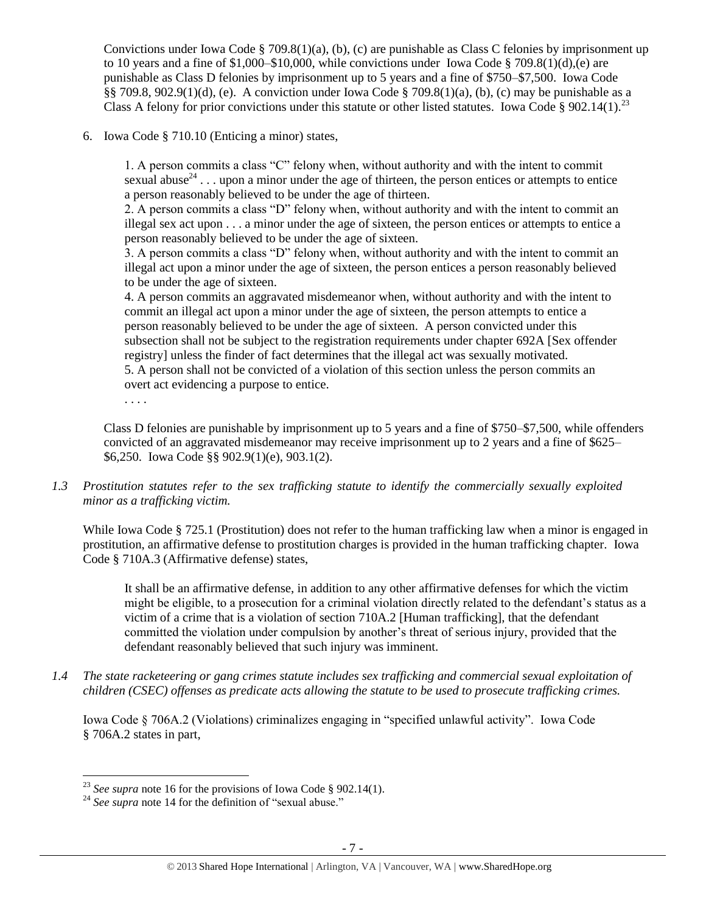Convictions under Iowa Code § 709.8(1)(a), (b), (c) are punishable as Class C felonies by imprisonment up to 10 years and a fine of  $1,000-\$10,000$ , while convictions under Iowa Code § 709.8(1)(d),(e) are punishable as Class D felonies by imprisonment up to 5 years and a fine of \$750–\$7,500. Iowa Code §§ 709.8, 902.9(1)(d), (e). A conviction under Iowa Code § 709.8(1)(a), (b), (c) may be punishable as a Class A felony for prior convictions under this statute or other listed statutes. Iowa Code § 902.14(1).<sup>23</sup>

6. Iowa Code § 710.10 (Enticing a minor) states,

1. A person commits a class "C" felony when, without authority and with the intent to commit sexual abuse<sup>24</sup>... upon a minor under the age of thirteen, the person entices or attempts to entice a person reasonably believed to be under the age of thirteen.

2. A person commits a class "D" felony when, without authority and with the intent to commit an illegal sex act upon . . . a minor under the age of sixteen, the person entices or attempts to entice a person reasonably believed to be under the age of sixteen.

3. A person commits a class "D" felony when, without authority and with the intent to commit an illegal act upon a minor under the age of sixteen, the person entices a person reasonably believed to be under the age of sixteen.

4. A person commits an aggravated misdemeanor when, without authority and with the intent to commit an illegal act upon a minor under the age of sixteen, the person attempts to entice a person reasonably believed to be under the age of sixteen. A person convicted under this subsection shall not be subject to the registration requirements under chapter 692A [Sex offender registry] unless the finder of fact determines that the illegal act was sexually motivated. 5. A person shall not be convicted of a violation of this section unless the person commits an overt act evidencing a purpose to entice.

. . . .

 $\overline{a}$ 

Class D felonies are punishable by imprisonment up to 5 years and a fine of \$750–\$7,500, while offenders convicted of an aggravated misdemeanor may receive imprisonment up to 2 years and a fine of \$625– \$6,250. Iowa Code §§ 902.9(1)(e), 903.1(2).

*1.3 Prostitution statutes refer to the sex trafficking statute to identify the commercially sexually exploited minor as a trafficking victim.* 

While Iowa Code § 725.1 (Prostitution) does not refer to the human trafficking law when a minor is engaged in prostitution, an affirmative defense to prostitution charges is provided in the human trafficking chapter. Iowa Code § 710A.3 (Affirmative defense) states,

It shall be an affirmative defense, in addition to any other affirmative defenses for which the victim might be eligible, to a prosecution for a criminal violation directly related to the defendant's status as a victim of a crime that is a violation of section 710A.2 [Human trafficking], that the defendant committed the violation under compulsion by another's threat of serious injury, provided that the defendant reasonably believed that such injury was imminent.

*1.4 The state racketeering or gang crimes statute includes sex trafficking and commercial sexual exploitation of children (CSEC) offenses as predicate acts allowing the statute to be used to prosecute trafficking crimes.* 

Iowa Code § 706A.2 (Violations) criminalizes engaging in "specified unlawful activity". Iowa Code § 706A.2 states in part,

<sup>&</sup>lt;sup>23</sup> See supra note [16](#page-4-0) for the provisions of Iowa Code § 902.14(1).

<sup>&</sup>lt;sup>24</sup> See supra note [14](#page-4-1) for the definition of "sexual abuse."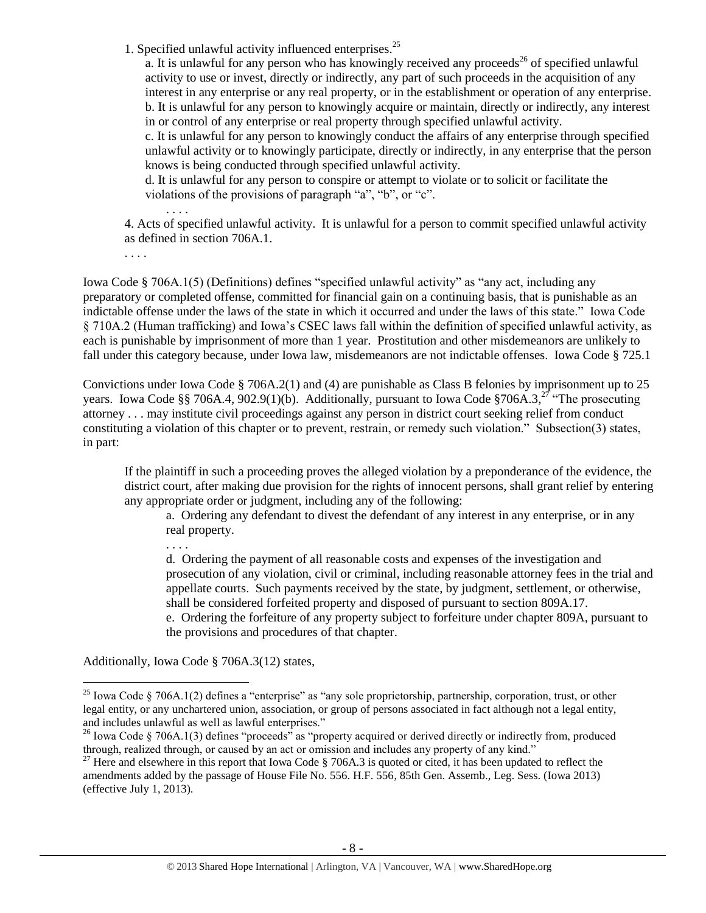1. Specified unlawful activity influenced enterprises.<sup>25</sup>

a. It is unlawful for any person who has knowingly received any proceeds<sup>26</sup> of specified unlawful activity to use or invest, directly or indirectly, any part of such proceeds in the acquisition of any interest in any enterprise or any real property, or in the establishment or operation of any enterprise. b. It is unlawful for any person to knowingly acquire or maintain, directly or indirectly, any interest in or control of any enterprise or real property through specified unlawful activity.

c. It is unlawful for any person to knowingly conduct the affairs of any enterprise through specified unlawful activity or to knowingly participate, directly or indirectly, in any enterprise that the person knows is being conducted through specified unlawful activity.

d. It is unlawful for any person to conspire or attempt to violate or to solicit or facilitate the violations of the provisions of paragraph "a", "b", or "c".

4. Acts of specified unlawful activity. It is unlawful for a person to commit specified unlawful activity as defined in section 706A.1.

. . . .

. . . .

Iowa Code § 706A.1(5) (Definitions) defines "specified unlawful activity" as "any act, including any preparatory or completed offense, committed for financial gain on a continuing basis, that is punishable as an indictable offense under the laws of the state in which it occurred and under the laws of this state." Iowa Code § 710A.2 (Human trafficking) and Iowa's CSEC laws fall within the definition of specified unlawful activity, as each is punishable by imprisonment of more than 1 year. Prostitution and other misdemeanors are unlikely to fall under this category because, under Iowa law, misdemeanors are not indictable offenses. Iowa Code § 725.1

Convictions under Iowa Code § 706A.2(1) and (4) are punishable as Class B felonies by imprisonment up to 25 years. Iowa Code §§ 706A.4, 902.9(1)(b). Additionally, pursuant to Iowa Code §706A.3,<sup>27</sup> "The prosecuting attorney . . . may institute civil proceedings against any person in district court seeking relief from conduct constituting a violation of this chapter or to prevent, restrain, or remedy such violation." Subsection(3) states, in part:

If the plaintiff in such a proceeding proves the alleged violation by a preponderance of the evidence, the district court, after making due provision for the rights of innocent persons, shall grant relief by entering any appropriate order or judgment, including any of the following:

<span id="page-7-0"></span>a. Ordering any defendant to divest the defendant of any interest in any enterprise, or in any real property.

. . . .

d. Ordering the payment of all reasonable costs and expenses of the investigation and prosecution of any violation, civil or criminal, including reasonable attorney fees in the trial and appellate courts. Such payments received by the state, by judgment, settlement, or otherwise, shall be considered forfeited property and disposed of pursuant to section 809A.17.

e. Ordering the forfeiture of any property subject to forfeiture under chapter 809A, pursuant to the provisions and procedures of that chapter.

Additionally, Iowa Code § 706A.3(12) states,

<sup>&</sup>lt;sup>25</sup> Iowa Code § 706A.1(2) defines a "enterprise" as "any sole proprietorship, partnership, corporation, trust, or other legal entity, or any unchartered union, association, or group of persons associated in fact although not a legal entity, and includes unlawful as well as lawful enterprises."

 $26$  Iowa Code § 706A.1(3) defines "proceeds" as "property acquired or derived directly or indirectly from, produced through, realized through, or caused by an act or omission and includes any property of any kind."

 $^{27}$  Here and elsewhere in this report that Iowa Code § 706A.3 is quoted or cited, it has been updated to reflect the amendments added by the passage of House File No. 556. H.F. 556, 85th Gen. Assemb., Leg. Sess. (Iowa 2013) (effective July 1, 2013).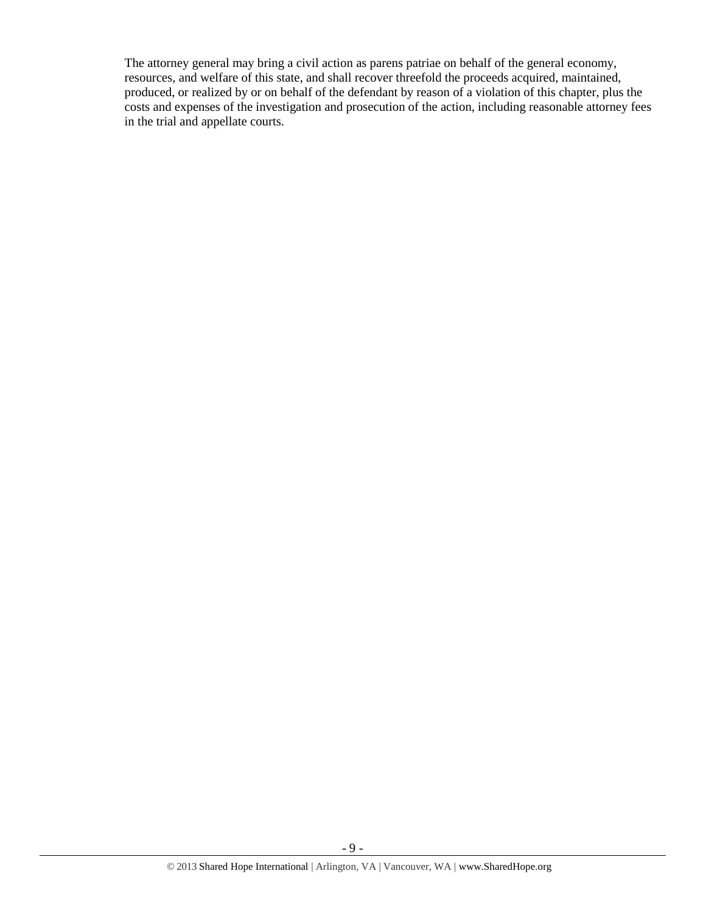The attorney general may bring a civil action as parens patriae on behalf of the general economy, resources, and welfare of this state, and shall recover threefold the proceeds acquired, maintained, produced, or realized by or on behalf of the defendant by reason of a violation of this chapter, plus the costs and expenses of the investigation and prosecution of the action, including reasonable attorney fees in the trial and appellate courts.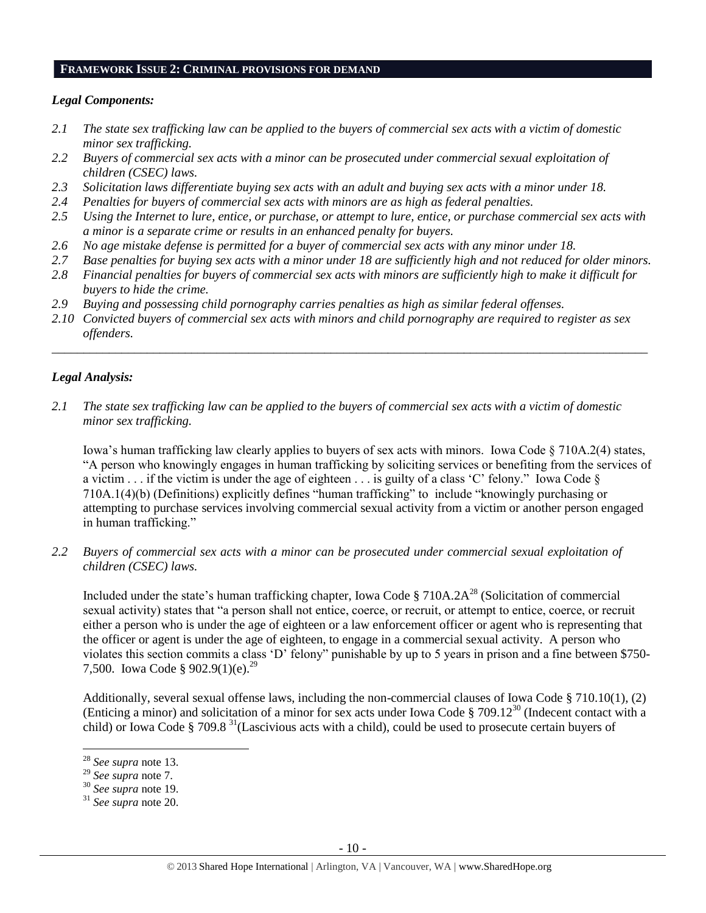#### **FRAMEWORK ISSUE 2: CRIMINAL PROVISIONS FOR DEMAND**

## *Legal Components:*

- *2.1 The state sex trafficking law can be applied to the buyers of commercial sex acts with a victim of domestic minor sex trafficking.*
- *2.2 Buyers of commercial sex acts with a minor can be prosecuted under commercial sexual exploitation of children (CSEC) laws.*
- *2.3 Solicitation laws differentiate buying sex acts with an adult and buying sex acts with a minor under 18.*
- *2.4 Penalties for buyers of commercial sex acts with minors are as high as federal penalties.*
- *2.5 Using the Internet to lure, entice, or purchase, or attempt to lure, entice, or purchase commercial sex acts with a minor is a separate crime or results in an enhanced penalty for buyers.*
- *2.6 No age mistake defense is permitted for a buyer of commercial sex acts with any minor under 18.*
- *2.7 Base penalties for buying sex acts with a minor under 18 are sufficiently high and not reduced for older minors.*
- *2.8 Financial penalties for buyers of commercial sex acts with minors are sufficiently high to make it difficult for buyers to hide the crime.*
- *2.9 Buying and possessing child pornography carries penalties as high as similar federal offenses.*
- *2.10 Convicted buyers of commercial sex acts with minors and child pornography are required to register as sex offenders.*

\_\_\_\_\_\_\_\_\_\_\_\_\_\_\_\_\_\_\_\_\_\_\_\_\_\_\_\_\_\_\_\_\_\_\_\_\_\_\_\_\_\_\_\_\_\_\_\_\_\_\_\_\_\_\_\_\_\_\_\_\_\_\_\_\_\_\_\_\_\_\_\_\_\_\_\_\_\_\_\_\_\_\_\_\_\_\_\_\_\_\_\_\_\_

## *Legal Analysis:*

*2.1 The state sex trafficking law can be applied to the buyers of commercial sex acts with a victim of domestic minor sex trafficking.*

Iowa's human trafficking law clearly applies to buyers of sex acts with minors. Iowa Code § 710A.2(4) states, "A person who knowingly engages in human trafficking by soliciting services or benefiting from the services of a victim  $\ldots$  if the victim is under the age of eighteen  $\ldots$  is guilty of a class 'C' felony." Iowa Code  $\S$ 710A.1(4)(b) (Definitions) explicitly defines "human trafficking" to include "knowingly purchasing or attempting to purchase services involving commercial sexual activity from a victim or another person engaged in human trafficking."

*2.2 Buyers of commercial sex acts with a minor can be prosecuted under commercial sexual exploitation of children (CSEC) laws.*

Included under the state's human trafficking chapter, Iowa Code  $\S 710A.2A^{28}$  (Solicitation of commercial sexual activity) states that "a person shall not entice, coerce, or recruit, or attempt to entice, coerce, or recruit either a person who is under the age of eighteen or a law enforcement officer or agent who is representing that the officer or agent is under the age of eighteen, to engage in a commercial sexual activity. A person who violates this section commits a class 'D' felony" punishable by up to 5 years in prison and a fine between \$750- 7,500. Iowa Code § 902.9(1)(e).<sup>29</sup>

Additionally, several sexual offense laws, including the non-commercial clauses of Iowa Code § 710.10(1), (2) (Enticing a minor) and solicitation of a minor for sex acts under Iowa Code § 709.12<sup>30</sup> (Indecent contact with a child) or Iowa Code § 709.8<sup>31</sup> (Lascivious acts with a child), could be used to prosecute certain buyers of

<sup>28</sup> *See supra* note [13.](#page-3-0)

<sup>29</sup> *See supra* note [7.](#page-2-0)

<sup>30</sup> *See supra* note [19.](#page-5-1) 

<sup>31</sup> *See supra* note [20.](#page-5-0)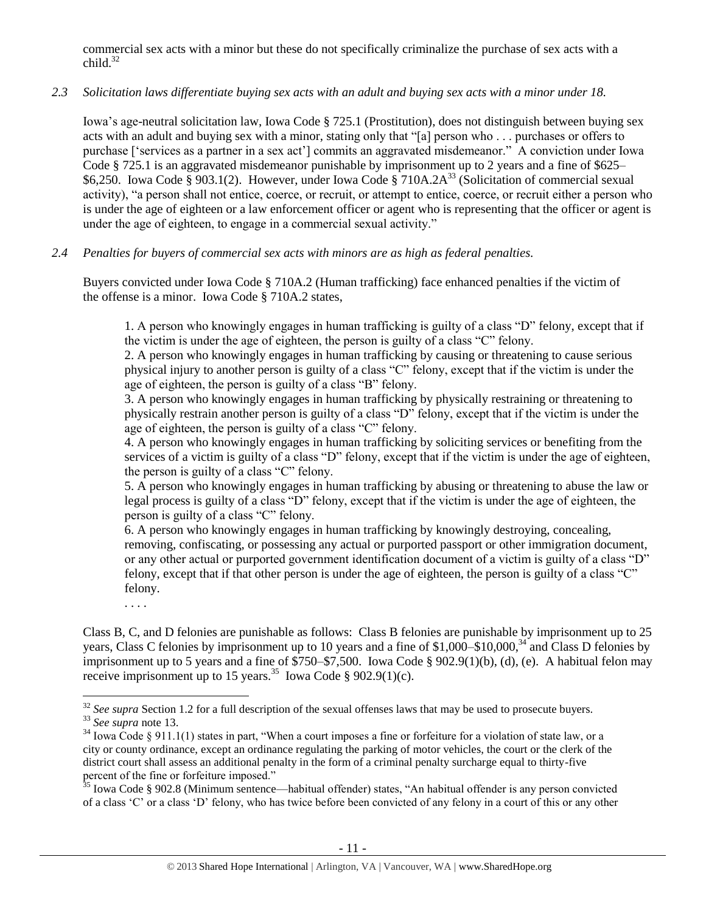commercial sex acts with a minor but these do not specifically criminalize the purchase of sex acts with a  $child.<sup>32</sup>$ 

## *2.3 Solicitation laws differentiate buying sex acts with an adult and buying sex acts with a minor under 18.*

Iowa's age-neutral solicitation law, Iowa Code § 725.1 (Prostitution), does not distinguish between buying sex acts with an adult and buying sex with a minor, stating only that "[a] person who . . . purchases or offers to purchase ['services as a partner in a sex act'] commits an aggravated misdemeanor." A conviction under Iowa Code § 725.1 is an aggravated misdemeanor punishable by imprisonment up to 2 years and a fine of \$625– \$6,250. Iowa Code § 903.1(2). However, under Iowa Code § 710A.2A<sup>33</sup> (Solicitation of commercial sexual activity), "a person shall not entice, coerce, or recruit, or attempt to entice, coerce, or recruit either a person who is under the age of eighteen or a law enforcement officer or agent who is representing that the officer or agent is under the age of eighteen, to engage in a commercial sexual activity."

# *2.4 Penalties for buyers of commercial sex acts with minors are as high as federal penalties.*

Buyers convicted under Iowa Code § 710A.2 (Human trafficking) face enhanced penalties if the victim of the offense is a minor. Iowa Code § 710A.2 states,

1. A person who knowingly engages in human trafficking is guilty of a class "D" felony, except that if the victim is under the age of eighteen, the person is guilty of a class "C" felony.

2. A person who knowingly engages in human trafficking by causing or threatening to cause serious physical injury to another person is guilty of a class "C" felony, except that if the victim is under the age of eighteen, the person is guilty of a class "B" felony.

3. A person who knowingly engages in human trafficking by physically restraining or threatening to physically restrain another person is guilty of a class "D" felony, except that if the victim is under the age of eighteen, the person is guilty of a class "C" felony.

4. A person who knowingly engages in human trafficking by soliciting services or benefiting from the services of a victim is guilty of a class "D" felony, except that if the victim is under the age of eighteen, the person is guilty of a class "C" felony.

5. A person who knowingly engages in human trafficking by abusing or threatening to abuse the law or legal process is guilty of a class "D" felony, except that if the victim is under the age of eighteen, the person is guilty of a class "C" felony.

6. A person who knowingly engages in human trafficking by knowingly destroying, concealing, removing, confiscating, or possessing any actual or purported passport or other immigration document, or any other actual or purported government identification document of a victim is guilty of a class "D" felony, except that if that other person is under the age of eighteen, the person is guilty of a class "C" felony.

. . . .

 $\overline{a}$ 

Class B, C, and D felonies are punishable as follows: Class B felonies are punishable by imprisonment up to 25 years, Class C felonies by imprisonment up to 10 years and a fine of \$1,000–\$10,000,<sup>34</sup> and Class D felonies by imprisonment up to 5 years and a fine of \$750–\$7,500. Iowa Code § 902.9(1)(b), (d), (e). A habitual felon may receive imprisonment up to 15 years.<sup>35</sup> Iowa Code § 902.9(1)(c).

<sup>&</sup>lt;sup>32</sup> See supra Section 1.2 for a full description of the sexual offenses laws that may be used to prosecute buyers. <sup>33</sup> *See supra* note [13.](#page-3-0)

 $34$  Iowa Code § 911.1(1) states in part, "When a court imposes a fine or forfeiture for a violation of state law, or a city or county ordinance, except an ordinance regulating the parking of motor vehicles, the court or the clerk of the district court shall assess an additional penalty in the form of a criminal penalty surcharge equal to thirty-five percent of the fine or forfeiture imposed."

<sup>&</sup>lt;sup>35</sup> Iowa Code § 902.8 (Minimum sentence—habitual offender) states, "An habitual offender is any person convicted of a class 'C' or a class 'D' felony, who has twice before been convicted of any felony in a court of this or any other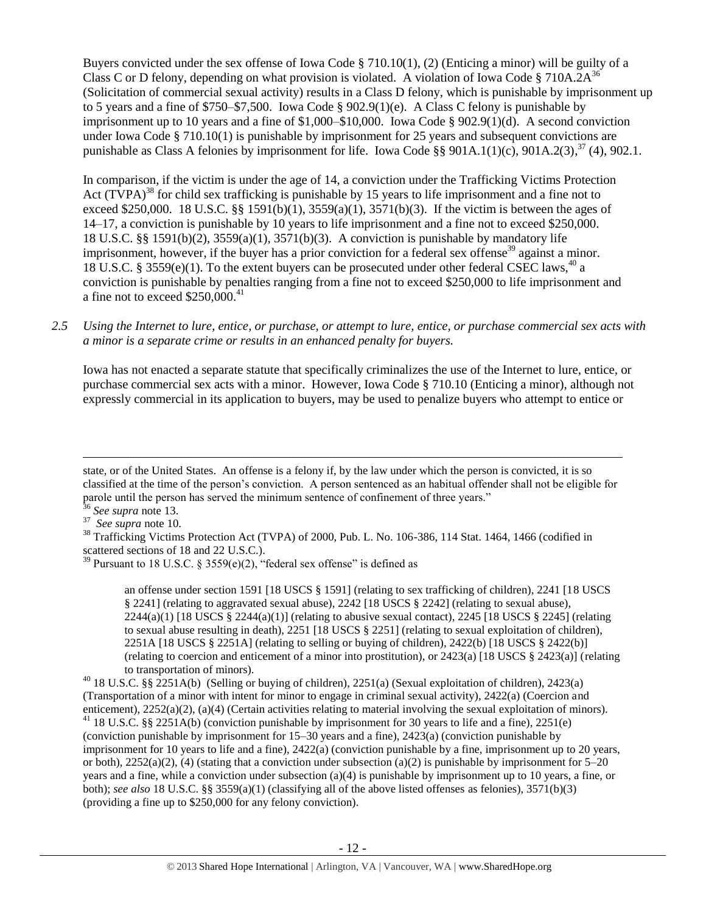Buyers convicted under the sex offense of Iowa Code § 710.10(1), (2) (Enticing a minor) will be guilty of a Class C or D felony, depending on what provision is violated. A violation of Iowa Code § 710A.2 $A^{36}$ (Solicitation of commercial sexual activity) results in a Class D felony, which is punishable by imprisonment up to 5 years and a fine of \$750–\$7,500. Iowa Code § 902.9(1)(e). A Class C felony is punishable by imprisonment up to 10 years and a fine of \$1,000–\$10,000. Iowa Code § 902.9(1)(d). A second conviction under Iowa Code § 710.10(1) is punishable by imprisonment for 25 years and subsequent convictions are punishable as Class A felonies by imprisonment for life. Iowa Code §§ 901A.1(1)(c), 901A.2(3),  $37$  (4), 902.1.

<span id="page-11-1"></span><span id="page-11-0"></span>In comparison, if the victim is under the age of 14, a conviction under the Trafficking Victims Protection Act (TVPA)<sup>38</sup> for child sex trafficking is punishable by 15 years to life imprisonment and a fine not to exceed \$250,000. 18 U.S.C. §§ 1591(b)(1), 3559(a)(1), 3571(b)(3). If the victim is between the ages of 14–17, a conviction is punishable by 10 years to life imprisonment and a fine not to exceed \$250,000. 18 U.S.C. §§ 1591(b)(2), 3559(a)(1), 3571(b)(3). A conviction is punishable by mandatory life imprisonment, however, if the buyer has a prior conviction for a federal sex offense<sup>39</sup> against a minor. 18 U.S.C. § 3559(e)(1). To the extent buyers can be prosecuted under other federal CSEC laws,<sup>40</sup> a conviction is punishable by penalties ranging from a fine not to exceed \$250,000 to life imprisonment and a fine not to exceed  $$250,000.<sup>41</sup>$ 

*2.5 Using the Internet to lure, entice, or purchase, or attempt to lure, entice, or purchase commercial sex acts with a minor is a separate crime or results in an enhanced penalty for buyers.*

Iowa has not enacted a separate statute that specifically criminalizes the use of the Internet to lure, entice, or purchase commercial sex acts with a minor. However, Iowa Code § 710.10 (Enticing a minor), although not expressly commercial in its application to buyers, may be used to penalize buyers who attempt to entice or

state, or of the United States. An offense is a felony if, by the law under which the person is convicted, it is so classified at the time of the person's conviction. A person sentenced as an habitual offender shall not be eligible for parole until the person has served the minimum sentence of confinement of three years."

<sup>36</sup> *See supra* note [13.](#page-3-0)

<sup>37</sup> *See supra* note [10.](#page-2-1)

<sup>&</sup>lt;sup>38</sup> Trafficking Victims Protection Act (TVPA) of 2000, Pub. L. No. 106-386, 114 Stat. 1464, 1466 (codified in scattered sections of 18 and 22 U.S.C.).

<sup>&</sup>lt;sup>39</sup> Pursuant to 18 U.S.C. § 3559(e)(2), "federal sex offense" is defined as

an offense under section 1591 [18 USCS § 1591] (relating to sex trafficking of children), 2241 [18 USCS § 2241] (relating to aggravated sexual abuse), 2242 [18 USCS § 2242] (relating to sexual abuse),  $2244(a)(1)$  [18 USCS §  $2244(a)(1)$ ] (relating to abusive sexual contact),  $2245$  [18 USCS § 2245] (relating to sexual abuse resulting in death), 2251 [18 USCS § 2251] (relating to sexual exploitation of children), 2251A [18 USCS § 2251A] (relating to selling or buying of children), 2422(b) [18 USCS § 2422(b)] (relating to coercion and enticement of a minor into prostitution), or 2423(a) [18 USCS § 2423(a)] (relating to transportation of minors).

<sup>40</sup> 18 U.S.C. §§ 2251A(b) (Selling or buying of children), 2251(a) (Sexual exploitation of children), 2423(a) (Transportation of a minor with intent for minor to engage in criminal sexual activity), 2422(a) (Coercion and enticement), 2252(a)(2), (a)(4) (Certain activities relating to material involving the sexual exploitation of minors). <sup>41</sup> 18 U.S.C. §§ 2251A(b) (conviction punishable by imprisonment for 30 years to life and a fine), 2251(e) (conviction punishable by imprisonment for 15–30 years and a fine), 2423(a) (conviction punishable by imprisonment for 10 years to life and a fine), 2422(a) (conviction punishable by a fine, imprisonment up to 20 years, or both),  $2252(a)(2)$ , (4) (stating that a conviction under subsection (a)(2) is punishable by imprisonment for 5–20 years and a fine, while a conviction under subsection (a)(4) is punishable by imprisonment up to 10 years, a fine, or both); *see also* 18 U.S.C. §§ 3559(a)(1) (classifying all of the above listed offenses as felonies), 3571(b)(3) (providing a fine up to \$250,000 for any felony conviction).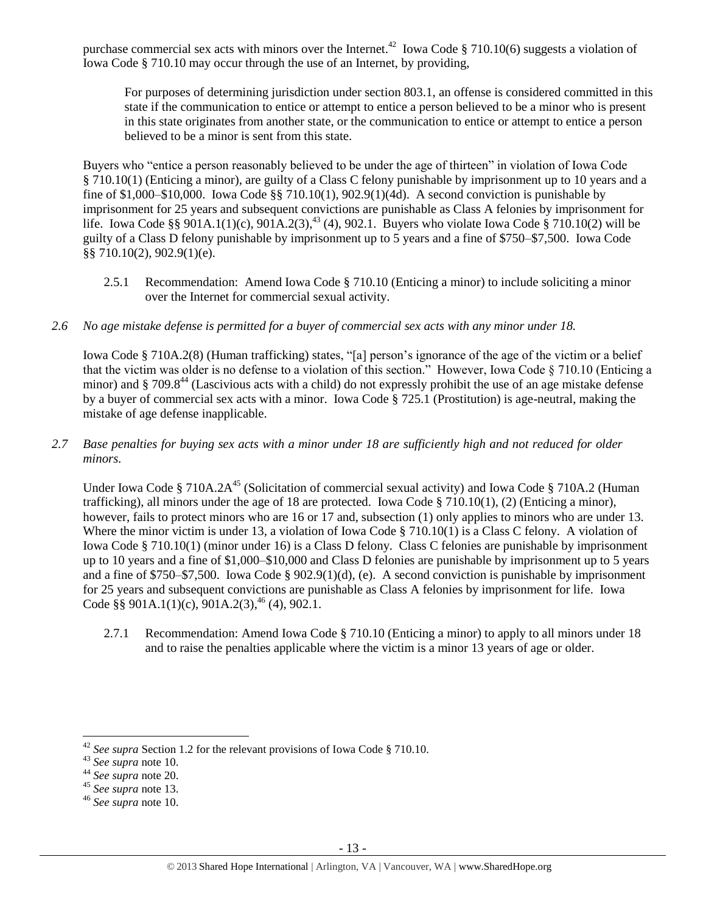purchase commercial sex acts with minors over the Internet.<sup>42</sup> Iowa Code § 710.10(6) suggests a violation of Iowa Code § 710.10 may occur through the use of an Internet, by providing,

For purposes of determining jurisdiction under section 803.1, an offense is considered committed in this state if the communication to entice or attempt to entice a person believed to be a minor who is present in this state originates from another state, or the communication to entice or attempt to entice a person believed to be a minor is sent from this state.

Buyers who "entice a person reasonably believed to be under the age of thirteen" in violation of Iowa Code § 710.10(1) (Enticing a minor), are guilty of a Class C felony punishable by imprisonment up to 10 years and a fine of \$1,000–\$10,000. Iowa Code  $\S$  710.10(1), 902.9(1)(4d). A second conviction is punishable by imprisonment for 25 years and subsequent convictions are punishable as Class A felonies by imprisonment for life. Iowa Code §§ 901A.1(1)(c), 901A.2(3),<sup>43</sup> (4), 902.1. Buyers who violate Iowa Code § 710.10(2) will be guilty of a Class D felony punishable by imprisonment up to 5 years and a fine of \$750–\$7,500. Iowa Code §§ 710.10(2), 902.9(1)(e).

- 2.5.1 Recommendation: Amend Iowa Code § 710.10 (Enticing a minor) to include soliciting a minor over the Internet for commercial sexual activity.
- *2.6 No age mistake defense is permitted for a buyer of commercial sex acts with any minor under 18.*

Iowa Code § 710A.2(8) (Human trafficking) states, "[a] person's ignorance of the age of the victim or a belief that the victim was older is no defense to a violation of this section." However, Iowa Code § 710.10 (Enticing a minor) and § 709.8<sup>44</sup> (Lascivious acts with a child) do not expressly prohibit the use of an age mistake defense by a buyer of commercial sex acts with a minor. Iowa Code § 725.1 (Prostitution) is age-neutral, making the mistake of age defense inapplicable.

*2.7 Base penalties for buying sex acts with a minor under 18 are sufficiently high and not reduced for older minors.*

Under Iowa Code § 710A.2A<sup>45</sup> (Solicitation of commercial sexual activity) and Iowa Code § 710A.2 (Human trafficking), all minors under the age of 18 are protected. Iowa Code § 710.10(1), (2) (Enticing a minor), however, fails to protect minors who are 16 or 17 and, subsection (1) only applies to minors who are under 13. Where the minor victim is under 13, a violation of Iowa Code § 710.10(1) is a Class C felony. A violation of Iowa Code § 710.10(1) (minor under 16) is a Class D felony. Class C felonies are punishable by imprisonment up to 10 years and a fine of \$1,000–\$10,000 and Class D felonies are punishable by imprisonment up to 5 years and a fine of \$750–\$7,500. Iowa Code § 902.9(1)(d), (e). A second conviction is punishable by imprisonment for 25 years and subsequent convictions are punishable as Class A felonies by imprisonment for life. Iowa Code §§ 901A.1(1)(c), 901A.2(3),<sup>46</sup> (4), 902.1.

2.7.1 Recommendation: Amend Iowa Code § 710.10 (Enticing a minor) to apply to all minors under 18 and to raise the penalties applicable where the victim is a minor 13 years of age or older.

<sup>42</sup> *See supra* Section 1.2 for the relevant provisions of Iowa Code § 710.10.

<sup>43</sup> *See supra* note [10.](#page-2-1)

<sup>44</sup> *See supra* note [20.](#page-5-0)

<sup>45</sup> *See supra* note [13.](#page-3-0)

<sup>46</sup> *See supra* note [10.](#page-2-1)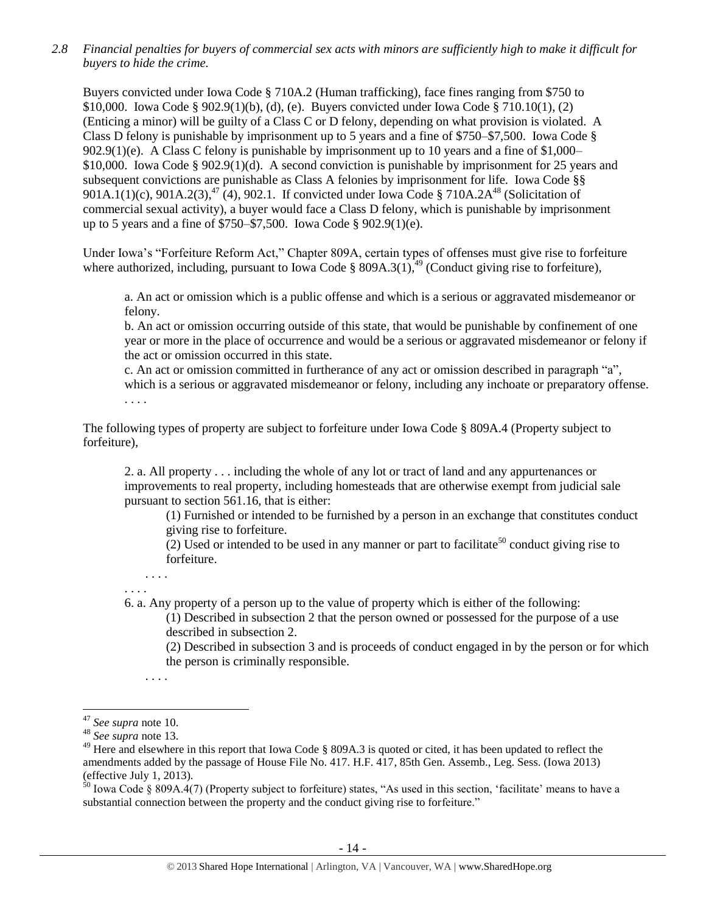*2.8 Financial penalties for buyers of commercial sex acts with minors are sufficiently high to make it difficult for buyers to hide the crime.* 

Buyers convicted under Iowa Code § 710A.2 (Human trafficking), face fines ranging from \$750 to \$10,000. Iowa Code § 902.9(1)(b), (d), (e). Buyers convicted under Iowa Code § 710.10(1), (2) (Enticing a minor) will be guilty of a Class C or D felony, depending on what provision is violated. A Class D felony is punishable by imprisonment up to 5 years and a fine of \$750–\$7,500. Iowa Code § 902.9(1)(e). A Class C felony is punishable by imprisonment up to 10 years and a fine of \$1,000– \$10,000. Iowa Code § 902.9(1)(d). A second conviction is punishable by imprisonment for 25 years and subsequent convictions are punishable as Class A felonies by imprisonment for life. Iowa Code §§ 901A.1(1)(c), 901A.2(3),<sup>47</sup> (4), 902.1. If convicted under Iowa Code § 710A.2A<sup>48</sup> (Solicitation of commercial sexual activity), a buyer would face a Class D felony, which is punishable by imprisonment up to 5 years and a fine of \$750–\$7,500. Iowa Code § 902.9(1)(e).

Under Iowa's "Forfeiture Reform Act," Chapter 809A, certain types of offenses must give rise to forfeiture where authorized, including, pursuant to Iowa Code § 809A.3(1),<sup>49</sup> (Conduct giving rise to forfeiture),

<span id="page-13-0"></span>a. An act or omission which is a public offense and which is a serious or aggravated misdemeanor or felony.

b. An act or omission occurring outside of this state, that would be punishable by confinement of one year or more in the place of occurrence and would be a serious or aggravated misdemeanor or felony if the act or omission occurred in this state.

c. An act or omission committed in furtherance of any act or omission described in paragraph "a", which is a serious or aggravated misdemeanor or felony, including any inchoate or preparatory offense. . . . .

The following types of property are subject to forfeiture under Iowa Code § 809A.4 (Property subject to forfeiture),

2. a. All property . . . including the whole of any lot or tract of land and any appurtenances or improvements to real property, including homesteads that are otherwise exempt from judicial sale pursuant to section 561.16, that is either:

(1) Furnished or intended to be furnished by a person in an exchange that constitutes conduct giving rise to forfeiture.

(2) Used or intended to be used in any manner or part to facilitate<sup>50</sup> conduct giving rise to forfeiture.

. . . . . . . .

6. a. Any property of a person up to the value of property which is either of the following:

(1) Described in subsection 2 that the person owned or possessed for the purpose of a use described in subsection 2.

(2) Described in subsection 3 and is proceeds of conduct engaged in by the person or for which the person is criminally responsible.

. . . .

 $\overline{a}$ 

 $^{50}$  Iowa Code § 809A.4(7) (Property subject to forfeiture) states, "As used in this section, 'facilitate' means to have a substantial connection between the property and the conduct giving rise to forfeiture."

<sup>47</sup> *See supra* note [10.](#page-2-1) 

<sup>48</sup> *See supra* note [13.](#page-3-0)

<sup>&</sup>lt;sup>49</sup> Here and elsewhere in this report that Iowa Code § 809A.3 is quoted or cited, it has been updated to reflect the amendments added by the passage of House File No. 417. H.F. 417, 85th Gen. Assemb., Leg. Sess. (Iowa 2013) (effective July 1, 2013).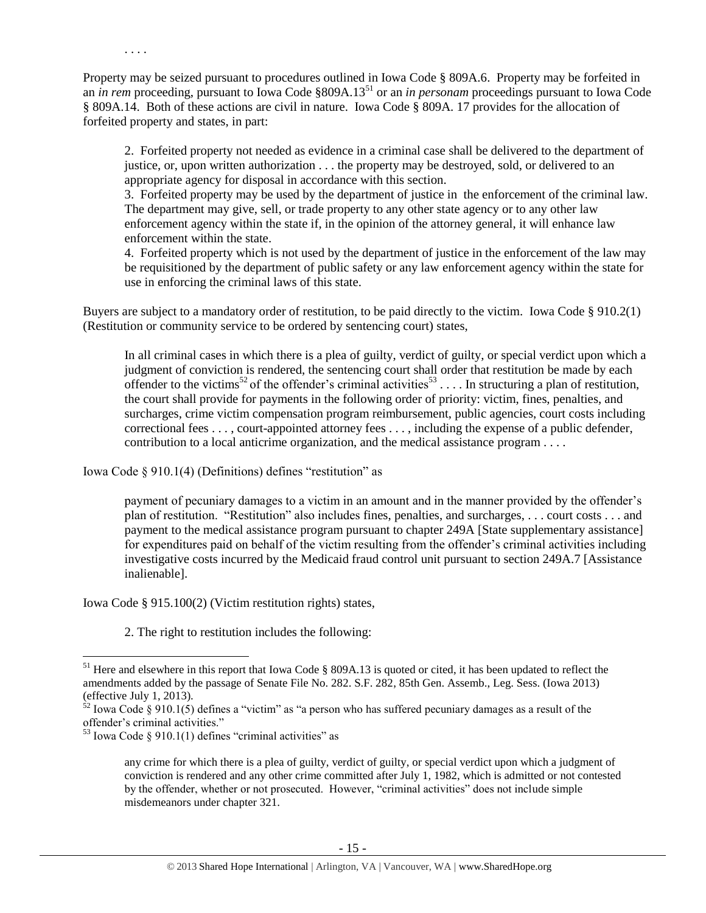Property may be seized pursuant to procedures outlined in Iowa Code § 809A.6. Property may be forfeited in an *in rem* proceeding, pursuant to Iowa Code §809A.13<sup>51</sup> or an *in personam* proceedings pursuant to Iowa Code § 809A.14. Both of these actions are civil in nature. Iowa Code § 809A. 17 provides for the allocation of forfeited property and states, in part:

2. Forfeited property not needed as evidence in a criminal case shall be delivered to the department of justice, or, upon written authorization . . . the property may be destroyed, sold, or delivered to an appropriate agency for disposal in accordance with this section.

3. Forfeited property may be used by the department of justice in the enforcement of the criminal law. The department may give, sell, or trade property to any other state agency or to any other law enforcement agency within the state if, in the opinion of the attorney general, it will enhance law enforcement within the state.

4. Forfeited property which is not used by the department of justice in the enforcement of the law may be requisitioned by the department of public safety or any law enforcement agency within the state for use in enforcing the criminal laws of this state.

Buyers are subject to a mandatory order of restitution, to be paid directly to the victim. Iowa Code § 910.2(1) (Restitution or community service to be ordered by sentencing court) states,

<span id="page-14-1"></span><span id="page-14-0"></span>In all criminal cases in which there is a plea of guilty, verdict of guilty, or special verdict upon which a judgment of conviction is rendered, the sentencing court shall order that restitution be made by each offender to the victims<sup>52</sup> of the offender's criminal activities<sup>53</sup>.... In structuring a plan of restitution, the court shall provide for payments in the following order of priority: victim, fines, penalties, and surcharges, crime victim compensation program reimbursement, public agencies, court costs including correctional fees . . . , court-appointed attorney fees . . . , including the expense of a public defender, contribution to a local anticrime organization, and the medical assistance program . . . .

Iowa Code § 910.1(4) (Definitions) defines "restitution" as

. . . .

payment of pecuniary damages to a victim in an amount and in the manner provided by the offender's plan of restitution. "Restitution" also includes fines, penalties, and surcharges, . . . court costs . . . and payment to the medical assistance program pursuant to chapter 249A [State supplementary assistance] for expenditures paid on behalf of the victim resulting from the offender's criminal activities including investigative costs incurred by the Medicaid fraud control unit pursuant to section 249A.7 [Assistance inalienable].

Iowa Code § 915.100(2) (Victim restitution rights) states,

2. The right to restitution includes the following:

<sup>&</sup>lt;sup>51</sup> Here and elsewhere in this report that Iowa Code § 809A.13 is quoted or cited, it has been updated to reflect the amendments added by the passage of Senate File No. 282. S.F. 282, 85th Gen. Assemb., Leg. Sess. (Iowa 2013) (effective July 1, 2013).

 $52$  Iowa Code § 910.1(5) defines a "victim" as "a person who has suffered pecuniary damages as a result of the offender's criminal activities."

 $53$  Iowa Code § 910.1(1) defines "criminal activities" as

any crime for which there is a plea of guilty, verdict of guilty, or special verdict upon which a judgment of conviction is rendered and any other crime committed after July 1, 1982, which is admitted or not contested by the offender, whether or not prosecuted. However, "criminal activities" does not include simple misdemeanors under chapter 321.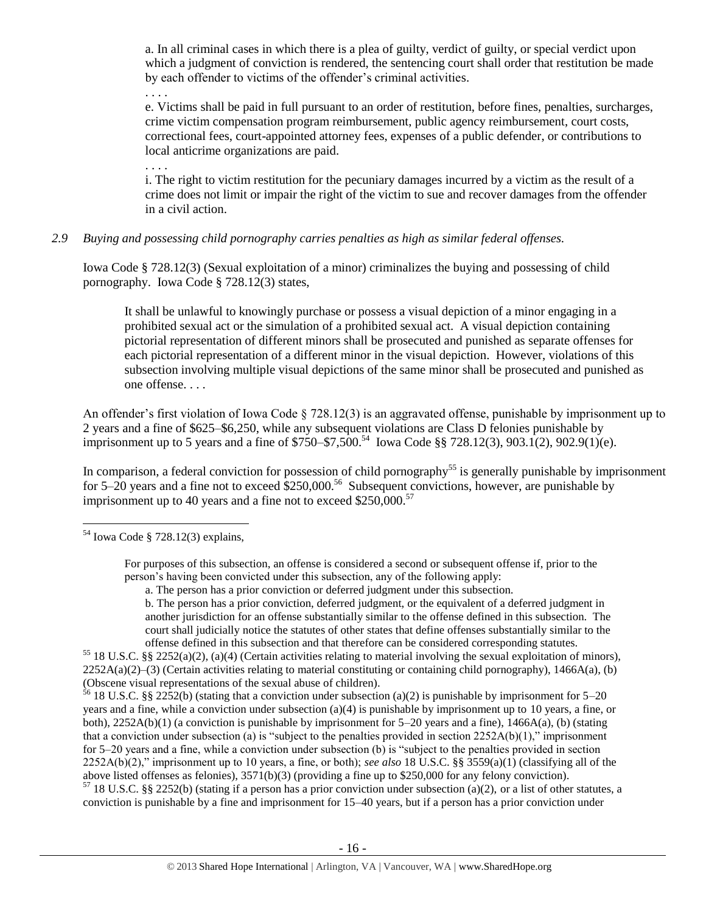a. In all criminal cases in which there is a plea of guilty, verdict of guilty, or special verdict upon which a judgment of conviction is rendered, the sentencing court shall order that restitution be made by each offender to victims of the offender's criminal activities.

e. Victims shall be paid in full pursuant to an order of restitution, before fines, penalties, surcharges, crime victim compensation program reimbursement, public agency reimbursement, court costs, correctional fees, court-appointed attorney fees, expenses of a public defender, or contributions to local anticrime organizations are paid.

. . . . i. The right to victim restitution for the pecuniary damages incurred by a victim as the result of a crime does not limit or impair the right of the victim to sue and recover damages from the offender in a civil action.

# *2.9 Buying and possessing child pornography carries penalties as high as similar federal offenses.*

Iowa Code § 728.12(3) (Sexual exploitation of a minor) criminalizes the buying and possessing of child pornography. Iowa Code § 728.12(3) states,

It shall be unlawful to knowingly purchase or possess a visual depiction of a minor engaging in a prohibited sexual act or the simulation of a prohibited sexual act. A visual depiction containing pictorial representation of different minors shall be prosecuted and punished as separate offenses for each pictorial representation of a different minor in the visual depiction. However, violations of this subsection involving multiple visual depictions of the same minor shall be prosecuted and punished as one offense. . . .

An offender's first violation of Iowa Code § 728.12(3) is an aggravated offense, punishable by imprisonment up to 2 years and a fine of \$625–\$6,250, while any subsequent violations are Class D felonies punishable by imprisonment up to 5 years and a fine of \$750–\$7,500.<sup>54</sup> Iowa Code §§ 728.12(3), 903.1(2), 902.9(1)(e).

In comparison, a federal conviction for possession of child pornography<sup>55</sup> is generally punishable by imprisonment for 5–20 years and a fine not to exceed  $$250,000$ .<sup>56</sup> Subsequent convictions, however, are punishable by imprisonment up to 40 years and a fine not to exceed  $$250,000.<sup>57</sup>$ 

 $\overline{a}$ 

. . . .

a. The person has a prior conviction or deferred judgment under this subsection.

b. The person has a prior conviction, deferred judgment, or the equivalent of a deferred judgment in another jurisdiction for an offense substantially similar to the offense defined in this subsection. The court shall judicially notice the statutes of other states that define offenses substantially similar to the offense defined in this subsection and that therefore can be considered corresponding statutes.

<sup>55</sup> 18 U.S.C. §§ 2252(a)(2), (a)(4) (Certain activities relating to material involving the sexual exploitation of minors),  $2252A(a)(2)$ –(3) (Certain activities relating to material constituting or containing child pornography), 1466A(a), (b) (Obscene visual representations of the sexual abuse of children).

<sup>56</sup> 18 U.S.C. §§ 2252(b) (stating that a conviction under subsection (a)(2) is punishable by imprisonment for 5–20 years and a fine, while a conviction under subsection (a)(4) is punishable by imprisonment up to 10 years, a fine, or both),  $2252A(b)(1)$  (a conviction is punishable by imprisonment for  $5-20$  years and a fine),  $1466A(a)$ , (b) (stating that a conviction under subsection (a) is "subject to the penalties provided in section  $2252A(b)(1)$ ," imprisonment for 5–20 years and a fine, while a conviction under subsection (b) is "subject to the penalties provided in section 2252A(b)(2)," imprisonment up to 10 years, a fine, or both); *see also* 18 U.S.C. §§ 3559(a)(1) (classifying all of the above listed offenses as felonies), 3571(b)(3) (providing a fine up to \$250,000 for any felony conviction).  $57$  18 U.S.C. §§ 2252(b) (stating if a person has a prior conviction under subsection (a)(2), or a list of other statutes, a conviction is punishable by a fine and imprisonment for 15–40 years, but if a person has a prior conviction under

 $54$  Iowa Code § 728.12(3) explains,

For purposes of this subsection, an offense is considered a second or subsequent offense if, prior to the person's having been convicted under this subsection, any of the following apply: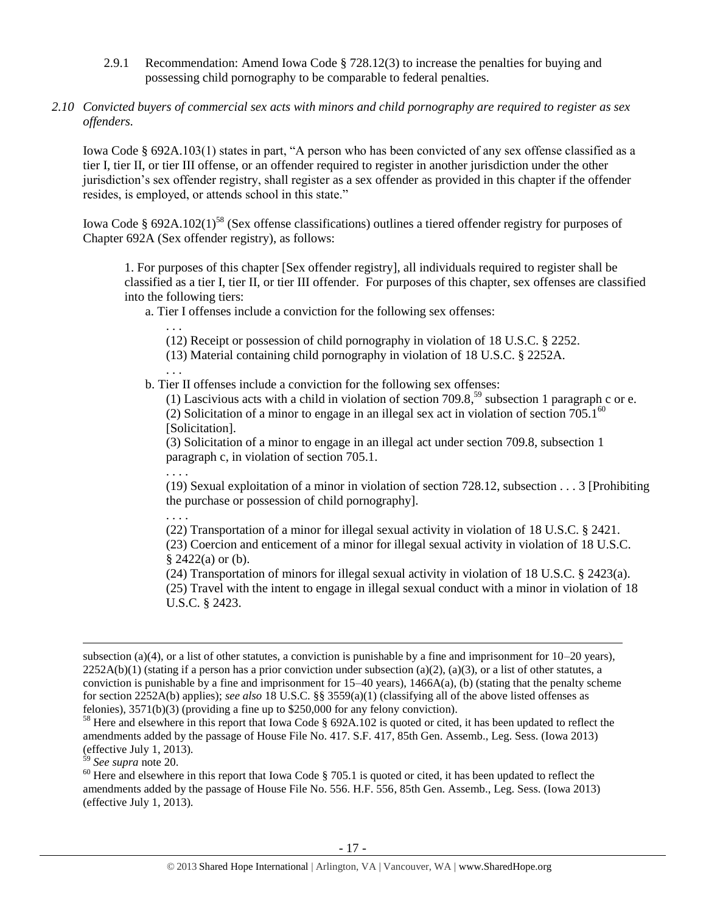- 2.9.1 Recommendation: Amend Iowa Code § 728.12(3) to increase the penalties for buying and possessing child pornography to be comparable to federal penalties.
- *2.10 Convicted buyers of commercial sex acts with minors and child pornography are required to register as sex offenders.*

Iowa Code § 692A.103(1) states in part, "A person who has been convicted of any sex offense classified as a tier I, tier II, or tier III offense, or an offender required to register in another jurisdiction under the other jurisdiction's sex offender registry, shall register as a sex offender as provided in this chapter if the offender resides, is employed, or attends school in this state."

Iowa Code § 692A.102(1)<sup>58</sup> (Sex offense classifications) outlines a tiered offender registry for purposes of Chapter 692A (Sex offender registry), as follows:

<span id="page-16-0"></span>1. For purposes of this chapter [Sex offender registry], all individuals required to register shall be classified as a tier I, tier II, or tier III offender. For purposes of this chapter, sex offenses are classified into the following tiers:

a. Tier I offenses include a conviction for the following sex offenses:

. . .

<span id="page-16-1"></span>. . .

- (12) Receipt or possession of child pornography in violation of [18 U.S.C. § 2252.](https://www.lexis.com/research/buttonTFLink?_m=4fc730b00228455ff3529e63593f5654&_xfercite=%3ccite%20cc%3d%22USA%22%3e%3c%21%5bCDATA%5bIowa%20Code%20%a7%20692A.102%5d%5d%3e%3c%2fcite%3e&_butType=4&_butStat=0&_butNum=3&_butInline=1&_butinfo=18%20USC%202252&_fmtstr=FULL&docnum=1&_startdoc=1&wchp=dGLbVzV-zSkAW&_md5=28a0aa8b1856cb4eb43956793e575523)
- (13) Material containing child pornography in violation of [18 U.S.C. § 2252A.](https://www.lexis.com/research/buttonTFLink?_m=4fc730b00228455ff3529e63593f5654&_xfercite=%3ccite%20cc%3d%22USA%22%3e%3c%21%5bCDATA%5bIowa%20Code%20%a7%20692A.102%5d%5d%3e%3c%2fcite%3e&_butType=4&_butStat=0&_butNum=4&_butInline=1&_butinfo=18%20USC%202252A&_fmtstr=FULL&docnum=1&_startdoc=1&wchp=dGLbVzV-zSkAW&_md5=5636aa1de2b137b29375d5b4a005df40)
- b. Tier II offenses include a conviction for the following sex offenses:

(1) Lascivious acts with a child in violation of section 709.8,<sup>59</sup> subsection 1 paragraph c or e. (2) Solicitation of a minor to engage in an illegal sex act in violation of section  $705.1<sup>60</sup>$ [Solicitation].

(3) Solicitation of a minor to engage in an illegal act under section 709.8, subsection 1 paragraph c, in violation of section 705.1.

(19) Sexual exploitation of a minor in violation of section 728.12, subsection . . . 3 [Prohibiting the purchase or possession of child pornography].

. . . .

. . . .

(22) Transportation of a minor for illegal sexual activity in violation of [18 U.S.C. § 2421.](https://www.lexis.com/research/buttonTFLink?_m=4fc730b00228455ff3529e63593f5654&_xfercite=%3ccite%20cc%3d%22USA%22%3e%3c%21%5bCDATA%5bIowa%20Code%20%a7%20692A.102%5d%5d%3e%3c%2fcite%3e&_butType=4&_butStat=0&_butNum=11&_butInline=1&_butinfo=18%20USC%202421&_fmtstr=FULL&docnum=1&_startdoc=1&wchp=dGLbVzV-zSkAW&_md5=e83e3d2bd1fc5d1af19f74d3a2c1c4a6)

(23) Coercion and enticement of a minor for illegal sexual activity in violation of [18 U.S.C.](https://www.lexis.com/research/buttonTFLink?_m=4fc730b00228455ff3529e63593f5654&_xfercite=%3ccite%20cc%3d%22USA%22%3e%3c%21%5bCDATA%5bIowa%20Code%20%a7%20692A.102%5d%5d%3e%3c%2fcite%3e&_butType=4&_butStat=0&_butNum=12&_butInline=1&_butinfo=18%20USC%202422&_fmtstr=FULL&docnum=1&_startdoc=1&wchp=dGLbVzV-zSkAW&_md5=1297e2a5950c748e9f4344c55905c8e9)   $§$  [2422\(](https://www.lexis.com/research/buttonTFLink?_m=4fc730b00228455ff3529e63593f5654&_xfercite=%3ccite%20cc%3d%22USA%22%3e%3c%21%5bCDATA%5bIowa%20Code%20%a7%20692A.102%5d%5d%3e%3c%2fcite%3e&_butType=4&_butStat=0&_butNum=12&_butInline=1&_butinfo=18%20USC%202422&_fmtstr=FULL&docnum=1&_startdoc=1&wchp=dGLbVzV-zSkAW&_md5=1297e2a5950c748e9f4344c55905c8e9)a) or (b).

(24) Transportation of minors for illegal sexual activity in violation of [18 U.S.C. § 2423\(](https://www.lexis.com/research/buttonTFLink?_m=4fc730b00228455ff3529e63593f5654&_xfercite=%3ccite%20cc%3d%22USA%22%3e%3c%21%5bCDATA%5bIowa%20Code%20%a7%20692A.102%5d%5d%3e%3c%2fcite%3e&_butType=4&_butStat=0&_butNum=13&_butInline=1&_butinfo=18%20USC%202423&_fmtstr=FULL&docnum=1&_startdoc=1&wchp=dGLbVzV-zSkAW&_md5=74ad89f5fb9667e6756dc7bddc5d2d08)a). (25) Travel with the intent to engage in illegal sexual conduct with a minor in violation of [18](https://www.lexis.com/research/buttonTFLink?_m=4fc730b00228455ff3529e63593f5654&_xfercite=%3ccite%20cc%3d%22USA%22%3e%3c%21%5bCDATA%5bIowa%20Code%20%a7%20692A.102%5d%5d%3e%3c%2fcite%3e&_butType=4&_butStat=0&_butNum=14&_butInline=1&_butinfo=18%20USC%202423&_fmtstr=FULL&docnum=1&_startdoc=1&wchp=dGLbVzV-zSkAW&_md5=7f00c21c6c6a0ea8fa385c078bba1478)  [U.S.C. § 2423.](https://www.lexis.com/research/buttonTFLink?_m=4fc730b00228455ff3529e63593f5654&_xfercite=%3ccite%20cc%3d%22USA%22%3e%3c%21%5bCDATA%5bIowa%20Code%20%a7%20692A.102%5d%5d%3e%3c%2fcite%3e&_butType=4&_butStat=0&_butNum=14&_butInline=1&_butinfo=18%20USC%202423&_fmtstr=FULL&docnum=1&_startdoc=1&wchp=dGLbVzV-zSkAW&_md5=7f00c21c6c6a0ea8fa385c078bba1478)

<sup>59</sup> *See supra* note [20.](#page-5-0) 

subsection (a)(4), or a list of other statutes, a conviction is punishable by a fine and imprisonment for  $10-20$  years),  $2252A(b)(1)$  (stating if a person has a prior conviction under subsection (a)(2), (a)(3), or a list of other statutes, a conviction is punishable by a fine and imprisonment for  $15-40$  years),  $1466A(a)$ , (b) (stating that the penalty scheme for section 2252A(b) applies); *see also* 18 U.S.C. §§ 3559(a)(1) (classifying all of the above listed offenses as felonies), 3571(b)(3) (providing a fine up to \$250,000 for any felony conviction).

<sup>&</sup>lt;sup>58</sup> Here and elsewhere in this report that Iowa Code § 692A.102 is quoted or cited, it has been updated to reflect the amendments added by the passage of House File No. 417. S.F. 417, 85th Gen. Assemb., Leg. Sess. (Iowa 2013) (effective July 1, 2013).

 $60$  Here and elsewhere in this report that Iowa Code § 705.1 is quoted or cited, it has been updated to reflect the amendments added by the passage of House File No. 556. H.F. 556, 85th Gen. Assemb., Leg. Sess. (Iowa 2013) (effective July 1, 2013).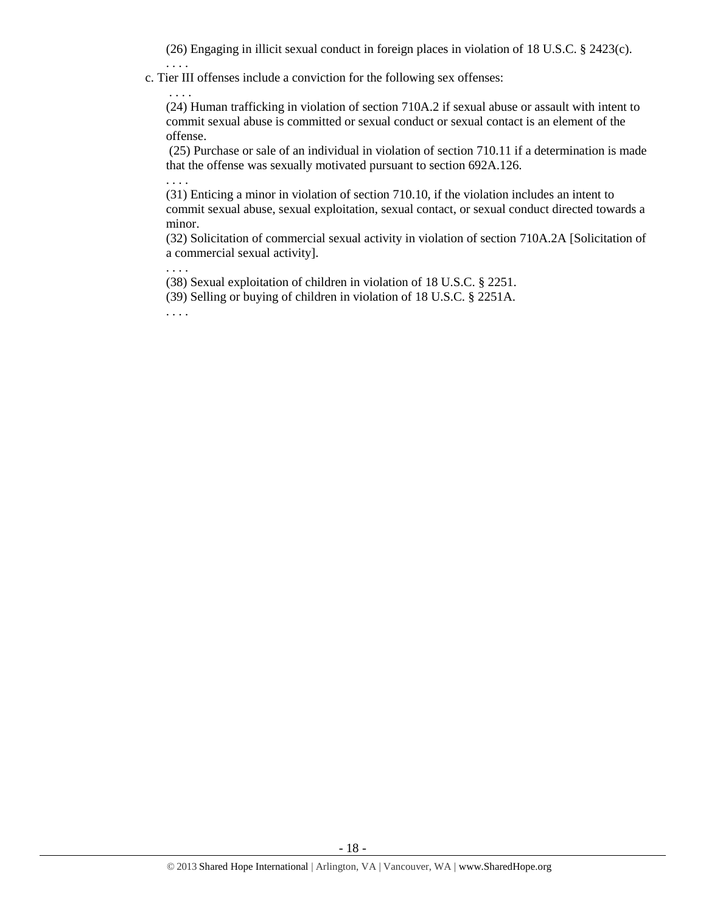(26) Engaging in illicit sexual conduct in foreign places in violation of [18 U.S.C. § 2423\(](https://www.lexis.com/research/buttonTFLink?_m=4fc730b00228455ff3529e63593f5654&_xfercite=%3ccite%20cc%3d%22USA%22%3e%3c%21%5bCDATA%5bIowa%20Code%20%a7%20692A.102%5d%5d%3e%3c%2fcite%3e&_butType=4&_butStat=0&_butNum=15&_butInline=1&_butinfo=18%20USC%202423&_fmtstr=FULL&docnum=1&_startdoc=1&wchp=dGLbVzV-zSkAW&_md5=b37f8956456423d2bea9ea5b70d8bfae)c).

c. Tier III offenses include a conviction for the following sex offenses:

. . . . (24) Human trafficking in violation of section 710A.2 if sexual abuse or assault with intent to commit sexual abuse is committed or sexual conduct or sexual contact is an element of the offense.

(25) Purchase or sale of an individual in violation of section 710.11 if a determination is made that the offense was sexually motivated pursuant to section 692A.126.

. . . . (31) Enticing a minor in violation of section 710.10, if the violation includes an intent to commit sexual abuse, sexual exploitation, sexual contact, or sexual conduct directed towards a minor.

(32) Solicitation of commercial sexual activity in violation of section 710A.2A [Solicitation of a commercial sexual activity].

. . . .

. . . .

(38) Sexual exploitation of children in violation of [18 U.S.C. § 2251.](https://www.lexis.com/research/buttonTFLink?_m=4fc730b00228455ff3529e63593f5654&_xfercite=%3ccite%20cc%3d%22USA%22%3e%3c%21%5bCDATA%5bIowa%20Code%20%a7%20692A.102%5d%5d%3e%3c%2fcite%3e&_butType=4&_butStat=0&_butNum=23&_butInline=1&_butinfo=18%20USC%202251&_fmtstr=FULL&docnum=1&_startdoc=1&wchp=dGLbVzV-zSkAW&_md5=9aec939dada19e89d789d2adabfddf89)

(39) Selling or buying of children in violation of [18 U.S.C. § 2251A.](https://www.lexis.com/research/buttonTFLink?_m=4fc730b00228455ff3529e63593f5654&_xfercite=%3ccite%20cc%3d%22USA%22%3e%3c%21%5bCDATA%5bIowa%20Code%20%a7%20692A.102%5d%5d%3e%3c%2fcite%3e&_butType=4&_butStat=0&_butNum=24&_butInline=1&_butinfo=18%20USC%202251A&_fmtstr=FULL&docnum=1&_startdoc=1&wchp=dGLbVzV-zSkAW&_md5=9293aacd54f5da281c2803161a7ba782)

. . . .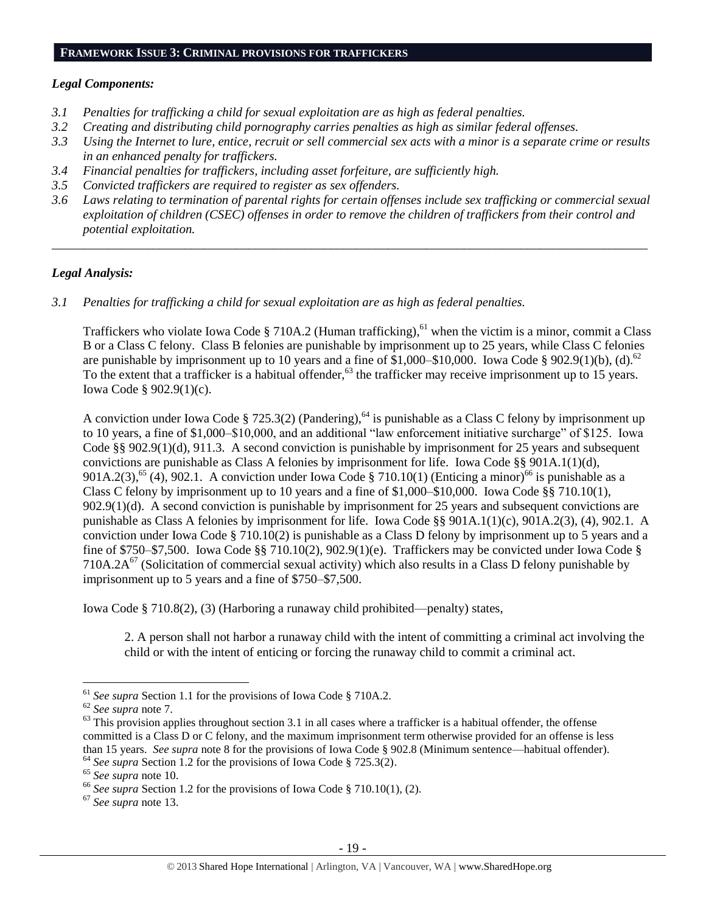#### **FRAMEWORK ISSUE 3: CRIMINAL PROVISIONS FOR TRAFFICKERS**

#### *Legal Components:*

- *3.1 Penalties for trafficking a child for sexual exploitation are as high as federal penalties.*
- *3.2 Creating and distributing child pornography carries penalties as high as similar federal offenses.*
- *3.3 Using the Internet to lure, entice, recruit or sell commercial sex acts with a minor is a separate crime or results in an enhanced penalty for traffickers.*
- *3.4 Financial penalties for traffickers, including asset forfeiture, are sufficiently high.*
- *3.5 Convicted traffickers are required to register as sex offenders.*
- *3.6 Laws relating to termination of parental rights for certain offenses include sex trafficking or commercial sexual exploitation of children (CSEC) offenses in order to remove the children of traffickers from their control and potential exploitation.*

*\_\_\_\_\_\_\_\_\_\_\_\_\_\_\_\_\_\_\_\_\_\_\_\_\_\_\_\_\_\_\_\_\_\_\_\_\_\_\_\_\_\_\_\_\_\_\_\_\_\_\_\_\_\_\_\_\_\_\_\_\_\_\_\_\_\_\_\_\_\_\_\_\_\_\_\_\_\_\_\_\_\_\_\_\_\_\_\_\_\_\_\_\_\_*

#### *Legal Analysis:*

*3.1 Penalties for trafficking a child for sexual exploitation are as high as federal penalties.* 

Traffickers who violate Iowa Code § 710A.2 (Human trafficking),<sup>61</sup> when the victim is a minor, commit a Class B or a Class C felony. Class B felonies are punishable by imprisonment up to 25 years, while Class C felonies are punishable by imprisonment up to 10 years and a fine of  $$1,000-$10,000$ . Iowa Code  $$902.9(1)(b)$ , (d).<sup>62</sup> To the extent that a trafficker is a habitual offender,<sup>63</sup> the trafficker may receive imprisonment up to 15 years. Iowa Code § 902.9(1)(c).

A conviction under Iowa Code § 725.3(2) (Pandering),<sup>64</sup> is punishable as a Class C felony by imprisonment up to 10 years, a fine of \$1,000–\$10,000, and an additional "law enforcement initiative surcharge" of \$125. Iowa Code §§ 902.9(1)(d), 911.3. A second conviction is punishable by imprisonment for 25 years and subsequent convictions are punishable as Class A felonies by imprisonment for life. Iowa Code §§ 901A.1(1)(d), 901A.2(3),<sup>65</sup> (4), 902.1. A conviction under Iowa Code § 710.10(1) (Enticing a minor)<sup>66</sup> is punishable as a Class C felony by imprisonment up to 10 years and a fine of \$1,000–\$10,000. Iowa Code §§ 710.10(1), 902.9(1)(d). A second conviction is punishable by imprisonment for 25 years and subsequent convictions are punishable as Class A felonies by imprisonment for life. Iowa Code §§ 901A.1(1)(c), 901A.2(3), (4), 902.1. A conviction under Iowa Code § 710.10(2) is punishable as a Class D felony by imprisonment up to 5 years and a fine of \$750–\$7,500. Iowa Code §§ 710.10(2), 902.9(1)(e). Traffickers may be convicted under Iowa Code § 710A.2A $^{67}$  (Solicitation of commercial sexual activity) which also results in a Class D felony punishable by imprisonment up to 5 years and a fine of \$750–\$7,500.

Iowa Code § 710.8(2), (3) (Harboring a runaway child prohibited—penalty) states,

2. A person shall not harbor a runaway child with the intent of committing a criminal act involving the child or with the intent of enticing or forcing the runaway child to commit a criminal act.

<sup>61</sup> *See supra* Section 1.1 for the provisions of Iowa Code § 710A.2.

<sup>62</sup> *See supra* note [7.](#page-2-0)

 $63$  This provision applies throughout section 3.1 in all cases where a trafficker is a habitual offender, the offense committed is a Class D or C felony, and the maximum imprisonment term otherwise provided for an offense is less than 15 years. *See supra* note [8](#page-2-2) for the provisions of Iowa Code § 902.8 (Minimum sentence—habitual offender). <sup>64</sup> See supra Section 1.2 for the provisions of Iowa Code § 725.3(2).

<sup>65</sup> *See supra* note [10.](#page-2-1)

<sup>&</sup>lt;sup>66</sup> See supra Section 1.2 for the provisions of Iowa Code § 710.10(1), (2).

<sup>67</sup> *See supra* note [13.](#page-3-0)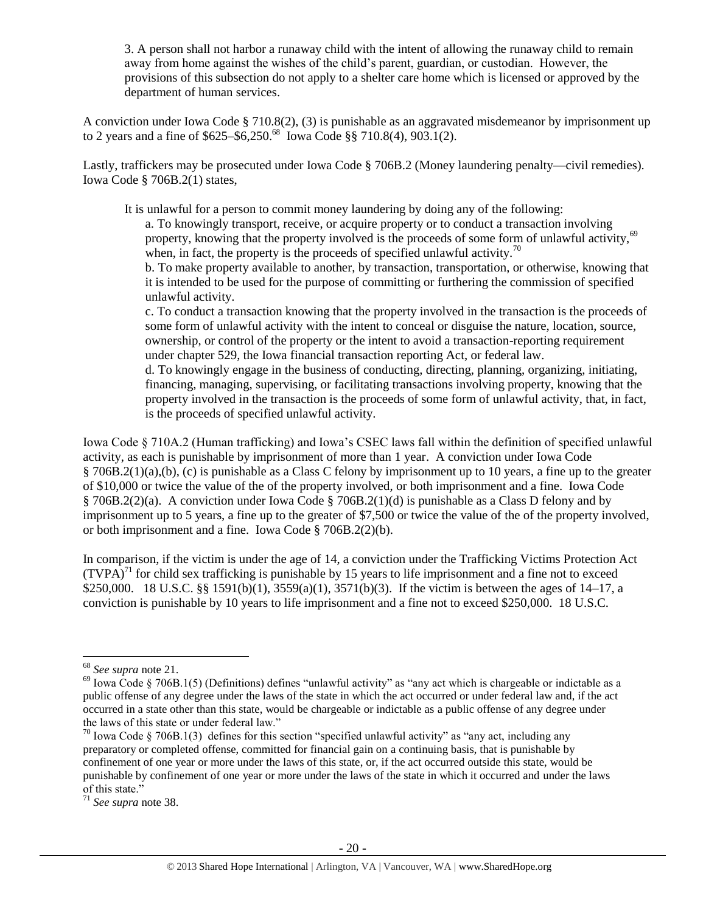3. A person shall not harbor a runaway child with the intent of allowing the runaway child to remain away from home against the wishes of the child's parent, guardian, or custodian. However, the provisions of this subsection do not apply to a shelter care home which is licensed or approved by the department of human services.

A conviction under Iowa Code § 710.8(2), (3) is punishable as an aggravated misdemeanor by imprisonment up to 2 years and a fine of  $$625-\$6,250.^{68}$  Iowa Code §§ 710.8(4), 903.1(2).

Lastly, traffickers may be prosecuted under Iowa Code § 706B.2 (Money laundering penalty—civil remedies). Iowa Code § 706B.2(1) states,

It is unlawful for a person to commit money laundering by doing any of the following: a. To knowingly transport, receive, or acquire property or to conduct a transaction involving property, knowing that the property involved is the proceeds of some form of unlawful activity,<sup>69</sup> when, in fact, the property is the proceeds of specified unlawful activity.<sup>70</sup> b. To make property available to another, by transaction, transportation, or otherwise, knowing that

it is intended to be used for the purpose of committing or furthering the commission of specified unlawful activity.

c. To conduct a transaction knowing that the property involved in the transaction is the proceeds of some form of unlawful activity with the intent to conceal or disguise the nature, location, source, ownership, or control of the property or the intent to avoid a transaction-reporting requirement under chapter 529, the Iowa financial transaction reporting Act, or federal law.

d. To knowingly engage in the business of conducting, directing, planning, organizing, initiating, financing, managing, supervising, or facilitating transactions involving property, knowing that the property involved in the transaction is the proceeds of some form of unlawful activity, that, in fact, is the proceeds of specified unlawful activity.

Iowa Code § 710A.2 (Human trafficking) and Iowa's CSEC laws fall within the definition of specified unlawful activity, as each is punishable by imprisonment of more than 1 year. A conviction under Iowa Code § 706B.2(1)(a),(b), (c) is punishable as a Class C felony by imprisonment up to 10 years, a fine up to the greater of \$10,000 or twice the value of the of the property involved, or both imprisonment and a fine. Iowa Code § 706B.2(2)(a). A conviction under Iowa Code § 706B.2(1)(d) is punishable as a Class D felony and by imprisonment up to 5 years, a fine up to the greater of \$7,500 or twice the value of the of the property involved, or both imprisonment and a fine. Iowa Code § 706B.2(2)(b).

In comparison, if the victim is under the age of 14, a conviction under the Trafficking Victims Protection Act  $(TVPA)<sup>71</sup>$  for child sex trafficking is punishable by 15 years to life imprisonment and a fine not to exceed \$250,000. 18 U.S.C. §§ 1591(b)(1), 3559(a)(1), 3571(b)(3). If the victim is between the ages of 14–17, a conviction is punishable by 10 years to life imprisonment and a fine not to exceed \$250,000. 18 U.S.C.

<sup>68</sup> *See supra* note [21.](#page-5-2)

 $^{69}$  Iowa Code § 706B.1(5) (Definitions) defines "unlawful activity" as "any act which is chargeable or indictable as a public offense of any degree under the laws of the state in which the act occurred or under federal law and, if the act occurred in a state other than this state, would be chargeable or indictable as a public offense of any degree under the laws of this state or under federal law."

 $70$  Iowa Code § 706B.1(3) defines for this section "specified unlawful activity" as "any act, including any preparatory or completed offense, committed for financial gain on a continuing basis, that is punishable by confinement of one year or more under the laws of this state, or, if the act occurred outside this state, would be punishable by confinement of one year or more under the laws of the state in which it occurred and under the laws of this state."

<sup>71</sup> *See supra* note [38.](#page-11-0)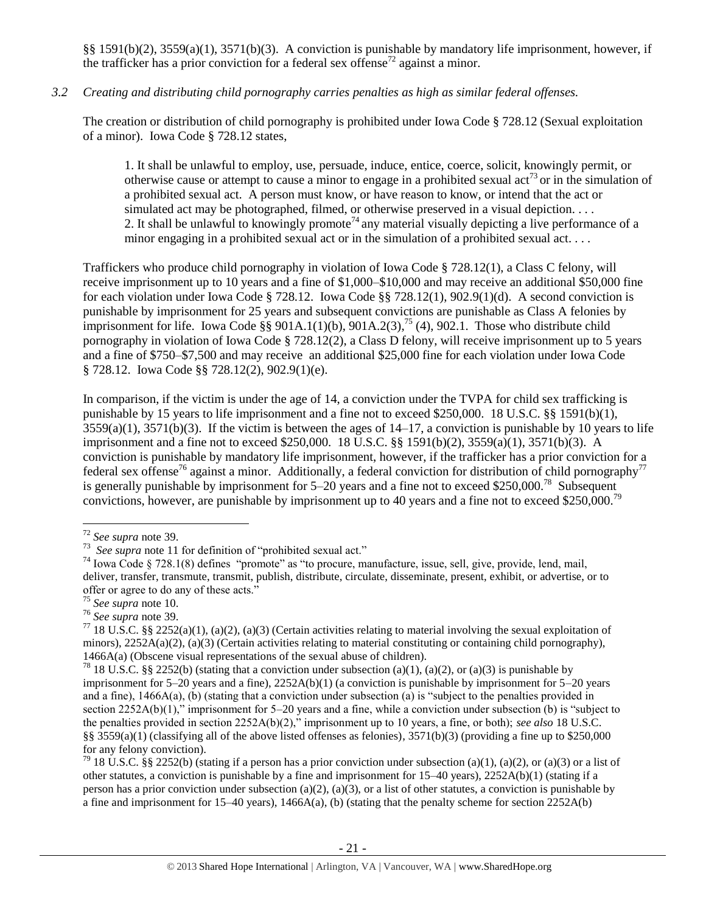§§ 1591(b)(2), 3559(a)(1), 3571(b)(3). A conviction is punishable by mandatory life imprisonment, however, if the trafficker has a prior conviction for a federal sex offense<sup>72</sup> against a minor.

## *3.2 Creating and distributing child pornography carries penalties as high as similar federal offenses.*

The creation or distribution of child pornography is prohibited under Iowa Code § 728.12 (Sexual exploitation of a minor). Iowa Code § 728.12 states,

1. It shall be unlawful to employ, use, persuade, induce, entice, coerce, solicit, knowingly permit, or otherwise cause or attempt to cause a minor to engage in a prohibited sexual  $\arctan 3$  or in the simulation of a prohibited sexual act. A person must know, or have reason to know, or intend that the act or simulated act may be photographed, filmed, or otherwise preserved in a visual depiction.... 2. It shall be unlawful to knowingly promote<sup>74</sup> any material visually depicting a live performance of a minor engaging in a prohibited sexual act or in the simulation of a prohibited sexual act. . . .

Traffickers who produce child pornography in violation of Iowa Code § 728.12(1), a Class C felony, will receive imprisonment up to 10 years and a fine of \$1,000–\$10,000 and may receive an additional \$50,000 fine for each violation under Iowa Code § 728.12. Iowa Code §§ 728.12(1), 902.9(1)(d). A second conviction is punishable by imprisonment for 25 years and subsequent convictions are punishable as Class A felonies by imprisonment for life. Iowa Code §§ 901A.1(1)(b),  $901A.2(3)$ ,<sup>75</sup> (4), 902.1. Those who distribute child pornography in violation of Iowa Code § 728.12(2), a Class D felony, will receive imprisonment up to 5 years and a fine of \$750–\$7,500 and may receive an additional \$25,000 fine for each violation under Iowa Code § 728.12. Iowa Code §§ 728.12(2), 902.9(1)(e).

In comparison, if the victim is under the age of 14, a conviction under the TVPA for child sex trafficking is punishable by 15 years to life imprisonment and a fine not to exceed \$250,000. 18 U.S.C. §§ 1591(b)(1),  $3559(a)(1)$ ,  $3571(b)(3)$ . If the victim is between the ages of  $14-17$ , a conviction is punishable by 10 years to life imprisonment and a fine not to exceed \$250,000. 18 U.S.C. §§ 1591(b)(2), 3559(a)(1), 3571(b)(3). A conviction is punishable by mandatory life imprisonment, however, if the trafficker has a prior conviction for a federal sex offense<sup>76</sup> against a minor. Additionally, a federal conviction for distribution of child pornography<sup>77</sup> is generally punishable by imprisonment for  $5-20$  years and a fine not to exceed \$250,000.<sup>78</sup> Subsequent convictions, however, are punishable by imprisonment up to 40 years and a fine not to exceed \$250,000.<sup>79</sup>

 $\overline{a}$ 

<sup>79</sup> 18 U.S.C. §§ 2252(b) (stating if a person has a prior conviction under subsection (a)(1), (a)(2), or (a)(3) or a list of other statutes, a conviction is punishable by a fine and imprisonment for  $15-40$  years),  $2252A(b)(1)$  (stating if a person has a prior conviction under subsection (a)(2), (a)(3), or a list of other statutes, a conviction is punishable by a fine and imprisonment for 15–40 years), 1466A(a), (b) (stating that the penalty scheme for section 2252A(b)

<sup>72</sup> *See supra* note [39.](#page-11-1)

<sup>73</sup> *See supra* note [11](#page-2-3) for definition of "prohibited sexual act."

<sup>74</sup> Iowa Code § 728.1(8) defines "promote" as "to procure, manufacture, issue, sell, give, provide, lend, mail, deliver, transfer, transmute, transmit, publish, distribute, circulate, disseminate, present, exhibit, or advertise, or to offer or agree to do any of these acts."

<sup>75</sup> *See supra* note [10.](#page-2-1)

<sup>76</sup> *See supra* note [39.](#page-11-1)

<sup>&</sup>lt;sup>77</sup> 18 U.S.C. §§ 2252(a)(1), (a)(2), (a)(3) (Certain activities relating to material involving the sexual exploitation of minors),  $2252A(a)(2)$ ,  $(a)(3)$  (Certain activities relating to material constituting or containing child pornography), 1466A(a) (Obscene visual representations of the sexual abuse of children).

<sup>&</sup>lt;sup>78</sup> 18 U.S.C. §§ 2252(b) (stating that a conviction under subsection (a)(1), (a)(2), or (a)(3) is punishable by imprisonment for 5–20 years and a fine), 2252A(b)(1) (a conviction is punishable by imprisonment for 5–20 years and a fine),  $1466A(a)$ , (b) (stating that a conviction under subsection (a) is "subject to the penalties provided in section 2252A(b)(1)," imprisonment for 5–20 years and a fine, while a conviction under subsection (b) is "subject to the penalties provided in section 2252A(b)(2)," imprisonment up to 10 years, a fine, or both); *see also* 18 U.S.C. §§ 3559(a)(1) (classifying all of the above listed offenses as felonies),  $3571(b)(3)$  (providing a fine up to \$250,000 for any felony conviction).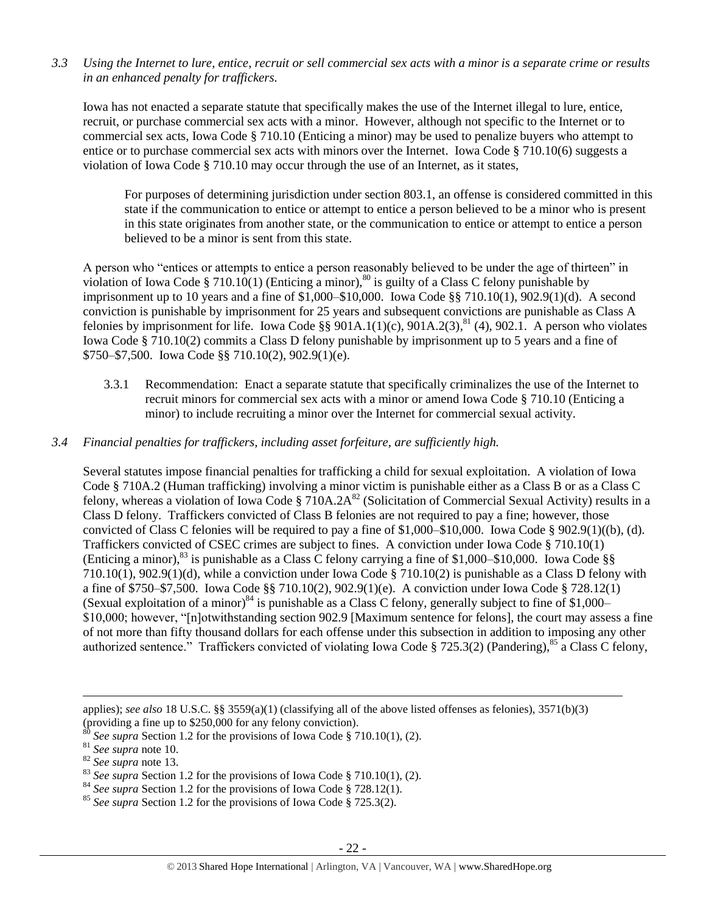*3.3 Using the Internet to lure, entice, recruit or sell commercial sex acts with a minor is a separate crime or results in an enhanced penalty for traffickers.*

Iowa has not enacted a separate statute that specifically makes the use of the Internet illegal to lure, entice, recruit, or purchase commercial sex acts with a minor. However, although not specific to the Internet or to commercial sex acts, Iowa Code § 710.10 (Enticing a minor) may be used to penalize buyers who attempt to entice or to purchase commercial sex acts with minors over the Internet. Iowa Code § 710.10(6) suggests a violation of Iowa Code § 710.10 may occur through the use of an Internet, as it states,

For purposes of determining jurisdiction under section 803.1, an offense is considered committed in this state if the communication to entice or attempt to entice a person believed to be a minor who is present in this state originates from another state, or the communication to entice or attempt to entice a person believed to be a minor is sent from this state.

A person who "entices or attempts to entice a person reasonably believed to be under the age of thirteen" in violation of Iowa Code § 710.10(1) (Enticing a minor),<sup>80</sup> is guilty of a Class C felony punishable by imprisonment up to 10 years and a fine of \$1,000–\$10,000. Iowa Code §§ 710.10(1), 902.9(1)(d). A second conviction is punishable by imprisonment for 25 years and subsequent convictions are punishable as Class A felonies by imprisonment for life. Iowa Code  $\S$ § 901A.1(1)(c), 901A.2(3),<sup>81</sup> (4), 902.1. A person who violates Iowa Code § 710.10(2) commits a Class D felony punishable by imprisonment up to 5 years and a fine of \$750–\$7,500. Iowa Code §§ 710.10(2), 902.9(1)(e).

3.3.1 Recommendation: Enact a separate statute that specifically criminalizes the use of the Internet to recruit minors for commercial sex acts with a minor or amend Iowa Code § 710.10 (Enticing a minor) to include recruiting a minor over the Internet for commercial sexual activity.

## *3.4 Financial penalties for traffickers, including asset forfeiture, are sufficiently high.*

Several statutes impose financial penalties for trafficking a child for sexual exploitation. A violation of Iowa Code § 710A.2 (Human trafficking) involving a minor victim is punishable either as a Class B or as a Class C felony, whereas a violation of Iowa Code § 710A.2A<sup>82</sup> (Solicitation of Commercial Sexual Activity) results in a Class D felony. Traffickers convicted of Class B felonies are not required to pay a fine; however, those convicted of Class C felonies will be required to pay a fine of \$1,000–\$10,000. Iowa Code § 902.9(1)((b), (d). Traffickers convicted of CSEC crimes are subject to fines. A conviction under Iowa Code § 710.10(1) (Enticing a minor),<sup>83</sup> is punishable as a Class C felony carrying a fine of \$1,000–\$10,000. Iowa Code §§ 710.10(1), 902.9(1)(d), while a conviction under Iowa Code § 710.10(2) is punishable as a Class D felony with a fine of \$750–\$7,500. Iowa Code §§ 710.10(2), 902.9(1)(e). A conviction under Iowa Code § 728.12(1) (Sexual exploitation of a minor)<sup>84</sup> is punishable as a Class C felony, generally subject to fine of \$1,000– \$10,000; however, "[n]otwithstanding section 902.9 [Maximum sentence for felons], the court may assess a fine of not more than fifty thousand dollars for each offense under this subsection in addition to imposing any other authorized sentence." Traffickers convicted of violating Iowa Code § 725.3(2) (Pandering), <sup>85</sup> a Class C felony,

applies); *see also* 18 U.S.C. §§ 3559(a)(1) (classifying all of the above listed offenses as felonies), 3571(b)(3)

<sup>(</sup>providing a fine up to \$250,000 for any felony conviction).

 $80$  *See supra* Section 1.2 for the provisions of Iowa Code § 710.10(1), (2).

<sup>81</sup> *See supra* note [10.](#page-2-1)

<sup>82</sup> *See supra* note [13.](#page-3-0)

<sup>&</sup>lt;sup>83</sup> See supra Section 1.2 for the provisions of Iowa Code § 710.10(1), (2).

<sup>84</sup> *See supra* Section 1.2 for the provisions of Iowa Code § 728.12(1).

<sup>85</sup> *See supra* Section 1.2 for the provisions of Iowa Code § 725.3(2).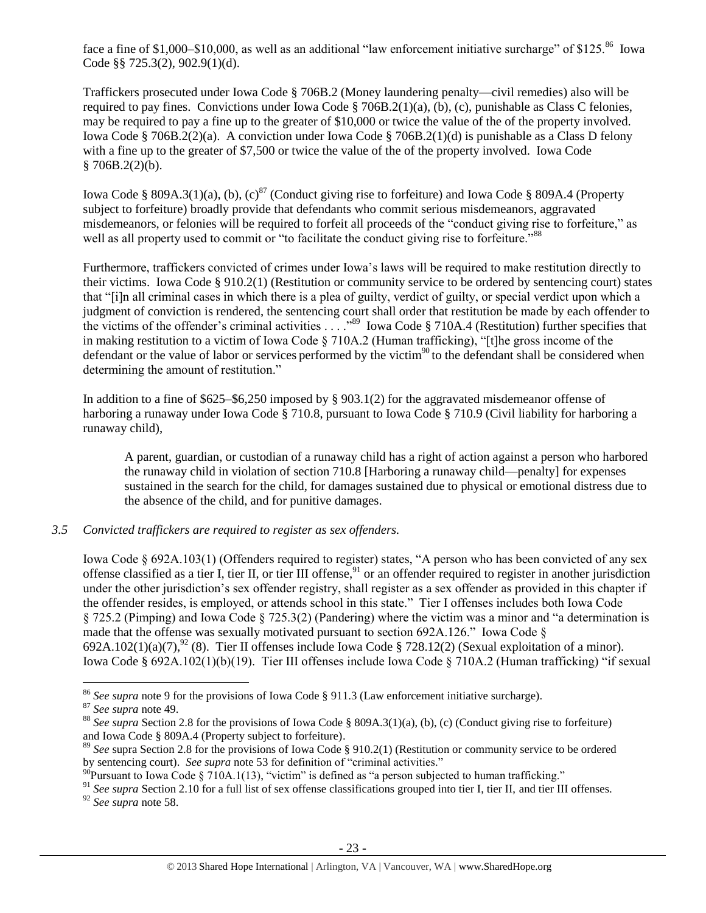face a fine of \$1,000–\$10,000, as well as an additional "law enforcement initiative surcharge" of \$125. $^{86}$  Iowa Code §§ 725.3(2), 902.9(1)(d).

Traffickers prosecuted under Iowa Code § 706B.2 (Money laundering penalty—civil remedies) also will be required to pay fines. Convictions under Iowa Code § 706B.2(1)(a), (b), (c), punishable as Class C felonies, may be required to pay a fine up to the greater of \$10,000 or twice the value of the of the property involved. Iowa Code § 706B.2(2)(a). A conviction under Iowa Code § 706B.2(1)(d) is punishable as a Class D felony with a fine up to the greater of \$7,500 or twice the value of the of the property involved. Iowa Code  $$706B.2(2)(b).$ 

Iowa Code § 809A.3(1)(a), (b), (c)<sup>87</sup> (Conduct giving rise to forfeiture) and Iowa Code § 809A.4 (Property subject to forfeiture) broadly provide that defendants who commit serious misdemeanors, aggravated misdemeanors, or felonies will be required to forfeit all proceeds of the "conduct giving rise to forfeiture," as well as all property used to commit or "to facilitate the conduct giving rise to forfeiture."<sup>88</sup>

Furthermore, traffickers convicted of crimes under Iowa's laws will be required to make restitution directly to their victims. Iowa Code § 910.2(1) (Restitution or community service to be ordered by sentencing court) states that "[i]n all criminal cases in which there is a plea of guilty, verdict of guilty, or special verdict upon which a judgment of conviction is rendered, the sentencing court shall order that restitution be made by each offender to the victims of the offender's criminal activities . . . ."<sup>89</sup> Iowa Code § 710A.4 (Restitution) further specifies that in making restitution to a victim of Iowa Code § 710A.2 (Human trafficking), "[t]he gross income of the defendant or the value of labor or services performed by the victim $90$  to the defendant shall be considered when determining the amount of restitution."

In addition to a fine of \$625–\$6,250 imposed by § 903.1(2) for the aggravated misdemeanor offense of harboring a runaway under Iowa Code § 710.8, pursuant to Iowa Code § 710.9 (Civil liability for harboring a runaway child),

<span id="page-22-0"></span>A parent, guardian, or custodian of a runaway child has a right of action against a person who harbored the runaway child in violation of section 710.8 [Harboring a runaway child—penalty] for expenses sustained in the search for the child, for damages sustained due to physical or emotional distress due to the absence of the child, and for punitive damages.

## *3.5 Convicted traffickers are required to register as sex offenders.*

Iowa Code § 692A.103(1) (Offenders required to register) states, "A person who has been convicted of any sex offense classified as a tier I, tier II, or tier III offense,  $91$  or an offender required to register in another jurisdiction under the other jurisdiction's sex offender registry, shall register as a sex offender as provided in this chapter if the offender resides, is employed, or attends school in this state." Tier I offenses includes both Iowa Code § 725.2 (Pimping) and Iowa Code § 725.3(2) (Pandering) where the victim was a minor and "a determination is made that the offense was sexually motivated pursuant to section 692A.126." Iowa Code  $\S$  $692A.102(1)(a)(7)$ ,  $^{92}(8)$ . Tier II offenses include Iowa Code § 728.12(2) (Sexual exploitation of a minor). Iowa Code § 692A.102(1)(b)(19). Tier III offenses include Iowa Code § 710A.2 (Human trafficking) "if sexual

<sup>86</sup> *See supra* note [9](#page-2-4) for the provisions of Iowa Code § 911.3 (Law enforcement initiative surcharge).

<sup>87</sup> *See supra* note [49.](#page-13-0)

<sup>&</sup>lt;sup>88</sup> See supra Section 2.8 for the provisions of Iowa Code § 809A.3(1)(a), (b), (c) (Conduct giving rise to forfeiture) and Iowa Code § 809A.4 (Property subject to forfeiture).

<sup>89</sup> *See* supra Section 2.8 for the provisions of Iowa Code § 910.2(1) (Restitution or community service to be ordered by sentencing court). *See supra* note [53](#page-14-0) for definition of "criminal activities."

 $^{90}$ Pursuant to Iowa Code § 710A.1(13), "victim" is defined as "a person subjected to human trafficking."

<sup>&</sup>lt;sup>91</sup> See supra Section 2.10 for a full list of sex offense classifications grouped into tier I, tier II, and tier III offenses. <sup>92</sup> *See supra* note [58.](#page-16-0)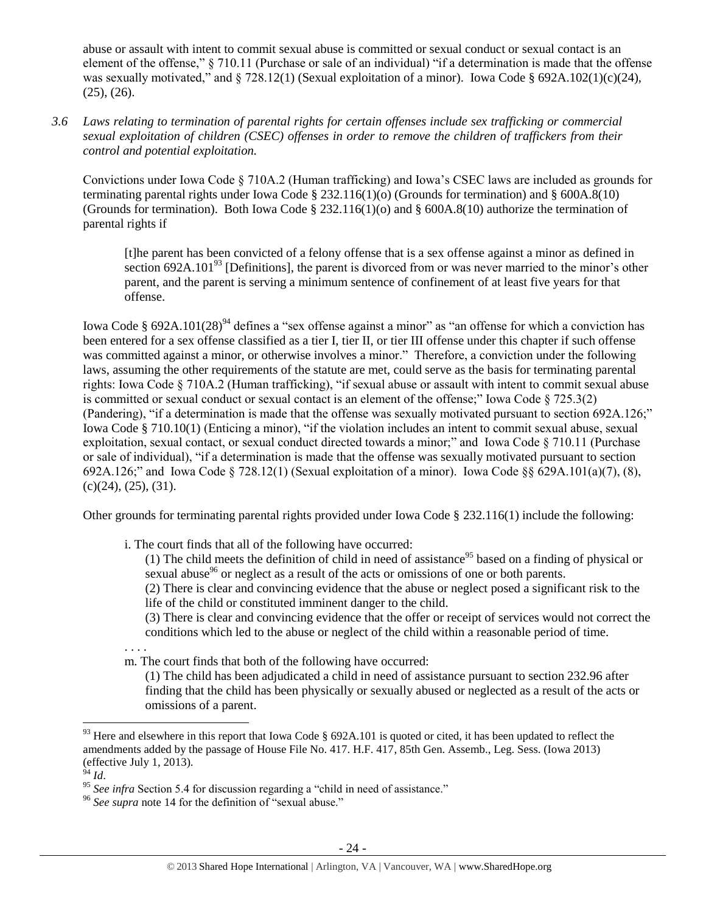abuse or assault with intent to commit sexual abuse is committed or sexual conduct or sexual contact is an element of the offense," § 710.11 (Purchase or sale of an individual) "if a determination is made that the offense was sexually motivated," and § 728.12(1) (Sexual exploitation of a minor). Iowa Code § 692A.102(1)(c)(24), (25), (26).

*3.6 Laws relating to termination of parental rights for certain offenses include sex trafficking or commercial sexual exploitation of children (CSEC) offenses in order to remove the children of traffickers from their control and potential exploitation.* 

Convictions under Iowa Code § 710A.2 (Human trafficking) and Iowa's CSEC laws are included as grounds for terminating parental rights under Iowa Code § 232.116(1)(o) (Grounds for termination) and § 600A.8(10) (Grounds for termination). Both Iowa Code § 232.116(1)(o) and § 600A.8(10) authorize the termination of parental rights if

[t]he parent has been convicted of a felony offense that is a sex offense against a minor as defined in section 692A.101 $<sup>93</sup>$  [Definitions], the parent is divorced from or was never married to the minor's other</sup> parent, and the parent is serving a minimum sentence of confinement of at least five years for that offense.

Iowa Code § 692A.101(28)<sup>94</sup> defines a "sex offense against a minor" as "an offense for which a conviction has been entered for a sex offense classified as a tier I, tier II, or tier III offense under this chapter if such offense was committed against a minor, or otherwise involves a minor." Therefore, a conviction under the following laws, assuming the other requirements of the statute are met, could serve as the basis for terminating parental rights: Iowa Code § 710A.2 (Human trafficking), "if sexual abuse or assault with intent to commit sexual abuse is committed or sexual conduct or sexual contact is an element of the offense;" Iowa Code  $\S$  725.3(2) (Pandering), "if a determination is made that the offense was sexually motivated pursuant to section 692A.126;" Iowa Code § 710.10(1) (Enticing a minor), "if the violation includes an intent to commit sexual abuse, sexual exploitation, sexual contact, or sexual conduct directed towards a minor;" and Iowa Code § 710.11 (Purchase or sale of individual), "if a determination is made that the offense was sexually motivated pursuant to section 692A.126;" and Iowa Code § 728.12(1) (Sexual exploitation of a minor). Iowa Code §§ 629A.101(a)(7), (8),  $(c)(24)$ ,  $(25)$ ,  $(31)$ .

Other grounds for terminating parental rights provided under Iowa Code § 232.116(1) include the following:

i. The court finds that all of the following have occurred:

(1) The child meets the definition of child in need of assistance<sup>95</sup> based on a finding of physical or sexual abuse<sup>96</sup> or neglect as a result of the acts or omissions of one or both parents.

(2) There is clear and convincing evidence that the abuse or neglect posed a significant risk to the life of the child or constituted imminent danger to the child.

(3) There is clear and convincing evidence that the offer or receipt of services would not correct the conditions which led to the abuse or neglect of the child within a reasonable period of time.

. . . .

m. The court finds that both of the following have occurred:

(1) The child has been adjudicated a child in need of assistance pursuant to section 232.96 after finding that the child has been physically or sexually abused or neglected as a result of the acts or omissions of a parent.

<sup>&</sup>lt;sup>93</sup> Here and elsewhere in this report that Iowa Code § 692A.101 is quoted or cited, it has been updated to reflect the amendments added by the passage of House File No. 417. H.F. 417, 85th Gen. Assemb., Leg. Sess. (Iowa 2013) (effective July 1, 2013).

<sup>94</sup> *Id*.

<sup>95</sup> *See infra* Section 5.4 for discussion regarding a "child in need of assistance."

<sup>&</sup>lt;sup>96</sup> See supra note [14](#page-4-1) for the definition of "sexual abuse."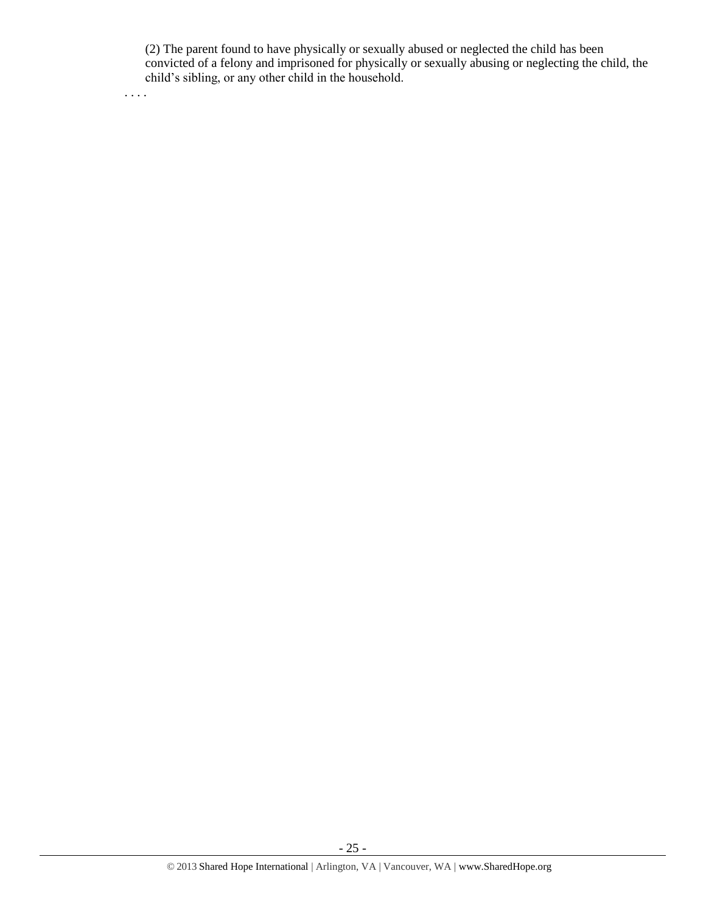(2) The parent found to have physically or sexually abused or neglected the child has been convicted of a felony and imprisoned for physically or sexually abusing or neglecting the child, the child's sibling, or any other child in the household.

. . . .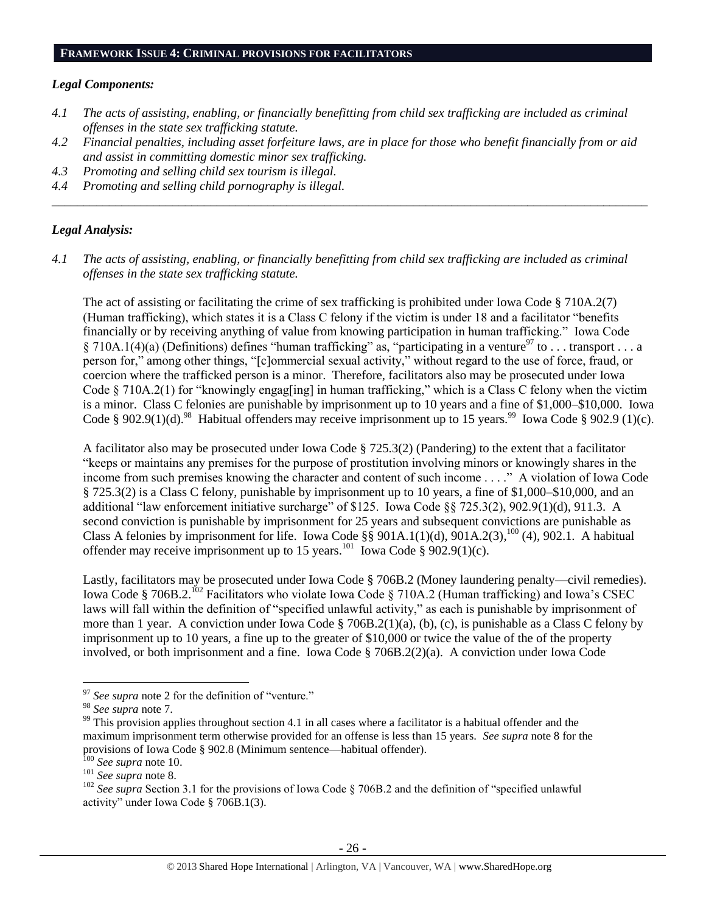#### **FRAMEWORK ISSUE 4: CRIMINAL PROVISIONS FOR FACILITATORS**

#### *Legal Components:*

- *4.1 The acts of assisting, enabling, or financially benefitting from child sex trafficking are included as criminal offenses in the state sex trafficking statute.*
- *4.2 Financial penalties, including asset forfeiture laws, are in place for those who benefit financially from or aid and assist in committing domestic minor sex trafficking.*

*\_\_\_\_\_\_\_\_\_\_\_\_\_\_\_\_\_\_\_\_\_\_\_\_\_\_\_\_\_\_\_\_\_\_\_\_\_\_\_\_\_\_\_\_\_\_\_\_\_\_\_\_\_\_\_\_\_\_\_\_\_\_\_\_\_\_\_\_\_\_\_\_\_\_\_\_\_\_\_\_\_\_\_\_\_\_\_\_\_\_\_\_\_\_*

- *4.3 Promoting and selling child sex tourism is illegal.*
- *4.4 Promoting and selling child pornography is illegal.*

## *Legal Analysis:*

*4.1 The acts of assisting, enabling, or financially benefitting from child sex trafficking are included as criminal offenses in the state sex trafficking statute.*

The act of assisting or facilitating the crime of sex trafficking is prohibited under Iowa Code § 710A.2(7) (Human trafficking), which states it is a Class C felony if the victim is under 18 and a facilitator "benefits financially or by receiving anything of value from knowing participation in human trafficking." Iowa Code § 710A.1(4)(a) (Definitions) defines "human trafficking" as, "participating in a venture<sup>97</sup> to . . . transport . . . a person for," among other things, "[c]ommercial sexual activity," without regard to the use of force, fraud, or coercion where the trafficked person is a minor. Therefore, facilitators also may be prosecuted under Iowa Code § 710A.2(1) for "knowingly engag[ing] in human trafficking," which is a Class C felony when the victim is a minor. Class C felonies are punishable by imprisonment up to 10 years and a fine of \$1,000–\$10,000. Iowa Code § 902.9(1)(d).<sup>98</sup> Habitual offenders may receive imprisonment up to 15 years.<sup>99</sup> Iowa Code § 902.9 (1)(c).

A facilitator also may be prosecuted under Iowa Code § 725.3(2) (Pandering) to the extent that a facilitator "keeps or maintains any premises for the purpose of prostitution involving minors or knowingly shares in the income from such premises knowing the character and content of such income . . . ." A violation of Iowa Code § 725.3(2) is a Class C felony, punishable by imprisonment up to 10 years, a fine of \$1,000–\$10,000, and an additional "law enforcement initiative surcharge" of \$125. Iowa Code §§ 725.3(2), 902.9(1)(d), 911.3. A second conviction is punishable by imprisonment for 25 years and subsequent convictions are punishable as Class A felonies by imprisonment for life. Iowa Code  $\S$ § 901A.1(1)(d), 901A.2(3), <sup>100</sup> (4), 902.1. A habitual offender may receive imprisonment up to 15 years.<sup>101</sup> Iowa Code § 902.9(1)(c).

Lastly, facilitators may be prosecuted under Iowa Code § 706B.2 (Money laundering penalty—civil remedies). Iowa Code § 706B.2.<sup>102</sup> Facilitators who violate Iowa Code § 710A.2 (Human trafficking) and Iowa's CSEC laws will fall within the definition of "specified unlawful activity," as each is punishable by imprisonment of more than 1 year. A conviction under Iowa Code § 706B.2(1)(a), (b), (c), is punishable as a Class C felony by imprisonment up to 10 years, a fine up to the greater of \$10,000 or twice the value of the of the property involved, or both imprisonment and a fine. Iowa Code § 706B.2(2)(a). A conviction under Iowa Code

<sup>&</sup>lt;sup>97</sup> See supra note [2](#page-1-0) for the definition of "venture."

<sup>98</sup> *See supra* note [7.](#page-2-0)

 $99$  This provision applies throughout section 4.1 in all cases where a facilitator is a habitual offender and the maximum imprisonment term otherwise provided for an offense is less than 15 years. *See supra* note [8](#page-2-2) for the provisions of Iowa Code § 902.8 (Minimum sentence—habitual offender).

<sup>100</sup> *See supra* not[e 10.](#page-2-1)

<sup>101</sup> *See supra* not[e 8.](#page-2-2)

<sup>&</sup>lt;sup>102</sup> See supra Section 3.1 for the provisions of Iowa Code § 706B.2 and the definition of "specified unlawful activity" under Iowa Code § 706B.1(3).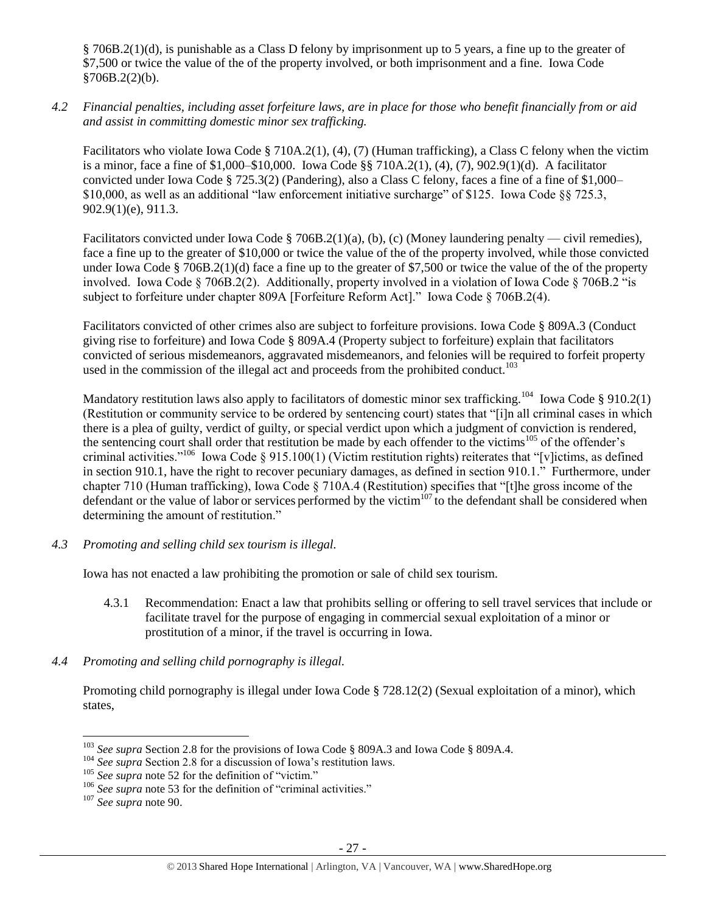§ 706B.2(1)(d), is punishable as a Class D felony by imprisonment up to 5 years, a fine up to the greater of \$7,500 or twice the value of the of the property involved, or both imprisonment and a fine. Iowa Code  $§706B.2(2)(b).$ 

*4.2 Financial penalties, including asset forfeiture laws, are in place for those who benefit financially from or aid and assist in committing domestic minor sex trafficking.*

Facilitators who violate Iowa Code § 710A.2(1), (4), (7) (Human trafficking), a Class C felony when the victim is a minor, face a fine of \$1,000–\$10,000. Iowa Code §§ 710A.2(1), (4), (7), 902.9(1)(d). A facilitator convicted under Iowa Code § 725.3(2) (Pandering), also a Class C felony, faces a fine of a fine of \$1,000– \$10,000, as well as an additional "law enforcement initiative surcharge" of \$125. Iowa Code §§ 725.3, 902.9(1)(e), 911.3.

Facilitators convicted under Iowa Code § 706B.2(1)(a), (b), (c) (Money laundering penalty — civil remedies), face a fine up to the greater of \$10,000 or twice the value of the of the property involved, while those convicted under Iowa Code § 706B.2(1)(d) face a fine up to the greater of \$7,500 or twice the value of the of the property involved. Iowa Code § 706B.2(2). Additionally, property involved in a violation of Iowa Code § 706B.2 "is subject to forfeiture under chapter 809A [Forfeiture Reform Act]." Iowa Code § 706B.2(4).

Facilitators convicted of other crimes also are subject to forfeiture provisions. Iowa Code § 809A.3 (Conduct giving rise to forfeiture) and Iowa Code § 809A.4 (Property subject to forfeiture) explain that facilitators convicted of serious misdemeanors, aggravated misdemeanors, and felonies will be required to forfeit property used in the commission of the illegal act and proceeds from the prohibited conduct.<sup>103</sup>

Mandatory restitution laws also apply to facilitators of domestic minor sex trafficking.<sup>104</sup> Iowa Code § 910.2(1) (Restitution or community service to be ordered by sentencing court) states that "[i]n all criminal cases in which there is a plea of guilty, verdict of guilty, or special verdict upon which a judgment of conviction is rendered, the sentencing court shall order that restitution be made by each offender to the victims<sup>105</sup> of the offender's criminal activities."<sup>106</sup> Iowa Code § 915.100(1) (Victim restitution rights) reiterates that "[v]ictims, as defined in section 910.1, have the right to recover pecuniary damages, as defined in section 910.1." Furthermore, under chapter 710 (Human trafficking), Iowa Code § 710A.4 (Restitution) specifies that "[t]he gross income of the defendant or the value of labor or services performed by the victim $^{107}$  to the defendant shall be considered when determining the amount of restitution."

*4.3 Promoting and selling child sex tourism is illegal.*

Iowa has not enacted a law prohibiting the promotion or sale of child sex tourism.

- 4.3.1 Recommendation: Enact a law that prohibits selling or offering to sell travel services that include or facilitate travel for the purpose of engaging in commercial sexual exploitation of a minor or prostitution of a minor, if the travel is occurring in Iowa.
- *4.4 Promoting and selling child pornography is illegal.*

Promoting child pornography is illegal under Iowa Code § 728.12(2) (Sexual exploitation of a minor), which states,

<sup>103</sup> *See supra* Section 2.8 for the provisions of Iowa Code § 809A.3 and Iowa Code § 809A.4.

<sup>&</sup>lt;sup>104</sup> *See supra* Section 2.8 for a discussion of Iowa's restitution laws.

<sup>&</sup>lt;sup>105</sup> See supra not[e 52](#page-14-1) for the definition of "victim."

<sup>106</sup> *See supra* not[e 53](#page-14-0) for the definition of "criminal activities."

<sup>107</sup> *See supra* not[e 90.](#page-22-0)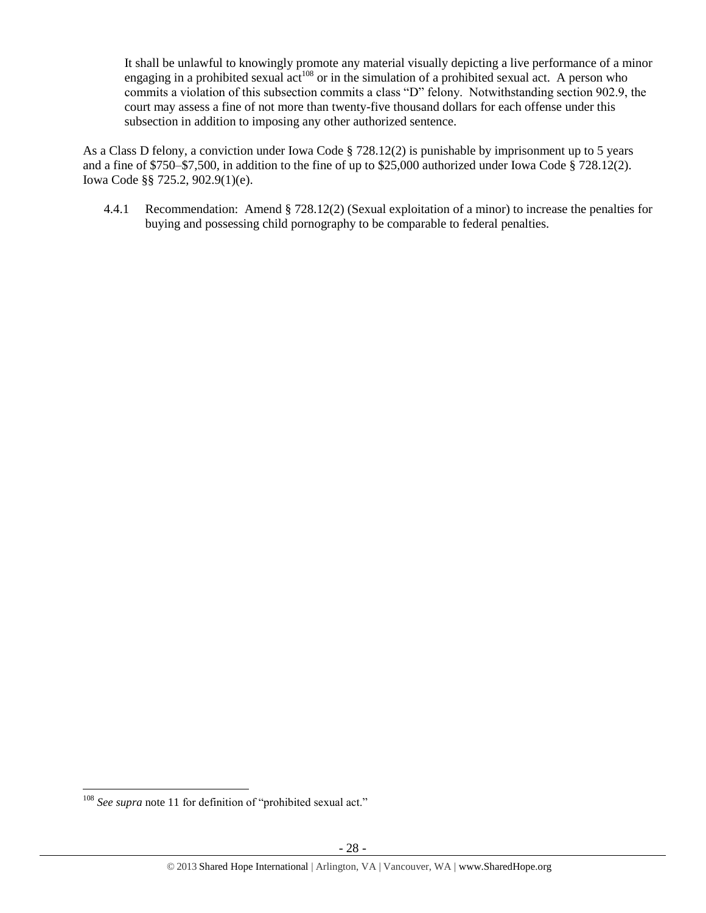It shall be unlawful to knowingly promote any material visually depicting a live performance of a minor engaging in a prohibited sexual  $act^{108}$  or in the simulation of a prohibited sexual act. A person who commits a violation of this subsection commits a class "D" felony. Notwithstanding section 902.9, the court may assess a fine of not more than twenty-five thousand dollars for each offense under this subsection in addition to imposing any other authorized sentence.

As a Class D felony, a conviction under Iowa Code § 728.12(2) is punishable by imprisonment up to 5 years and a fine of \$750–\$7,500, in addition to the fine of up to \$25,000 authorized under Iowa Code § 728.12(2). Iowa Code §§ 725.2, 902.9(1)(e).

4.4.1 Recommendation: Amend § 728.12(2) (Sexual exploitation of a minor) to increase the penalties for buying and possessing child pornography to be comparable to federal penalties.

 $\overline{a}$ <sup>108</sup> *See supra* not[e 11](#page-2-3) for definition of "prohibited sexual act."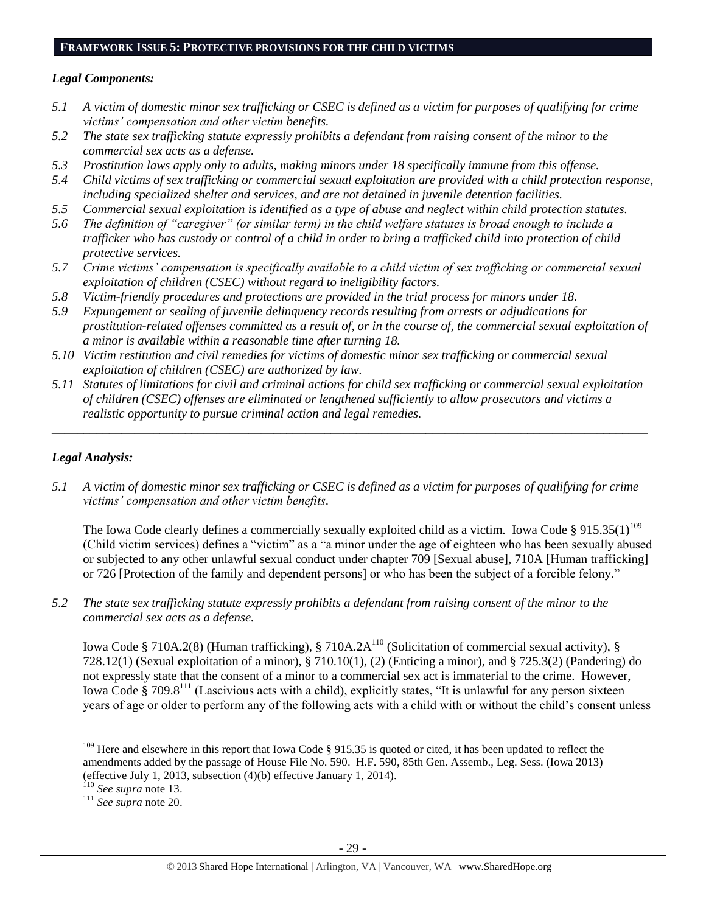## **FRAMEWORK ISSUE 5: PROTECTIVE PROVISIONS FOR THE CHILD VICTIMS**

## *Legal Components:*

- *5.1 A victim of domestic minor sex trafficking or CSEC is defined as a victim for purposes of qualifying for crime victims' compensation and other victim benefits.*
- *5.2 The state sex trafficking statute expressly prohibits a defendant from raising consent of the minor to the commercial sex acts as a defense.*
- *5.3 Prostitution laws apply only to adults, making minors under 18 specifically immune from this offense.*
- *5.4 Child victims of sex trafficking or commercial sexual exploitation are provided with a child protection response, including specialized shelter and services, and are not detained in juvenile detention facilities.*
- *5.5 Commercial sexual exploitation is identified as a type of abuse and neglect within child protection statutes.*
- *5.6 The definition of "caregiver" (or similar term) in the child welfare statutes is broad enough to include a trafficker who has custody or control of a child in order to bring a trafficked child into protection of child protective services.*
- *5.7 Crime victims' compensation is specifically available to a child victim of sex trafficking or commercial sexual exploitation of children (CSEC) without regard to ineligibility factors.*
- *5.8 Victim-friendly procedures and protections are provided in the trial process for minors under 18.*
- *5.9 Expungement or sealing of juvenile delinquency records resulting from arrests or adjudications for prostitution-related offenses committed as a result of, or in the course of, the commercial sexual exploitation of a minor is available within a reasonable time after turning 18.*
- *5.10 Victim restitution and civil remedies for victims of domestic minor sex trafficking or commercial sexual exploitation of children (CSEC) are authorized by law.*
- *5.11 Statutes of limitations for civil and criminal actions for child sex trafficking or commercial sexual exploitation of children (CSEC) offenses are eliminated or lengthened sufficiently to allow prosecutors and victims a realistic opportunity to pursue criminal action and legal remedies.*

*\_\_\_\_\_\_\_\_\_\_\_\_\_\_\_\_\_\_\_\_\_\_\_\_\_\_\_\_\_\_\_\_\_\_\_\_\_\_\_\_\_\_\_\_\_\_\_\_\_\_\_\_\_\_\_\_\_\_\_\_\_\_\_\_\_\_\_\_\_\_\_\_\_\_\_\_\_\_\_\_\_\_\_\_\_\_\_\_\_\_\_\_\_\_*

# *Legal Analysis:*

*5.1 A victim of domestic minor sex trafficking or CSEC is defined as a victim for purposes of qualifying for crime victims' compensation and other victim benefits.*

<span id="page-28-0"></span>The Iowa Code clearly defines a commercially sexually exploited child as a victim. Iowa Code § 915.35(1)<sup>109</sup> (Child victim services) defines a "victim" as a "a minor under the age of eighteen who has been sexually abused or subjected to any other unlawful sexual conduct under chapter 709 [Sexual abuse], 710A [Human trafficking] or 726 [Protection of the family and dependent persons] or who has been the subject of a forcible felony."

*5.2 The state sex trafficking statute expressly prohibits a defendant from raising consent of the minor to the commercial sex acts as a defense.*

Iowa Code § 710A.2(8) (Human trafficking), § 710A.2A<sup>110</sup> (Solicitation of commercial sexual activity), § 728.12(1) (Sexual exploitation of a minor), § 710.10(1), (2) (Enticing a minor), and § 725.3(2) (Pandering) do not expressly state that the consent of a minor to a commercial sex act is immaterial to the crime. However, Iowa Code § 709.8<sup>111</sup> (Lascivious acts with a child), explicitly states, "It is unlawful for any person sixteen years of age or older to perform any of the following acts with a child with or without the child's consent unless

<sup>&</sup>lt;sup>109</sup> Here and elsewhere in this report that Iowa Code § 915.35 is quoted or cited, it has been updated to reflect the amendments added by the passage of House File No. 590. H.F. 590, 85th Gen. Assemb., Leg. Sess. (Iowa 2013) (effective July 1, 2013, subsection (4)(b) effective January 1, 2014).

<sup>110</sup> *See supra* not[e 13.](#page-3-0)

<sup>111</sup> *See supra* not[e 20.](#page-5-0)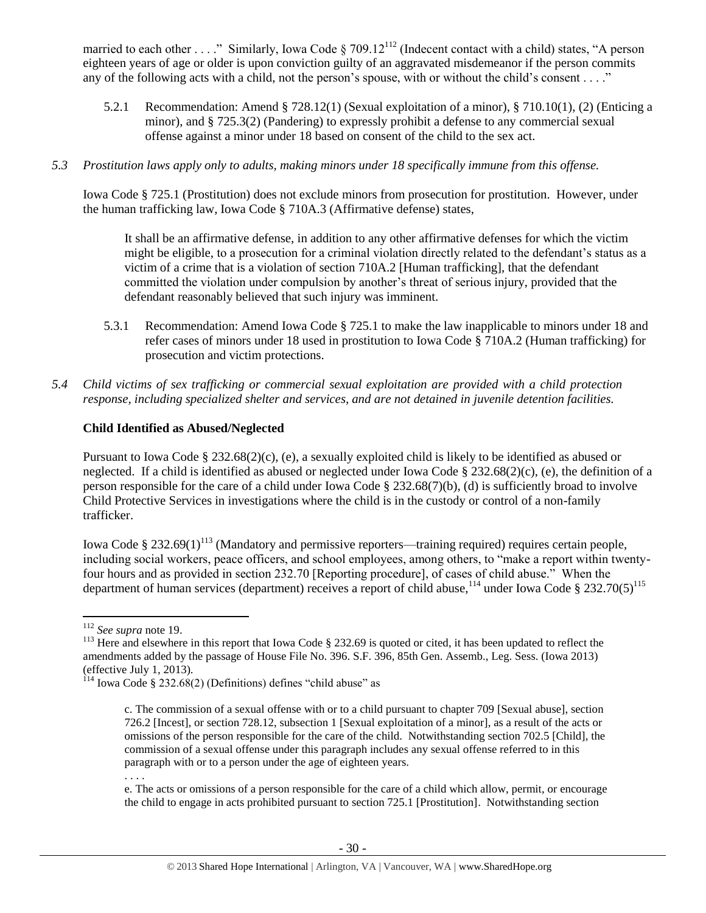married to each other . . . ." Similarly, Iowa Code § 709.12<sup>112</sup> (Indecent contact with a child) states, "A person eighteen years of age or older is upon conviction guilty of an aggravated misdemeanor if the person commits any of the following acts with a child, not the person's spouse, with or without the child's consent . . . ."

- 5.2.1 Recommendation: Amend § 728.12(1) (Sexual exploitation of a minor), § 710.10(1), (2) (Enticing a minor), and § 725.3(2) (Pandering) to expressly prohibit a defense to any commercial sexual offense against a minor under 18 based on consent of the child to the sex act.
- *5.3 Prostitution laws apply only to adults, making minors under 18 specifically immune from this offense.*

Iowa Code § 725.1 (Prostitution) does not exclude minors from prosecution for prostitution. However, under the human trafficking law, Iowa Code § 710A.3 (Affirmative defense) states,

It shall be an affirmative defense, in addition to any other affirmative defenses for which the victim might be eligible, to a prosecution for a criminal violation directly related to the defendant's status as a victim of a crime that is a violation of section 710A.2 [Human trafficking], that the defendant committed the violation under compulsion by another's threat of serious injury, provided that the defendant reasonably believed that such injury was imminent.

- 5.3.1 Recommendation: Amend Iowa Code § 725.1 to make the law inapplicable to minors under 18 and refer cases of minors under 18 used in prostitution to Iowa Code § 710A.2 (Human trafficking) for prosecution and victim protections.
- *5.4 Child victims of sex trafficking or commercial sexual exploitation are provided with a child protection response, including specialized shelter and services, and are not detained in juvenile detention facilities.*

## **Child Identified as Abused/Neglected**

Pursuant to Iowa Code § 232.68(2)(c), (e), a sexually exploited child is likely to be identified as abused or neglected. If a child is identified as abused or neglected under Iowa Code § 232.68(2)(c), (e), the definition of a person responsible for the care of a child under Iowa Code § 232.68(7)(b), (d) is sufficiently broad to involve Child Protective Services in investigations where the child is in the custody or control of a non-family trafficker.

Iowa Code § 232.69(1)<sup>113</sup> (Mandatory and permissive reporters—training required) requires certain people, including social workers, peace officers, and school employees, among others, to "make a report within twentyfour hours and as provided in section 232.70 [Reporting procedure], of cases of child abuse." When the department of human services (department) receives a report of child abuse,<sup>114</sup> under Iowa Code § 232.70(5)<sup>115</sup>

. . . .

 $\overline{a}$ <sup>112</sup> *See supra* not[e 19.](#page-5-1)

<sup>&</sup>lt;sup>113</sup> Here and elsewhere in this report that Iowa Code § 232.69 is quoted or cited, it has been updated to reflect the amendments added by the passage of House File No. 396. S.F. 396, 85th Gen. Assemb., Leg. Sess. (Iowa 2013) (effective July 1, 2013).

 $114$  Iowa Code § 232.68(2) (Definitions) defines "child abuse" as

c. The commission of a sexual offense with or to a child pursuant to chapter 709 [Sexual abuse], section 726.2 [Incest], or section 728.12, subsection 1 [Sexual exploitation of a minor], as a result of the acts or omissions of the person responsible for the care of the child. Notwithstanding section 702.5 [Child], the commission of a sexual offense under this paragraph includes any sexual offense referred to in this paragraph with or to a person under the age of eighteen years.

e. The acts or omissions of a person responsible for the care of a child which allow, permit, or encourage the child to engage in acts prohibited pursuant to section 725.1 [Prostitution]. Notwithstanding section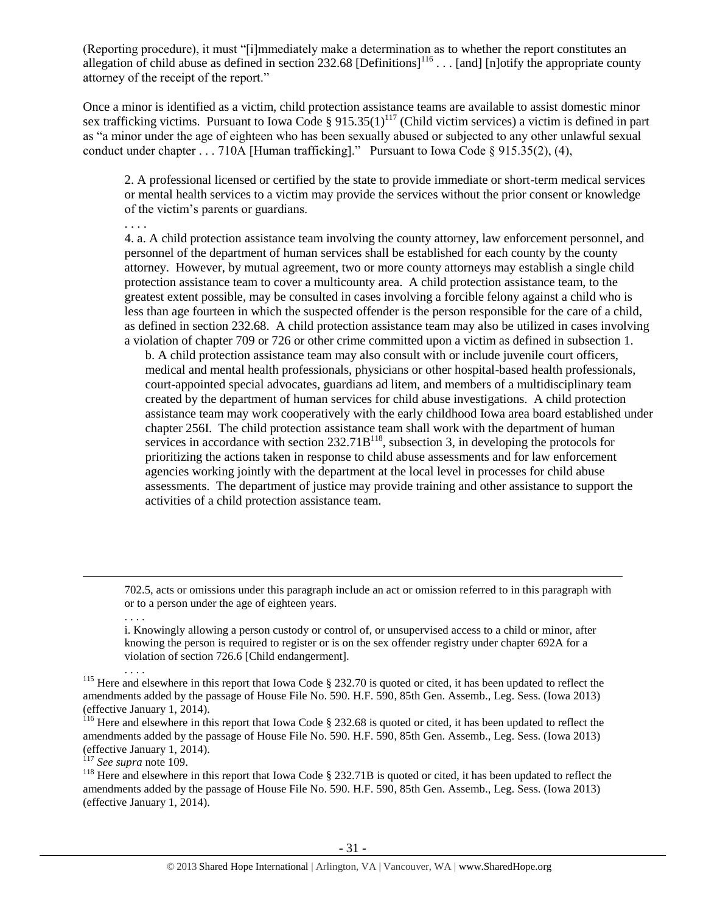(Reporting procedure), it must "[i]mmediately make a determination as to whether the report constitutes an allegation of child abuse as defined in section 232.68 [Definitions]<sup>116</sup> . . . [and] [n]otify the appropriate county attorney of the receipt of the report."

Once a minor is identified as a victim, child protection assistance teams are available to assist domestic minor sex trafficking victims. Pursuant to Iowa Code §  $915.35(1)^{117}$  (Child victim services) a victim is defined in part as "a minor under the age of eighteen who has been sexually abused or subjected to any other unlawful sexual conduct under chapter . . . 710A [Human trafficking]." Pursuant to Iowa Code § 915.35(2), (4),

2. A professional licensed or certified by the state to provide immediate or short-term medical services or mental health services to a victim may provide the services without the prior consent or knowledge of the victim's parents or guardians.

4. a. A child protection assistance team involving the county attorney, law enforcement personnel, and personnel of the department of human services shall be established for each county by the county attorney. However, by mutual agreement, two or more county attorneys may establish a single child protection assistance team to cover a multicounty area. A child protection assistance team, to the greatest extent possible, may be consulted in cases involving a forcible felony against a child who is less than age fourteen in which the suspected offender is the person responsible for the care of a child, as defined in section 232.68. A child protection assistance team may also be utilized in cases involving a violation of chapter 709 or 726 or other crime committed upon a victim as defined in subsection 1.

b. A child protection assistance team may also consult with or include juvenile court officers, medical and mental health professionals, physicians or other hospital-based health professionals, court-appointed special advocates, guardians ad litem, and members of a multidisciplinary team created by the department of human services for child abuse investigations. A child protection assistance team may work cooperatively with the early childhood Iowa area board established under chapter 256I. The child protection assistance team shall work with the department of human services in accordance with section 232.71B<sup>118</sup>, subsection 3, in developing the protocols for prioritizing the actions taken in response to child abuse assessments and for law enforcement agencies working jointly with the department at the local level in processes for child abuse assessments. The department of justice may provide training and other assistance to support the activities of a child protection assistance team.

702.5, acts or omissions under this paragraph include an act or omission referred to in this paragraph with or to a person under the age of eighteen years.

i. Knowingly allowing a person custody or control of, or unsupervised access to a child or minor, after knowing the person is required to register or is on the sex offender registry under chapter 692A for a violation of section 726.6 [Child endangerment].

. . . . <sup>115</sup> Here and elsewhere in this report that Iowa Code § 232.70 is quoted or cited, it has been updated to reflect the amendments added by the passage of House File No. 590. H.F. 590, 85th Gen. Assemb., Leg. Sess. (Iowa 2013) (effective January 1, 2014).

<sup>116</sup> Here and elsewhere in this report that Iowa Code  $\S$  232.68 is quoted or cited, it has been updated to reflect the amendments added by the passage of House File No. 590. H.F. 590, 85th Gen. Assemb., Leg. Sess. (Iowa 2013) (effective January 1, 2014).

<sup>117</sup> *See supra* not[e 109.](#page-28-0)

. . . .

 $\overline{a}$ 

. . . .

<sup>118</sup> Here and elsewhere in this report that Iowa Code § 232.71B is quoted or cited, it has been updated to reflect the amendments added by the passage of House File No. 590. H.F. 590, 85th Gen. Assemb., Leg. Sess. (Iowa 2013) (effective January 1, 2014).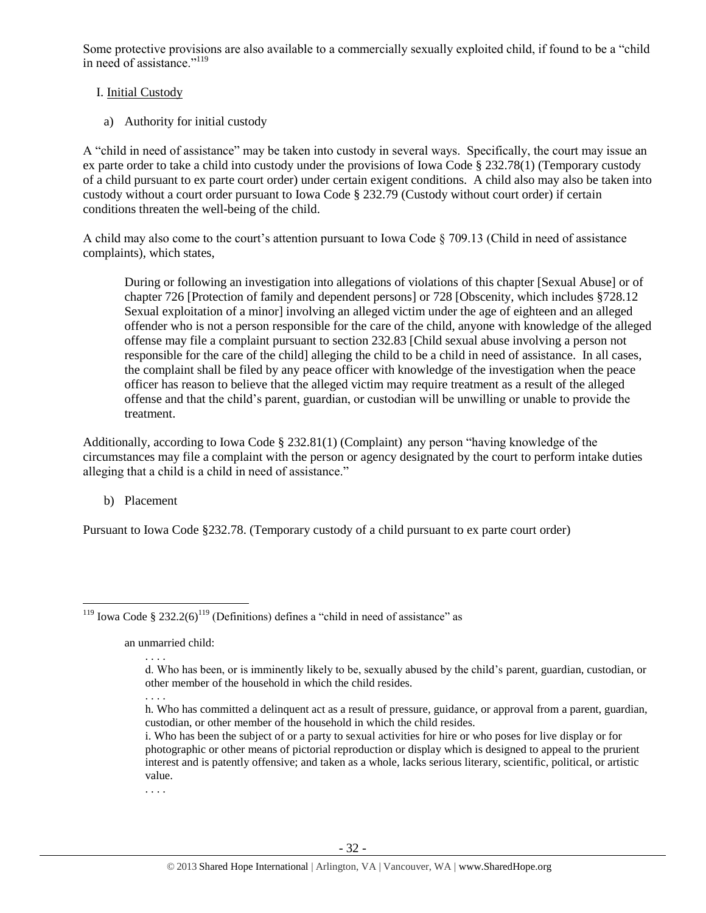Some protective provisions are also available to a commercially sexually exploited child, if found to be a "child in need of assistance."<sup>119</sup>

## I. Initial Custody

a) Authority for initial custody

A "child in need of assistance" may be taken into custody in several ways. Specifically, the court may issue an ex parte order to take a child into custody under the provisions of Iowa Code § 232.78(1) (Temporary custody of a child pursuant to ex parte court order) under certain exigent conditions. A child also may also be taken into custody without a court order pursuant to Iowa Code § 232.79 (Custody without court order) if certain conditions threaten the well-being of the child.

A child may also come to the court's attention pursuant to Iowa Code § 709.13 (Child in need of assistance complaints), which states,

During or following an investigation into allegations of violations of this chapter [Sexual Abuse] or of chapter 726 [Protection of family and dependent persons] or 728 [Obscenity, which includes §728.12 Sexual exploitation of a minor] involving an alleged victim under the age of eighteen and an alleged offender who is not a person responsible for the care of the child, anyone with knowledge of the alleged offense may file a complaint pursuant to section 232.83 [Child sexual abuse involving a person not responsible for the care of the child] alleging the child to be a child in need of assistance. In all cases, the complaint shall be filed by any peace officer with knowledge of the investigation when the peace officer has reason to believe that the alleged victim may require treatment as a result of the alleged offense and that the child's parent, guardian, or custodian will be unwilling or unable to provide the treatment.

Additionally, according to Iowa Code § 232.81(1) (Complaint) any person "having knowledge of the circumstances may file a complaint with the person or agency designated by the court to perform intake duties alleging that a child is a child in need of assistance."

b) Placement

 $\overline{a}$ 

Pursuant to Iowa Code §232.78. (Temporary custody of a child pursuant to ex parte court order)

an unmarried child:

. . . .

. . . . h. Who has committed a delinquent act as a result of pressure, guidance, or approval from a parent, guardian, custodian, or other member of the household in which the child resides.

. . . .

<sup>&</sup>lt;sup>119</sup> Iowa Code § 232.2(6)<sup>119</sup> (Definitions) defines a "child in need of assistance" as

d. Who has been, or is imminently likely to be, sexually abused by the child's parent, guardian, custodian, or other member of the household in which the child resides.

i. Who has been the subject of or a party to sexual activities for hire or who poses for live display or for photographic or other means of pictorial reproduction or display which is designed to appeal to the prurient interest and is patently offensive; and taken as a whole, lacks serious literary, scientific, political, or artistic value.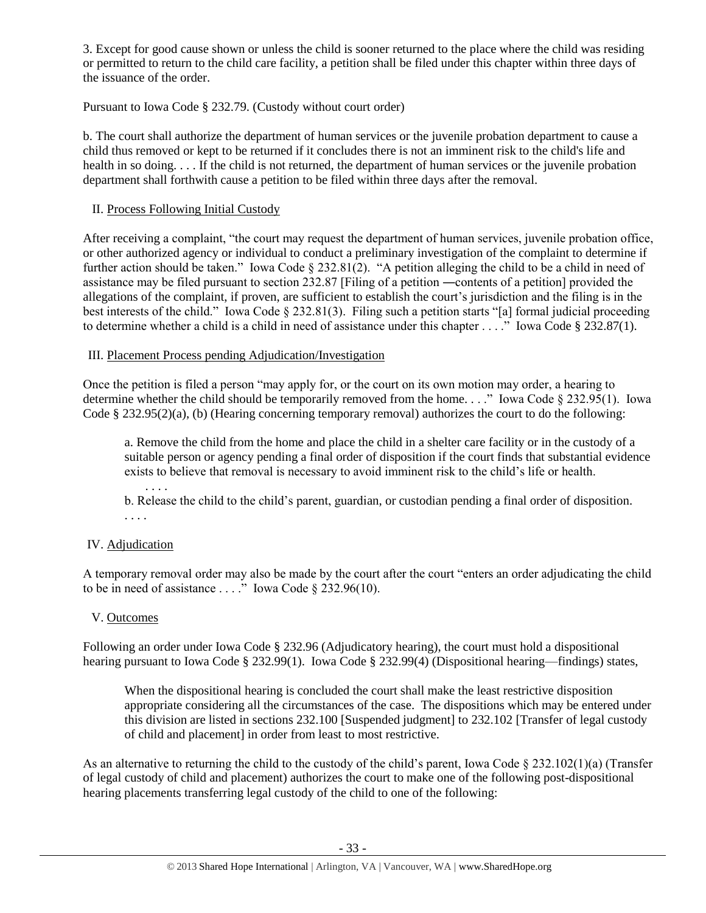3. Except for good cause shown or unless the child is sooner returned to the place where the child was residing or permitted to return to the child care facility, a petition shall be filed under this chapter within three days of the issuance of the order.

Pursuant to Iowa Code § 232.79. (Custody without court order)

b. The court shall authorize the department of human services or the juvenile probation department to cause a child thus removed or kept to be returned if it concludes there is not an imminent risk to the child's life and health in so doing. . . . If the child is not returned, the department of human services or the juvenile probation department shall forthwith cause a petition to be filed within three days after the removal.

## II. Process Following Initial Custody

After receiving a complaint, "the court may request the department of human services, juvenile probation office, or other authorized agency or individual to conduct a preliminary investigation of the complaint to determine if further action should be taken." Iowa Code § 232.81(2). "A petition alleging the child to be a child in need of assistance may be filed pursuant to section 232.87 [Filing of a petition ―contents of a petition] provided the allegations of the complaint, if proven, are sufficient to establish the court's jurisdiction and the filing is in the best interests of the child." Iowa Code § 232.81(3). Filing such a petition starts "[a] formal judicial proceeding to determine whether a child is a child in need of assistance under this chapter . . . ." Iowa Code § 232.87(1).

## III. Placement Process pending Adjudication/Investigation

Once the petition is filed a person "may apply for, or the court on its own motion may order, a hearing to determine whether the child should be temporarily removed from the home. . . ." Iowa Code § 232.95(1). Iowa Code § 232.95(2)(a), (b) (Hearing concerning temporary removal) authorizes the court to do the following:

a. Remove the child from the home and place the child in a shelter care facility or in the custody of a suitable person or agency pending a final order of disposition if the court finds that substantial evidence exists to believe that removal is necessary to avoid imminent risk to the child's life or health.

. . . . b. Release the child to the child's parent, guardian, or custodian pending a final order of disposition. . . . .

# IV. Adjudication

A temporary removal order may also be made by the court after the court "enters an order adjudicating the child to be in need of assistance  $\dots$ ." Iowa Code § 232.96(10).

## V. Outcomes

Following an order under Iowa Code § 232.96 (Adjudicatory hearing), the court must hold a dispositional hearing pursuant to Iowa Code § 232.99(1). Iowa Code § 232.99(4) (Dispositional hearing—findings) states,

When the dispositional hearing is concluded the court shall make the least restrictive disposition appropriate considering all the circumstances of the case. The dispositions which may be entered under this division are listed in sections 232.100 [Suspended judgment] to 232.102 [Transfer of legal custody of child and placement] in order from least to most restrictive.

As an alternative to returning the child to the custody of the child's parent, Iowa Code  $\S 232.102(1)(a)$  (Transfer of legal custody of child and placement) authorizes the court to make one of the following post-dispositional hearing placements transferring legal custody of the child to one of the following: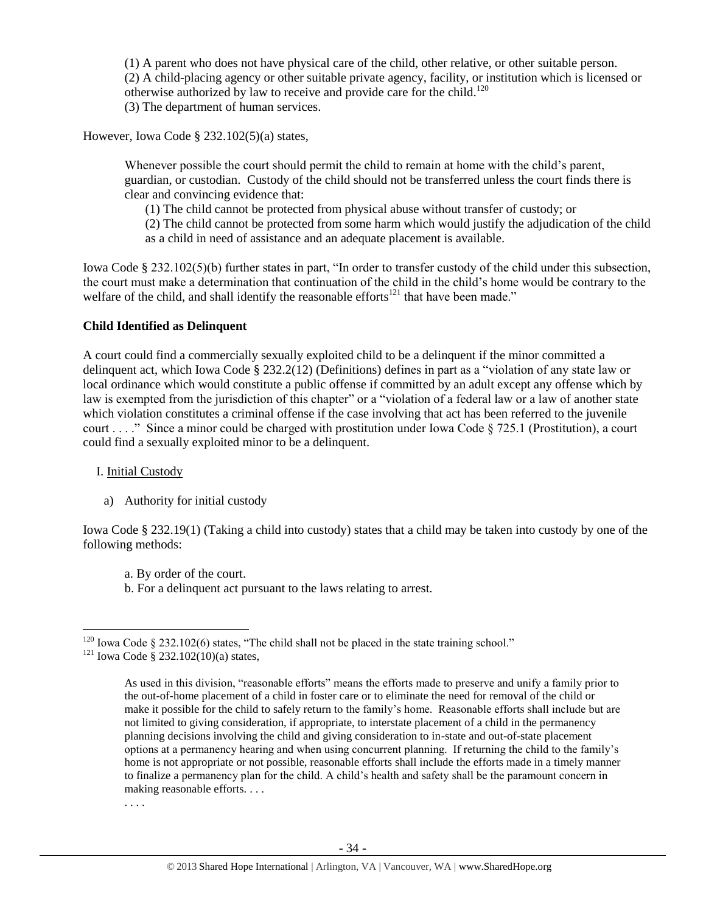(1) A parent who does not have physical care of the child, other relative, or other suitable person. (2) A child-placing agency or other suitable private agency, facility, or institution which is licensed or otherwise authorized by law to receive and provide care for the child.<sup>120</sup> (3) The department of human services.

However, Iowa Code § 232.102(5)(a) states,

Whenever possible the court should permit the child to remain at home with the child's parent, guardian, or custodian. Custody of the child should not be transferred unless the court finds there is clear and convincing evidence that:

(1) The child cannot be protected from physical abuse without transfer of custody; or

(2) The child cannot be protected from some harm which would justify the adjudication of the child as a child in need of assistance and an adequate placement is available.

Iowa Code § 232.102(5)(b) further states in part, "In order to transfer custody of the child under this subsection, the court must make a determination that continuation of the child in the child's home would be contrary to the welfare of the child, and shall identify the reasonable efforts<sup>121</sup> that have been made."

## **Child Identified as Delinquent**

A court could find a commercially sexually exploited child to be a delinquent if the minor committed a delinquent act, which Iowa Code § 232.2(12) (Definitions) defines in part as a "violation of any state law or local ordinance which would constitute a public offense if committed by an adult except any offense which by law is exempted from the jurisdiction of this chapter" or a "violation of a federal law or a law of another state which violation constitutes a criminal offense if the case involving that act has been referred to the juvenile court . . . ." Since a minor could be charged with prostitution under Iowa Code  $\S 725.1$  (Prostitution), a court could find a sexually exploited minor to be a delinquent.

## I. Initial Custody

a) Authority for initial custody

Iowa Code § 232.19(1) (Taking a child into custody) states that a child may be taken into custody by one of the following methods:

- a. By order of the court.
- b. For a delinquent act pursuant to the laws relating to arrest.

 $\overline{a}$ <sup>120</sup> Iowa Code § 232.102(6) states, "The child shall not be placed in the state training school."

<sup>&</sup>lt;sup>121</sup> Iowa Code § 232.102(10)(a) states,

As used in this division, "reasonable efforts" means the efforts made to preserve and unify a family prior to the out-of-home placement of a child in foster care or to eliminate the need for removal of the child or make it possible for the child to safely return to the family's home. Reasonable efforts shall include but are not limited to giving consideration, if appropriate, to interstate placement of a child in the permanency planning decisions involving the child and giving consideration to in-state and out-of-state placement options at a permanency hearing and when using concurrent planning. If returning the child to the family's home is not appropriate or not possible, reasonable efforts shall include the efforts made in a timely manner to finalize a permanency plan for the child. A child's health and safety shall be the paramount concern in making reasonable efforts. . . .

<sup>. . . .</sup>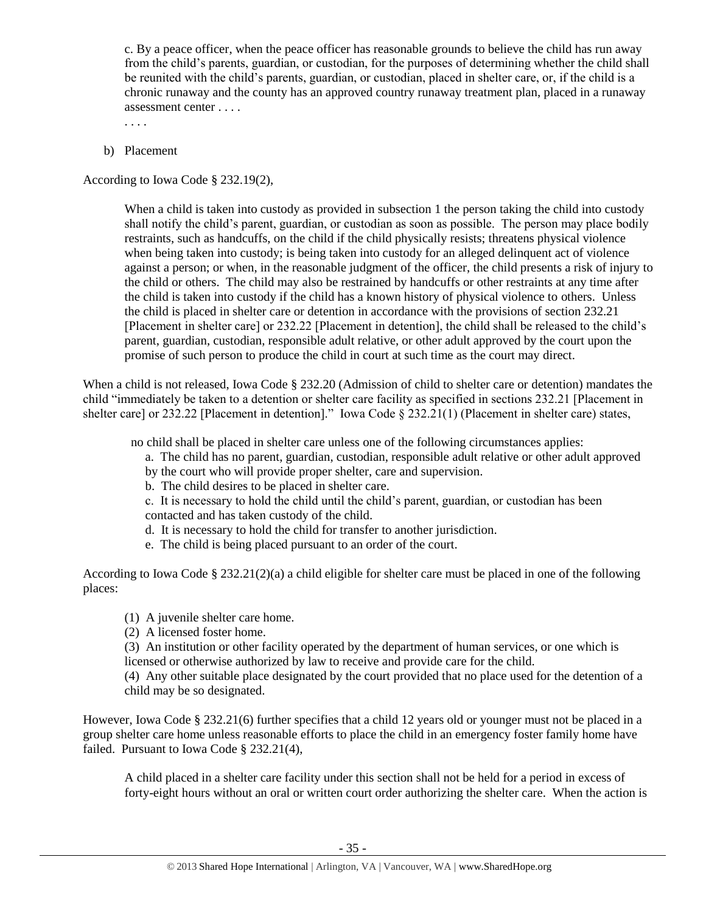c. By a peace officer, when the peace officer has reasonable grounds to believe the child has run away from the child's parents, guardian, or custodian, for the purposes of determining whether the child shall be reunited with the child's parents, guardian, or custodian, placed in shelter care, or, if the child is a chronic runaway and the county has an approved country runaway treatment plan, placed in a runaway assessment center . . . .

. . . .

b) Placement

According to Iowa Code § 232.19(2),

When a child is taken into custody as provided in subsection 1 the person taking the child into custody shall notify the child's parent, guardian, or custodian as soon as possible. The person may place bodily restraints, such as handcuffs, on the child if the child physically resists; threatens physical violence when being taken into custody; is being taken into custody for an alleged delinquent act of violence against a person; or when, in the reasonable judgment of the officer, the child presents a risk of injury to the child or others. The child may also be restrained by handcuffs or other restraints at any time after the child is taken into custody if the child has a known history of physical violence to others. Unless the child is placed in shelter care or detention in accordance with the provisions of section 232.21 [Placement in shelter care] or 232.22 [Placement in detention], the child shall be released to the child's parent, guardian, custodian, responsible adult relative, or other adult approved by the court upon the promise of such person to produce the child in court at such time as the court may direct.

When a child is not released, Iowa Code § 232.20 (Admission of child to shelter care or detention) mandates the child "immediately be taken to a detention or shelter care facility as specified in sections 232.21 [Placement in shelter care] or 232.22 [Placement in detention]." Iowa Code § 232.21(1) (Placement in shelter care) states,

no child shall be placed in shelter care unless one of the following circumstances applies:

- a. The child has no parent, guardian, custodian, responsible adult relative or other adult approved
- by the court who will provide proper shelter, care and supervision.
- b. The child desires to be placed in shelter care.

c. It is necessary to hold the child until the child's parent, guardian, or custodian has been contacted and has taken custody of the child.

- d. It is necessary to hold the child for transfer to another jurisdiction.
- e. The child is being placed pursuant to an order of the court.

According to Iowa Code § 232.21(2)(a) a child eligible for shelter care must be placed in one of the following places:

- (1) A juvenile shelter care home.
- (2) A licensed foster home.

(3) An institution or other facility operated by the department of human services, or one which is licensed or otherwise authorized by law to receive and provide care for the child.

(4) Any other suitable place designated by the court provided that no place used for the detention of a child may be so designated.

However, Iowa Code § 232.21(6) further specifies that a child 12 years old or younger must not be placed in a group shelter care home unless reasonable efforts to place the child in an emergency foster family home have failed. Pursuant to Iowa Code § 232.21(4),

A child placed in a shelter care facility under this section shall not be held for a period in excess of forty-eight hours without an oral or written court order authorizing the shelter care. When the action is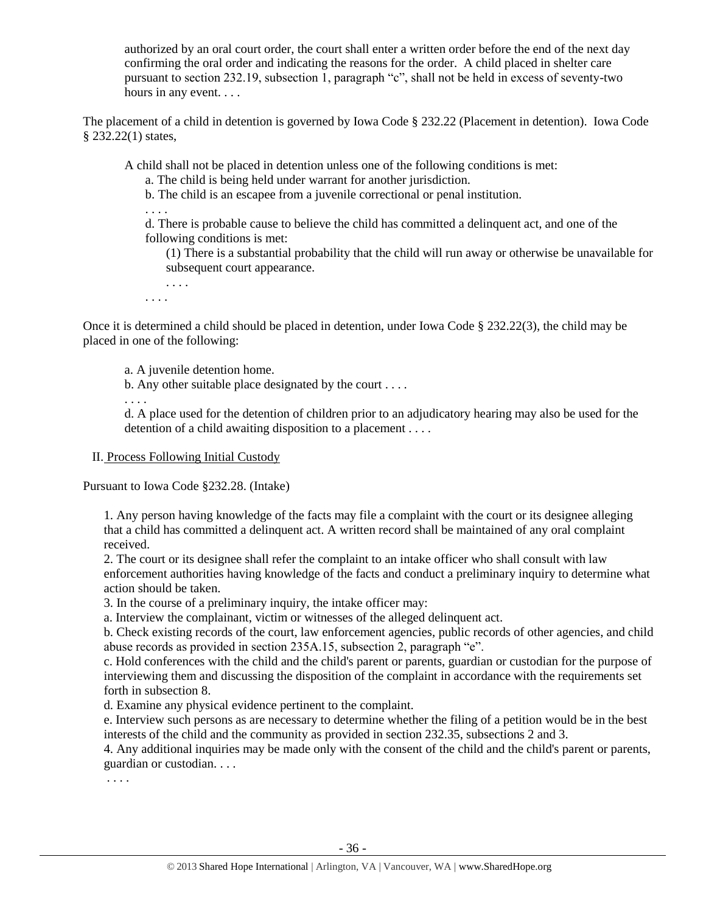authorized by an oral court order, the court shall enter a written order before the end of the next day confirming the oral order and indicating the reasons for the order. A child placed in shelter care pursuant to section 232.19, subsection 1, paragraph "c", shall not be held in excess of seventy-two hours in any event....

The placement of a child in detention is governed by Iowa Code § 232.22 (Placement in detention). Iowa Code § 232.22(1) states,

A child shall not be placed in detention unless one of the following conditions is met:

a. The child is being held under warrant for another jurisdiction.

b. The child is an escapee from a juvenile correctional or penal institution.

. . . .

d. There is probable cause to believe the child has committed a delinquent act, and one of the following conditions is met:

(1) There is a substantial probability that the child will run away or otherwise be unavailable for subsequent court appearance.

. . . .

. . . .

Once it is determined a child should be placed in detention, under Iowa Code § 232.22(3), the child may be placed in one of the following:

a. A juvenile detention home.

b. Any other suitable place designated by the court . . . .

. . . .

d. A place used for the detention of children prior to an adjudicatory hearing may also be used for the detention of a child awaiting disposition to a placement . . . .

# II. Process Following Initial Custody

Pursuant to Iowa Code §232.28. (Intake)

1. Any person having knowledge of the facts may file a complaint with the court or its designee alleging that a child has committed a delinquent act. A written record shall be maintained of any oral complaint received.

2. The court or its designee shall refer the complaint to an intake officer who shall consult with law enforcement authorities having knowledge of the facts and conduct a preliminary inquiry to determine what action should be taken.

3. In the course of a preliminary inquiry, the intake officer may:

a. Interview the complainant, victim or witnesses of the alleged delinquent act.

b. Check existing records of the court, law enforcement agencies, public records of other agencies, and child abuse records as provided in section 235A.15, subsection 2, paragraph "e".

c. Hold conferences with the child and the child's parent or parents, guardian or custodian for the purpose of interviewing them and discussing the disposition of the complaint in accordance with the requirements set forth in subsection 8.

d. Examine any physical evidence pertinent to the complaint.

e. Interview such persons as are necessary to determine whether the filing of a petition would be in the best interests of the child and the community as provided in section 232.35, subsections 2 and 3.

4. Any additional inquiries may be made only with the consent of the child and the child's parent or parents, guardian or custodian. . . .

. . . .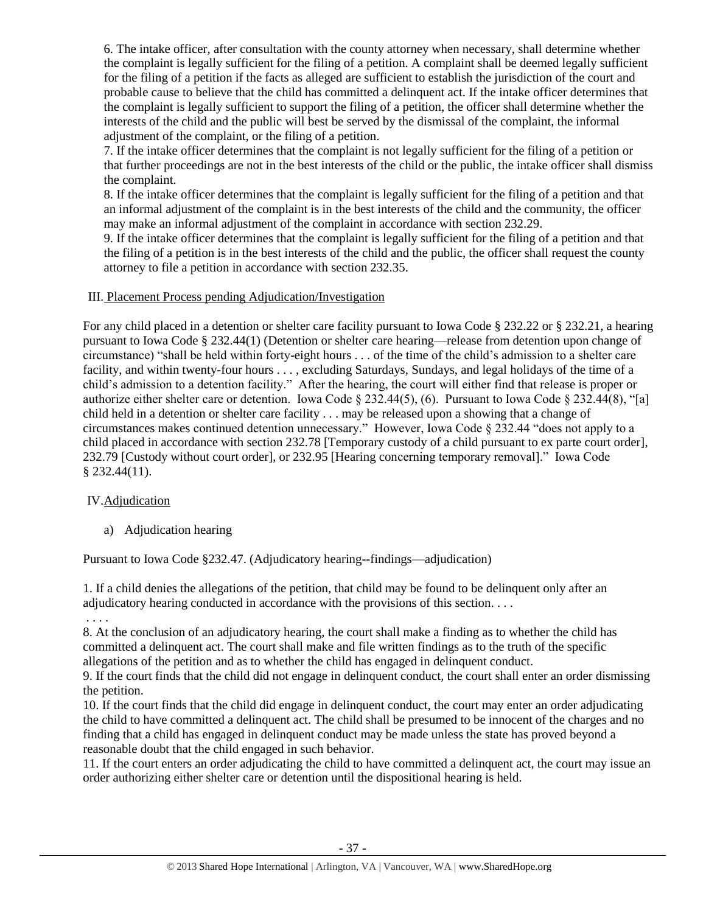6. The intake officer, after consultation with the county attorney when necessary, shall determine whether the complaint is legally sufficient for the filing of a petition. A complaint shall be deemed legally sufficient for the filing of a petition if the facts as alleged are sufficient to establish the jurisdiction of the court and probable cause to believe that the child has committed a delinquent act. If the intake officer determines that the complaint is legally sufficient to support the filing of a petition, the officer shall determine whether the interests of the child and the public will best be served by the dismissal of the complaint, the informal adjustment of the complaint, or the filing of a petition.

7. If the intake officer determines that the complaint is not legally sufficient for the filing of a petition or that further proceedings are not in the best interests of the child or the public, the intake officer shall dismiss the complaint.

8. If the intake officer determines that the complaint is legally sufficient for the filing of a petition and that an informal adjustment of the complaint is in the best interests of the child and the community, the officer may make an informal adjustment of the complaint in accordance with [section 232.29.](https://1.next.westlaw.com/Link/Document/FullText?findType=L&pubNum=1000256&cite=IASTS232.29&originatingDoc=N88D264A0C73511E2B88BBA4867CBAEFF&refType=LQ&originationContext=document&transitionType=DocumentItem&contextData=(sc.Category))

9. If the intake officer determines that the complaint is legally sufficient for the filing of a petition and that the filing of a petition is in the best interests of the child and the public, the officer shall request the county attorney to file a petition in accordance with [section 232.35.](https://1.next.westlaw.com/Link/Document/FullText?findType=L&pubNum=1000256&cite=IASTS232.35&originatingDoc=N88D264A0C73511E2B88BBA4867CBAEFF&refType=LQ&originationContext=document&transitionType=DocumentItem&contextData=(sc.Category))

# III. Placement Process pending Adjudication/Investigation

For any child placed in a detention or shelter care facility pursuant to Iowa Code § 232.22 or § 232.21, a hearing pursuant to Iowa Code § 232.44(1) (Detention or shelter care hearing—release from detention upon change of circumstance) "shall be held within forty-eight hours . . . of the time of the child's admission to a shelter care facility, and within twenty-four hours . . . , excluding Saturdays, Sundays, and legal holidays of the time of a child's admission to a detention facility." After the hearing, the court will either find that release is proper or authorize either shelter care or detention. Iowa Code § 232.44(5), (6). Pursuant to Iowa Code § 232.44(8), "[a] child held in a detention or shelter care facility . . . may be released upon a showing that a change of circumstances makes continued detention unnecessary." However, Iowa Code § 232.44 "does not apply to a child placed in accordance with section 232.78 [Temporary custody of a child pursuant to ex parte court order], 232.79 [Custody without court order], or 232.95 [Hearing concerning temporary removal]." Iowa Code § 232.44(11).

# IV.Adjudication

a) Adjudication hearing

Pursuant to Iowa Code §232.47. (Adjudicatory hearing--findings—adjudication)

1. If a child denies the allegations of the petition, that child may be found to be delinquent only after an adjudicatory hearing conducted in accordance with the provisions of this section. . . .

. . . .

8. At the conclusion of an adjudicatory hearing, the court shall make a finding as to whether the child has committed a delinquent act. The court shall make and file written findings as to the truth of the specific allegations of the petition and as to whether the child has engaged in delinquent conduct.

9. If the court finds that the child did not engage in delinquent conduct, the court shall enter an order dismissing the petition.

10. If the court finds that the child did engage in delinquent conduct, the court may enter an order adjudicating the child to have committed a delinquent act. The child shall be presumed to be innocent of the charges and no finding that a child has engaged in delinquent conduct may be made unless the state has proved beyond a reasonable doubt that the child engaged in such behavior.

11. If the court enters an order adjudicating the child to have committed a delinquent act, the court may issue an order authorizing either shelter care or detention until the dispositional hearing is held.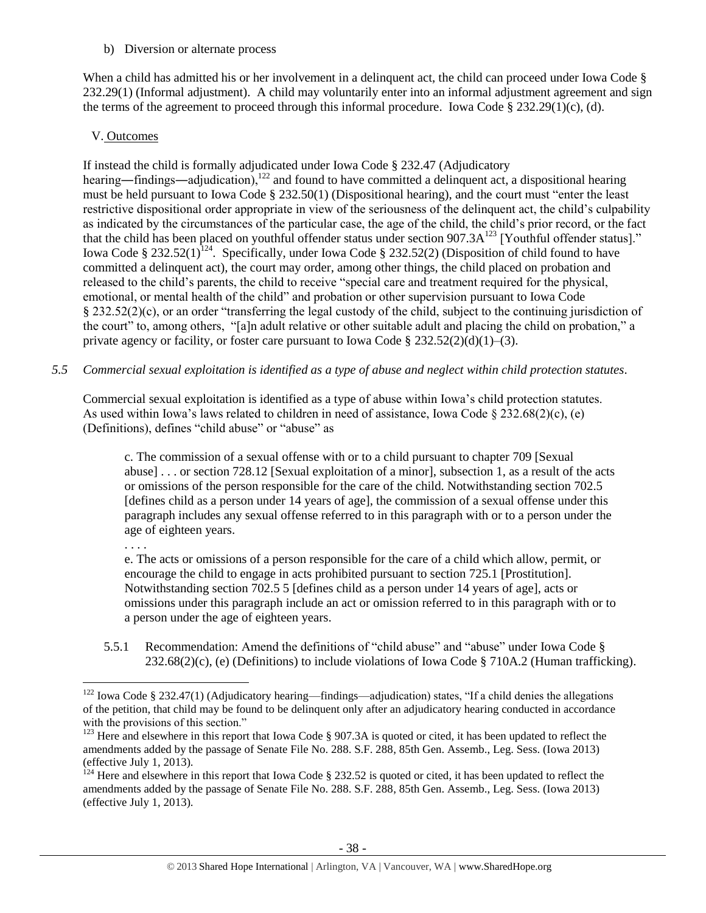b) Diversion or alternate process

When a child has admitted his or her involvement in a delinquent act, the child can proceed under Iowa Code § 232.29(1) (Informal adjustment). A child may voluntarily enter into an informal adjustment agreement and sign the terms of the agreement to proceed through this informal procedure. Iowa Code § 232.29(1)(c), (d).

## V. Outcomes

If instead the child is formally adjudicated under Iowa Code § 232.47 (Adjudicatory hearing—findings—adjudication),<sup>122</sup> and found to have committed a delinquent act, a dispositional hearing must be held pursuant to Iowa Code § 232.50(1) (Dispositional hearing), and the court must "enter the least restrictive dispositional order appropriate in view of the seriousness of the delinquent act, the child's culpability as indicated by the circumstances of the particular case, the age of the child, the child's prior record, or the fact that the child has been placed on youthful offender status under section 907.3A<sup>123</sup> [Youthful offender status]." Iowa Code § 232.52(1)<sup>124</sup>. Specifically, under Iowa Code § 232.52(2) (Disposition of child found to have committed a delinquent act), the court may order, among other things, the child placed on probation and released to the child's parents, the child to receive "special care and treatment required for the physical, emotional, or mental health of the child" and probation or other supervision pursuant to Iowa Code § 232.52(2)(c), or an order "transferring the legal custody of the child, subject to the continuing jurisdiction of the court" to, among others, "[a]n adult relative or other suitable adult and placing the child on probation," a private agency or facility, or foster care pursuant to Iowa Code  $\S 232.52(2)(d)(1)–(3)$ .

*5.5 Commercial sexual exploitation is identified as a type of abuse and neglect within child protection statutes.*

Commercial sexual exploitation is identified as a type of abuse within Iowa's child protection statutes. As used within Iowa's laws related to children in need of assistance, Iowa Code  $\S 232.68(2)(c)$ , (e) (Definitions), defines "child abuse" or "abuse" as

c. The commission of a sexual offense with or to a child pursuant to chapter 709 [Sexual abuse] . . . or section 728.12 [Sexual exploitation of a minor], subsection 1, as a result of the acts or omissions of the person responsible for the care of the child. Notwithstanding section 702.5 [defines child as a person under 14 years of age], the commission of a sexual offense under this paragraph includes any sexual offense referred to in this paragraph with or to a person under the age of eighteen years.

. . . .

 $\overline{a}$ 

e. The acts or omissions of a person responsible for the care of a child which allow, permit, or encourage the child to engage in acts prohibited pursuant to section 725.1 [Prostitution]. Notwithstanding section 702.5 5 [defines child as a person under 14 years of age], acts or omissions under this paragraph include an act or omission referred to in this paragraph with or to a person under the age of eighteen years.

5.5.1 Recommendation: Amend the definitions of "child abuse" and "abuse" under Iowa Code §  $232.68(2)$ (c), (e) (Definitions) to include violations of Iowa Code § 710A.2 (Human trafficking).

 $122$  Iowa Code § 232.47(1) (Adjudicatory hearing—findings—adjudication) states, "If a child denies the allegations of the petition, that child may be found to be delinquent only after an adjudicatory hearing conducted in accordance with the provisions of this section."

<sup>&</sup>lt;sup>123</sup> Here and elsewhere in this report that Iowa Code § 907.3A is quoted or cited, it has been updated to reflect the amendments added by the passage of Senate File No. 288. S.F. 288, 85th Gen. Assemb., Leg. Sess. (Iowa 2013) (effective July 1, 2013).<br> $^{124}$  Here  $^{124}$ 

Here and elsewhere in this report that Iowa Code  $\S 232.52$  is quoted or cited, it has been updated to reflect the amendments added by the passage of Senate File No. 288. S.F. 288, 85th Gen. Assemb., Leg. Sess. (Iowa 2013) (effective July 1, 2013).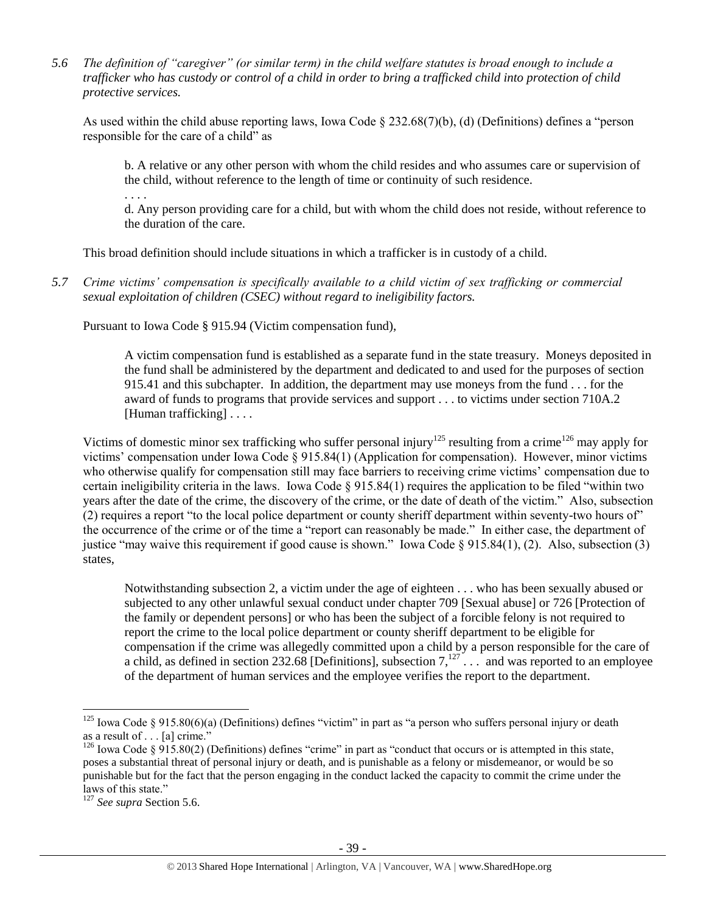*5.6 The definition of "caregiver" (or similar term) in the child welfare statutes is broad enough to include a trafficker who has custody or control of a child in order to bring a trafficked child into protection of child protective services.*

As used within the child abuse reporting laws, Iowa Code § 232.68(7)(b), (d) (Definitions) defines a "person responsible for the care of a child" as

b. A relative or any other person with whom the child resides and who assumes care or supervision of the child, without reference to the length of time or continuity of such residence.

d. Any person providing care for a child, but with whom the child does not reside, without reference to the duration of the care.

This broad definition should include situations in which a trafficker is in custody of a child.

*5.7 Crime victims' compensation is specifically available to a child victim of sex trafficking or commercial sexual exploitation of children (CSEC) without regard to ineligibility factors.*

Pursuant to Iowa Code § 915.94 (Victim compensation fund),

A victim compensation fund is established as a separate fund in the state treasury. Moneys deposited in the fund shall be administered by the department and dedicated to and used for the purposes of section 915.41 and this subchapter. In addition, the department may use moneys from the fund . . . for the award of funds to programs that provide services and support . . . to victims under section 710A.2 [Human trafficking] . . . .

Victims of domestic minor sex trafficking who suffer personal injury<sup>125</sup> resulting from a crime<sup>126</sup> may apply for victims' compensation under Iowa Code § 915.84(1) (Application for compensation). However, minor victims who otherwise qualify for compensation still may face barriers to receiving crime victims' compensation due to certain ineligibility criteria in the laws. Iowa Code  $\S 915.84(1)$  requires the application to be filed "within two years after the date of the crime, the discovery of the crime, or the date of death of the victim." Also, subsection (2) requires a report "to the local police department or county sheriff department within seventy-two hours of" the occurrence of the crime or of the time a "report can reasonably be made." In either case, the department of justice "may waive this requirement if good cause is shown." Iowa Code § 915.84(1), (2). Also, subsection (3) states,

Notwithstanding subsection 2, a victim under the age of eighteen . . . who has been sexually abused or subjected to any other unlawful sexual conduct under chapter 709 [Sexual abuse] or 726 [Protection of the family or dependent persons] or who has been the subject of a forcible felony is not required to report the crime to the local police department or county sheriff department to be eligible for compensation if the crime was allegedly committed upon a child by a person responsible for the care of a child, as defined in section 232.68 [Definitions], subsection  $7,127$ ... and was reported to an employee of the department of human services and the employee verifies the report to the department.

 $\overline{a}$ 

. . . .

<sup>&</sup>lt;sup>125</sup> Iowa Code § 915.80(6)(a) (Definitions) defines "victim" in part as "a person who suffers personal injury or death as a result of . . . [a] crime."

<sup>&</sup>lt;sup>126</sup> Iowa Code § 915.80(2) (Definitions) defines "crime" in part as "conduct that occurs or is attempted in this state, poses a substantial threat of personal injury or death, and is punishable as a felony or misdemeanor, or would be so punishable but for the fact that the person engaging in the conduct lacked the capacity to commit the crime under the laws of this state."

<sup>127</sup> *See supra* Section 5.6.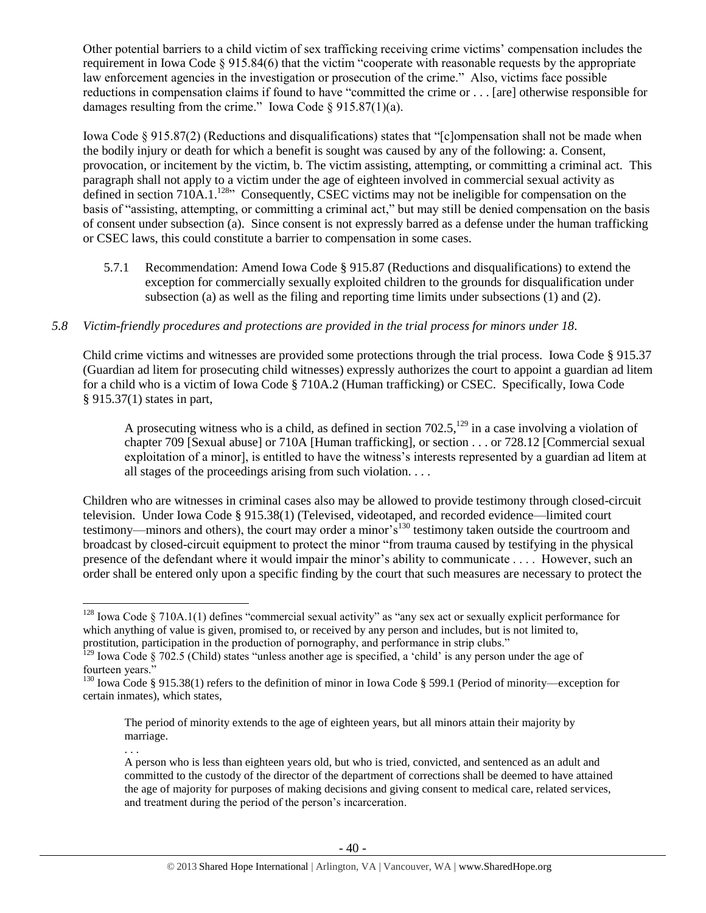Other potential barriers to a child victim of sex trafficking receiving crime victims' compensation includes the requirement in Iowa Code § 915.84(6) that the victim "cooperate with reasonable requests by the appropriate law enforcement agencies in the investigation or prosecution of the crime." Also, victims face possible reductions in compensation claims if found to have "committed the crime or . . . [are] otherwise responsible for damages resulting from the crime." Iowa Code  $\S 915.87(1)(a)$ .

Iowa Code § 915.87(2) (Reductions and disqualifications) states that "[c]ompensation shall not be made when the bodily injury or death for which a benefit is sought was caused by any of the following: a. Consent, provocation, or incitement by the victim, b. The victim assisting, attempting, or committing a criminal act. This paragraph shall not apply to a victim under the age of eighteen involved in commercial sexual activity as defined in section 710A.1.<sup>128</sup><sup>3</sup> Consequently, CSEC victims may not be ineligible for compensation on the basis of "assisting, attempting, or committing a criminal act," but may still be denied compensation on the basis of consent under subsection (a). Since consent is not expressly barred as a defense under the human trafficking or CSEC laws, this could constitute a barrier to compensation in some cases.

5.7.1 Recommendation: Amend Iowa Code § 915.87 (Reductions and disqualifications) to extend the exception for commercially sexually exploited children to the grounds for disqualification under subsection (a) as well as the filing and reporting time limits under subsections (1) and (2).

# *5.8 Victim-friendly procedures and protections are provided in the trial process for minors under 18.*

Child crime victims and witnesses are provided some protections through the trial process. Iowa Code § 915.37 (Guardian ad litem for prosecuting child witnesses) expressly authorizes the court to appoint a guardian ad litem for a child who is a victim of Iowa Code § 710A.2 (Human trafficking) or CSEC. Specifically, Iowa Code § 915.37(1) states in part,

A prosecuting witness who is a child, as defined in section  $702.5$ ,  $^{129}$  in a case involving a violation of chapter 709 [Sexual abuse] or 710A [Human trafficking], or section . . . or 728.12 [Commercial sexual exploitation of a minor], is entitled to have the witness's interests represented by a guardian ad litem at all stages of the proceedings arising from such violation. . . .

Children who are witnesses in criminal cases also may be allowed to provide testimony through closed-circuit television. Under Iowa Code § 915.38(1) (Televised, videotaped, and recorded evidence—limited court testimony—minors and others), the court may order a minor's<sup>130</sup> testimony taken outside the courtroom and broadcast by closed-circuit equipment to protect the minor "from trauma caused by testifying in the physical presence of the defendant where it would impair the minor's ability to communicate . . . . However, such an order shall be entered only upon a specific finding by the court that such measures are necessary to protect the

 $\overline{a}$ 

. . .

 $128$  Iowa Code § 710A.1(1) defines "commercial sexual activity" as "any sex act or sexually explicit performance for which anything of value is given, promised to, or received by any person and includes, but is not limited to, prostitution, participation in the production of pornography, and performance in strip clubs."

 $129$  Iowa Code § 702.5 (Child) states "unless another age is specified, a 'child' is any person under the age of fourteen years.'

<sup>&</sup>lt;sup>130</sup> Iowa Code § 915.38(1) refers to the definition of minor in Iowa Code § 599.1 (Period of minority—exception for certain inmates), which states,

The period of minority extends to the age of eighteen years, but all minors attain their majority by marriage.

A person who is less than eighteen years old, but who is tried, convicted, and sentenced as an adult and committed to the custody of the director of the department of corrections shall be deemed to have attained the age of majority for purposes of making decisions and giving consent to medical care, related services, and treatment during the period of the person's incarceration.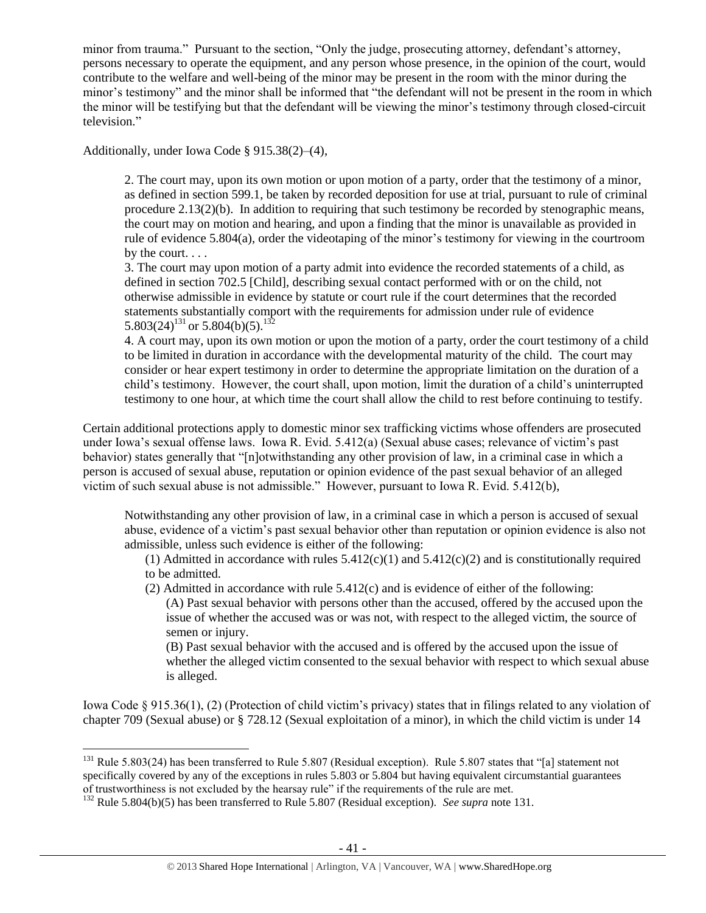minor from trauma." Pursuant to the section, "Only the judge, prosecuting attorney, defendant's attorney, persons necessary to operate the equipment, and any person whose presence, in the opinion of the court, would contribute to the welfare and well-being of the minor may be present in the room with the minor during the minor's testimony" and the minor shall be informed that "the defendant will not be present in the room in which the minor will be testifying but that the defendant will be viewing the minor's testimony through closed-circuit television."

Additionally, under Iowa Code § 915.38(2)–(4),

2. The court may, upon its own motion or upon motion of a party, order that the testimony of a minor, as defined in section 599.1, be taken by recorded deposition for use at trial, pursuant to rule of criminal procedure 2.13(2)(b). In addition to requiring that such testimony be recorded by stenographic means, the court may on motion and hearing, and upon a finding that the minor is unavailable as provided in rule of evidence 5.804(a), order the videotaping of the minor's testimony for viewing in the courtroom by the court. . . .

3. The court may upon motion of a party admit into evidence the recorded statements of a child, as defined in section 702.5 [Child], describing sexual contact performed with or on the child, not otherwise admissible in evidence by statute or court rule if the court determines that the recorded statements substantially comport with the requirements for admission under rule of evidence 5.803(24)<sup>131</sup> or 5.804(b)(5).<sup>132</sup>

<span id="page-40-0"></span>4. A court may, upon its own motion or upon the motion of a party, order the court testimony of a child to be limited in duration in accordance with the developmental maturity of the child. The court may consider or hear expert testimony in order to determine the appropriate limitation on the duration of a child's testimony. However, the court shall, upon motion, limit the duration of a child's uninterrupted testimony to one hour, at which time the court shall allow the child to rest before continuing to testify.

Certain additional protections apply to domestic minor sex trafficking victims whose offenders are prosecuted under Iowa's sexual offense laws. Iowa R. Evid. 5.412(a) (Sexual abuse cases; relevance of victim's past behavior) states generally that "[n]otwithstanding any other provision of law, in a criminal case in which a person is accused of sexual abuse, reputation or opinion evidence of the past sexual behavior of an alleged victim of such sexual abuse is not admissible." However, pursuant to Iowa R. Evid. 5.412(b),

Notwithstanding any other provision of law, in a criminal case in which a person is accused of sexual abuse, evidence of a victim's past sexual behavior other than reputation or opinion evidence is also not admissible, unless such evidence is either of the following:

(1) Admitted in accordance with rules  $5.412(c)(1)$  and  $5.412(c)(2)$  and is constitutionally required to be admitted.

(2) Admitted in accordance with rule 5.412(c) and is evidence of either of the following:

(A) Past sexual behavior with persons other than the accused, offered by the accused upon the issue of whether the accused was or was not, with respect to the alleged victim, the source of semen or injury.

(B) Past sexual behavior with the accused and is offered by the accused upon the issue of whether the alleged victim consented to the sexual behavior with respect to which sexual abuse is alleged.

Iowa Code § 915.36(1), (2) (Protection of child victim's privacy) states that in filings related to any violation of chapter 709 (Sexual abuse) or § 728.12 (Sexual exploitation of a minor), in which the child victim is under 14

 $\overline{a}$ <sup>131</sup> Rule 5.803(24) has been transferred to Rule 5.807 (Residual exception). Rule 5.807 states that "[a] statement not specifically covered by any of the exceptions in rules 5.803 or 5.804 but having equivalent circumstantial guarantees of trustworthiness is not excluded by the hearsay rule" if the requirements of the rule are met.

<sup>132</sup> Rule 5.804(b)(5) has been transferred to Rule 5.807 (Residual exception). *See supra* not[e 131.](#page-40-0)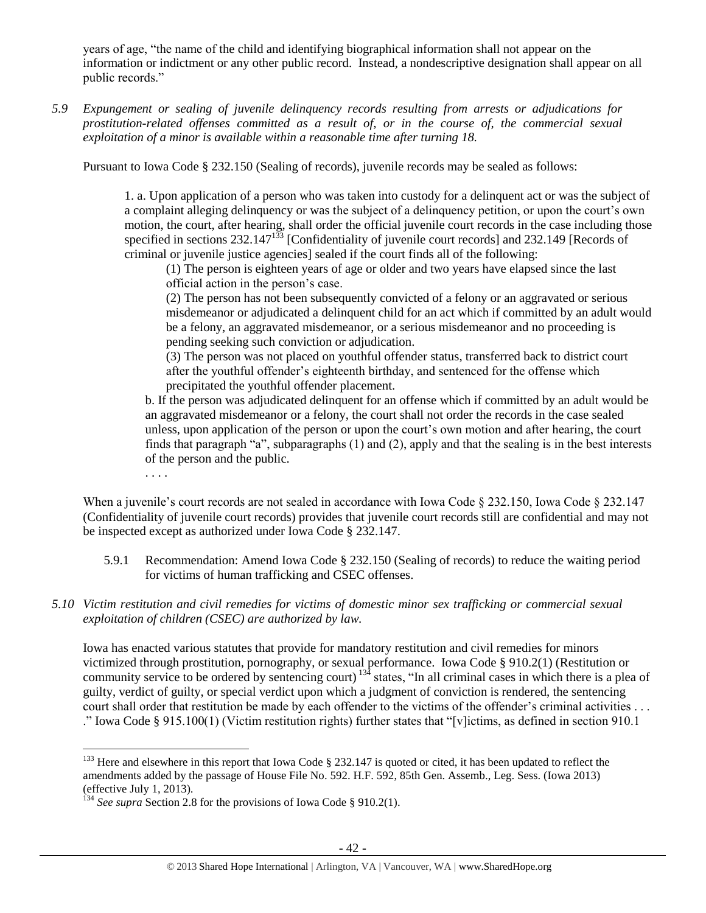years of age, "the name of the child and identifying biographical information shall not appear on the information or indictment or any other public record. Instead, a nondescriptive designation shall appear on all public records."

*5.9 Expungement or sealing of juvenile delinquency records resulting from arrests or adjudications for prostitution-related offenses committed as a result of, or in the course of, the commercial sexual exploitation of a minor is available within a reasonable time after turning 18.*

Pursuant to Iowa Code § 232.150 (Sealing of records), juvenile records may be sealed as follows:

1. a. Upon application of a person who was taken into custody for a delinquent act or was the subject of a complaint alleging delinquency or was the subject of a delinquency petition, or upon the court's own motion, the court, after hearing, shall order the official juvenile court records in the case including those specified in sections  $232.147^{133}$  [Confidentiality of juvenile court records] and  $232.149$  [Records of criminal or juvenile justice agencies] sealed if the court finds all of the following:

(1) The person is eighteen years of age or older and two years have elapsed since the last official action in the person's case.

(2) The person has not been subsequently convicted of a felony or an aggravated or serious misdemeanor or adjudicated a delinquent child for an act which if committed by an adult would be a felony, an aggravated misdemeanor, or a serious misdemeanor and no proceeding is pending seeking such conviction or adjudication.

(3) The person was not placed on youthful offender status, transferred back to district court after the youthful offender's eighteenth birthday, and sentenced for the offense which precipitated the youthful offender placement.

b. If the person was adjudicated delinquent for an offense which if committed by an adult would be an aggravated misdemeanor or a felony, the court shall not order the records in the case sealed unless, upon application of the person or upon the court's own motion and after hearing, the court finds that paragraph "a", subparagraphs  $(1)$  and  $(2)$ , apply and that the sealing is in the best interests of the person and the public.

. . . .

 $\overline{a}$ 

When a juvenile's court records are not sealed in accordance with Iowa Code § 232.150, Iowa Code § 232.147 (Confidentiality of juvenile court records) provides that juvenile court records still are confidential and may not be inspected except as authorized under Iowa Code § 232.147.

- 5.9.1 Recommendation: Amend Iowa Code § 232.150 (Sealing of records) to reduce the waiting period for victims of human trafficking and CSEC offenses.
- *5.10 Victim restitution and civil remedies for victims of domestic minor sex trafficking or commercial sexual exploitation of children (CSEC) are authorized by law.*

Iowa has enacted various statutes that provide for mandatory restitution and civil remedies for minors victimized through prostitution, pornography, or sexual performance. Iowa Code § 910.2(1) (Restitution or community service to be ordered by sentencing court)  $134$  states, "In all criminal cases in which there is a plea of guilty, verdict of guilty, or special verdict upon which a judgment of conviction is rendered, the sentencing court shall order that restitution be made by each offender to the victims of the offender's criminal activities . . . ." Iowa Code § 915.100(1) (Victim restitution rights) further states that "[v]ictims, as defined in section 910.1

 $^{133}$  Here and elsewhere in this report that Iowa Code § 232.147 is quoted or cited, it has been updated to reflect the amendments added by the passage of House File No. 592. H.F. 592, 85th Gen. Assemb., Leg. Sess. (Iowa 2013) (effective July 1, 2013).

<sup>&</sup>lt;sup>134</sup> See supra Section 2.8 for the provisions of Iowa Code § 910.2(1).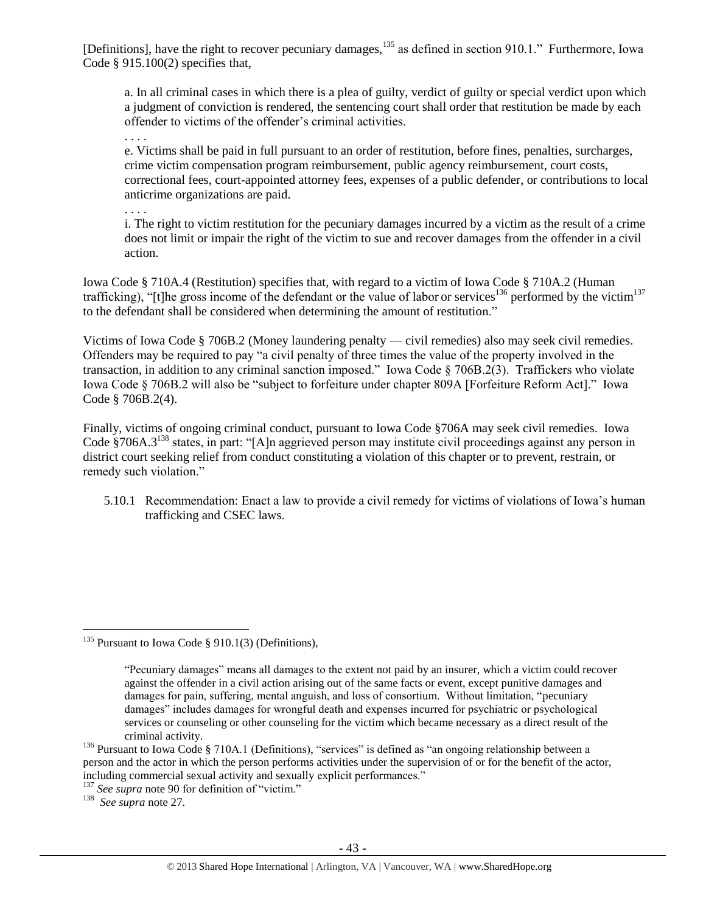[Definitions], have the right to recover pecuniary damages,<sup>135</sup> as defined in section 910.1." Furthermore, Iowa Code § 915.100(2) specifies that,

a. In all criminal cases in which there is a plea of guilty, verdict of guilty or special verdict upon which a judgment of conviction is rendered, the sentencing court shall order that restitution be made by each offender to victims of the offender's criminal activities.

. . . .

e. Victims shall be paid in full pursuant to an order of restitution, before fines, penalties, surcharges, crime victim compensation program reimbursement, public agency reimbursement, court costs, correctional fees, court-appointed attorney fees, expenses of a public defender, or contributions to local anticrime organizations are paid.

. . . .

i. The right to victim restitution for the pecuniary damages incurred by a victim as the result of a crime does not limit or impair the right of the victim to sue and recover damages from the offender in a civil action.

Iowa Code § 710A.4 (Restitution) specifies that, with regard to a victim of Iowa Code § 710A.2 (Human trafficking), "[t]he gross income of the defendant or the value of labor or services<sup>136</sup> performed by the victim<sup>137</sup> to the defendant shall be considered when determining the amount of restitution."

Victims of Iowa Code § 706B.2 (Money laundering penalty — civil remedies) also may seek civil remedies. Offenders may be required to pay "a civil penalty of three times the value of the property involved in the transaction, in addition to any criminal sanction imposed." Iowa Code § 706B.2(3). Traffickers who violate Iowa Code § 706B.2 will also be "subject to forfeiture under chapter 809A [Forfeiture Reform Act]." Iowa Code § 706B.2(4).

Finally, victims of ongoing criminal conduct, pursuant to Iowa Code §706A may seek civil remedies. Iowa Code §706A.3<sup>138</sup> states, in part: "[A]n aggrieved person may institute civil proceedings against any person in district court seeking relief from conduct constituting a violation of this chapter or to prevent, restrain, or remedy such violation."

5.10.1 Recommendation: Enact a law to provide a civil remedy for victims of violations of Iowa's human trafficking and CSEC laws.

<sup>137</sup> *See supra* not[e 90](#page-22-0) for definition of "victim."

138 *See supra* note [27.](#page-7-0)

 $\overline{a}$ <sup>135</sup> Pursuant to Iowa Code § 910.1(3) (Definitions),

<sup>&</sup>quot;Pecuniary damages" means all damages to the extent not paid by an insurer, which a victim could recover against the offender in a civil action arising out of the same facts or event, except punitive damages and damages for pain, suffering, mental anguish, and loss of consortium. Without limitation, "pecuniary damages" includes damages for wrongful death and expenses incurred for psychiatric or psychological services or counseling or other counseling for the victim which became necessary as a direct result of the criminal activity.

<sup>&</sup>lt;sup>136</sup> Pursuant to Iowa Code § 710A.1 (Definitions), "services" is defined as "an ongoing relationship between a person and the actor in which the person performs activities under the supervision of or for the benefit of the actor, including commercial sexual activity and sexually explicit performances."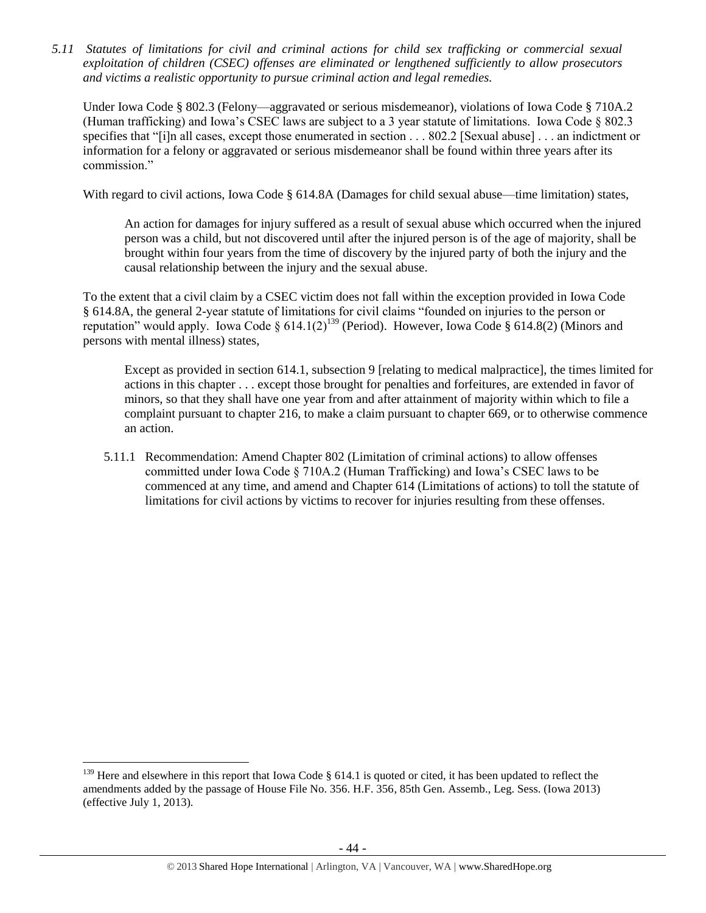*5.11 Statutes of limitations for civil and criminal actions for child sex trafficking or commercial sexual exploitation of children (CSEC) offenses are eliminated or lengthened sufficiently to allow prosecutors and victims a realistic opportunity to pursue criminal action and legal remedies.*

Under Iowa Code § 802.3 (Felony—aggravated or serious misdemeanor), violations of Iowa Code § 710A.2 (Human trafficking) and Iowa's CSEC laws are subject to a 3 year statute of limitations. Iowa Code § 802.3 specifies that "[i]n all cases, except those enumerated in section . . . 802.2 [Sexual abuse] . . . an indictment or information for a felony or aggravated or serious misdemeanor shall be found within three years after its commission."

With regard to civil actions, Iowa Code § 614.8A (Damages for child sexual abuse—time limitation) states,

An action for damages for injury suffered as a result of sexual abuse which occurred when the injured person was a child, but not discovered until after the injured person is of the age of majority, shall be brought within four years from the time of discovery by the injured party of both the injury and the causal relationship between the injury and the sexual abuse.

To the extent that a civil claim by a CSEC victim does not fall within the exception provided in Iowa Code § 614.8A, the general 2-year statute of limitations for civil claims "founded on injuries to the person or reputation" would apply. Iowa Code § 614.1(2)<sup>139</sup> (Period). However, Iowa Code § 614.8(2) (Minors and persons with mental illness) states,

Except as provided in section 614.1, subsection 9 [relating to medical malpractice], the times limited for actions in this chapter . . . except those brought for penalties and forfeitures, are extended in favor of minors, so that they shall have one year from and after attainment of majority within which to file a complaint pursuant to chapter 216, to make a claim pursuant to chapter 669, or to otherwise commence an action.

5.11.1 Recommendation: Amend Chapter 802 (Limitation of criminal actions) to allow offenses committed under Iowa Code § 710A.2 (Human Trafficking) and Iowa's CSEC laws to be commenced at any time, and amend and Chapter 614 (Limitations of actions) to toll the statute of limitations for civil actions by victims to recover for injuries resulting from these offenses.

 $139$  Here and elsewhere in this report that Iowa Code § 614.1 is quoted or cited, it has been updated to reflect the amendments added by the passage of House File No. 356. H.F. 356, 85th Gen. Assemb., Leg. Sess. (Iowa 2013) (effective July 1, 2013).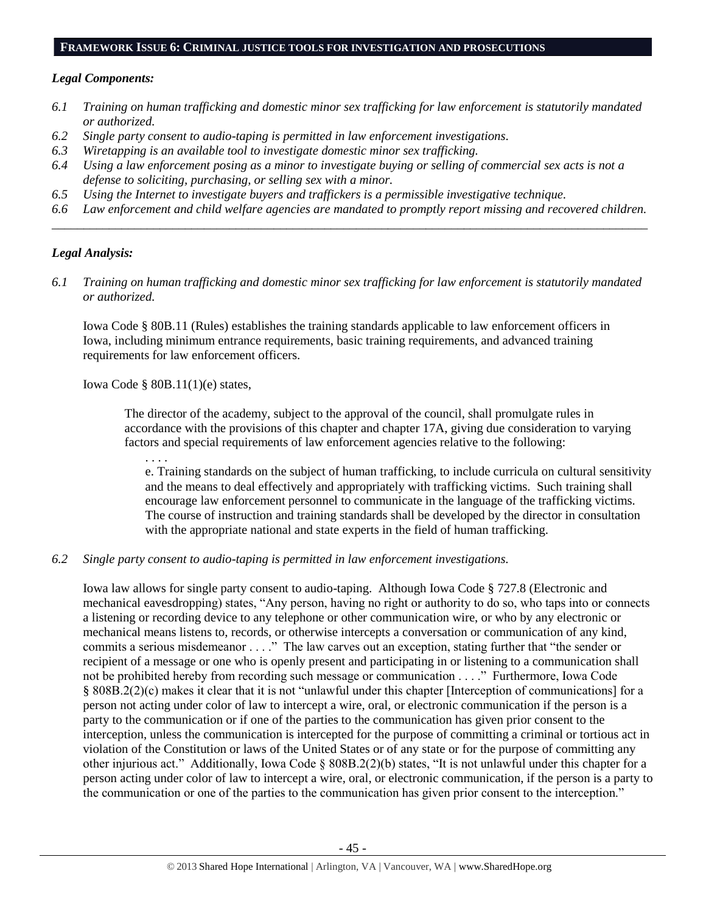#### **FRAMEWORK ISSUE 6: CRIMINAL JUSTICE TOOLS FOR INVESTIGATION AND PROSECUTIONS**

#### *Legal Components:*

- *6.1 Training on human trafficking and domestic minor sex trafficking for law enforcement is statutorily mandated or authorized.*
- *6.2 Single party consent to audio-taping is permitted in law enforcement investigations.*
- *6.3 Wiretapping is an available tool to investigate domestic minor sex trafficking.*
- *6.4 Using a law enforcement posing as a minor to investigate buying or selling of commercial sex acts is not a defense to soliciting, purchasing, or selling sex with a minor.*
- *6.5 Using the Internet to investigate buyers and traffickers is a permissible investigative technique.*
- *6.6 Law enforcement and child welfare agencies are mandated to promptly report missing and recovered children. \_\_\_\_\_\_\_\_\_\_\_\_\_\_\_\_\_\_\_\_\_\_\_\_\_\_\_\_\_\_\_\_\_\_\_\_\_\_\_\_\_\_\_\_\_\_\_\_\_\_\_\_\_\_\_\_\_\_\_\_\_\_\_\_\_\_\_\_\_\_\_\_\_\_\_\_\_\_\_\_\_\_\_\_\_\_\_\_\_\_\_\_\_\_*

## *Legal Analysis:*

*6.1 Training on human trafficking and domestic minor sex trafficking for law enforcement is statutorily mandated or authorized.*

Iowa Code § 80B.11 (Rules) establishes the training standards applicable to law enforcement officers in Iowa, including minimum entrance requirements, basic training requirements, and advanced training requirements for law enforcement officers.

Iowa Code § 80B.11(1)(e) states,

The director of the academy, subject to the approval of the council, shall promulgate rules in accordance with the provisions of this chapter and chapter 17A, giving due consideration to varying factors and special requirements of law enforcement agencies relative to the following:

. . . .

e. Training standards on the subject of human trafficking, to include curricula on cultural sensitivity and the means to deal effectively and appropriately with trafficking victims. Such training shall encourage law enforcement personnel to communicate in the language of the trafficking victims. The course of instruction and training standards shall be developed by the director in consultation with the appropriate national and state experts in the field of human trafficking.

#### *6.2 Single party consent to audio-taping is permitted in law enforcement investigations.*

Iowa law allows for single party consent to audio-taping. Although Iowa Code § 727.8 (Electronic and mechanical eavesdropping) states, "Any person, having no right or authority to do so, who taps into or connects a listening or recording device to any telephone or other communication wire, or who by any electronic or mechanical means listens to, records, or otherwise intercepts a conversation or communication of any kind, commits a serious misdemeanor . . . ." The law carves out an exception, stating further that "the sender or recipient of a message or one who is openly present and participating in or listening to a communication shall not be prohibited hereby from recording such message or communication . . . ." Furthermore, Iowa Code § 808B.2(2)(c) makes it clear that it is not "unlawful under this chapter [Interception of communications] for a person not acting under color of law to intercept a wire, oral, or electronic communication if the person is a party to the communication or if one of the parties to the communication has given prior consent to the interception, unless the communication is intercepted for the purpose of committing a criminal or tortious act in violation of the Constitution or laws of the United States or of any state or for the purpose of committing any other injurious act." Additionally, Iowa Code § 808B.2(2)(b) states, "It is not unlawful under this chapter for a person acting under color of law to intercept a wire, oral, or electronic communication, if the person is a party to the communication or one of the parties to the communication has given prior consent to the interception."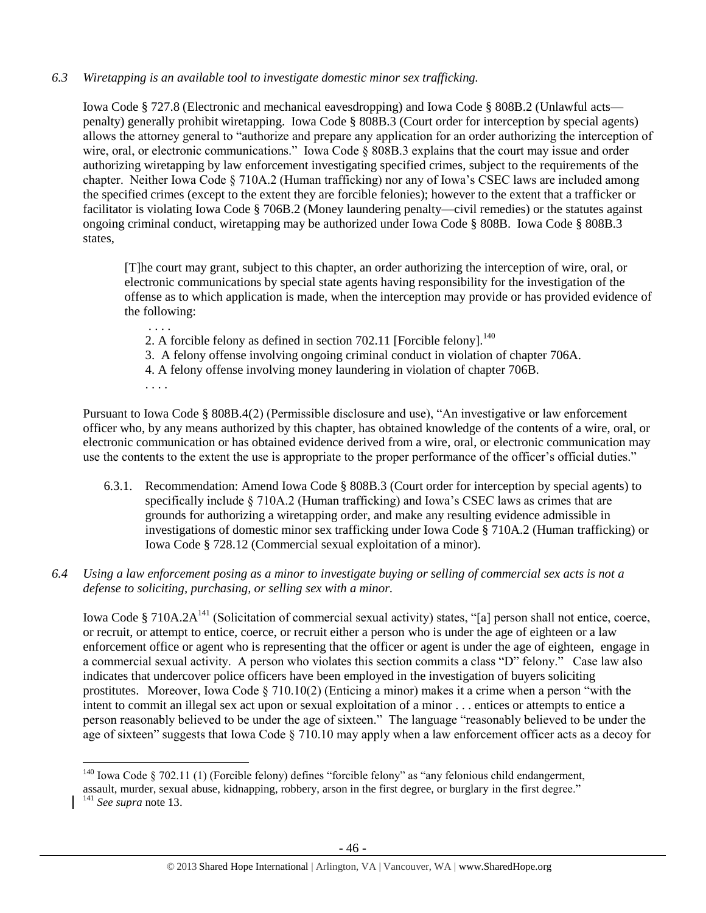## *6.3 Wiretapping is an available tool to investigate domestic minor sex trafficking.*

Iowa Code § 727.8 (Electronic and mechanical eavesdropping) and Iowa Code § 808B.2 (Unlawful acts penalty) generally prohibit wiretapping. Iowa Code § 808B.3 (Court order for interception by special agents) allows the attorney general to "authorize and prepare any application for an order authorizing the interception of wire, oral, or electronic communications." Iowa Code § 808B.3 explains that the court may issue and order authorizing wiretapping by law enforcement investigating specified crimes, subject to the requirements of the chapter. Neither Iowa Code § 710A.2 (Human trafficking) nor any of Iowa's CSEC laws are included among the specified crimes (except to the extent they are forcible felonies); however to the extent that a trafficker or facilitator is violating Iowa Code § 706B.2 (Money laundering penalty—civil remedies) or the statutes against ongoing criminal conduct, wiretapping may be authorized under Iowa Code § 808B. Iowa Code § 808B.3 states,

[T]he court may grant, subject to this chapter, an order authorizing the interception of wire, oral, or electronic communications by special state agents having responsibility for the investigation of the offense as to which application is made, when the interception may provide or has provided evidence of the following:

2. A forcible felony as defined in section 702.11 [Forcible felony]. $^{140}$ 

3. A felony offense involving ongoing criminal conduct in violation of chapter 706A.

4. A felony offense involving money laundering in violation of chapter 706B.

. . . .

 $\overline{a}$ 

. . . .

Pursuant to Iowa Code § 808B.4(2) (Permissible disclosure and use), "An investigative or law enforcement officer who, by any means authorized by this chapter, has obtained knowledge of the contents of a wire, oral, or electronic communication or has obtained evidence derived from a wire, oral, or electronic communication may use the contents to the extent the use is appropriate to the proper performance of the officer's official duties."

- 6.3.1. Recommendation: Amend Iowa Code § 808B.3 (Court order for interception by special agents) to specifically include § 710A.2 (Human trafficking) and Iowa's CSEC laws as crimes that are grounds for authorizing a wiretapping order, and make any resulting evidence admissible in investigations of domestic minor sex trafficking under Iowa Code § 710A.2 (Human trafficking) or Iowa Code § 728.12 (Commercial sexual exploitation of a minor).
- *6.4 Using a law enforcement posing as a minor to investigate buying or selling of commercial sex acts is not a defense to soliciting, purchasing, or selling sex with a minor.*

Iowa Code § 710A.2A<sup>141</sup> (Solicitation of commercial sexual activity) states, "[a] person shall not entice, coerce, or recruit, or attempt to entice, coerce, or recruit either a person who is under the age of eighteen or a law enforcement office or agent who is representing that the officer or agent is under the age of eighteen, engage in a commercial sexual activity. A person who violates this section commits a class "D" felony." Case law also indicates that undercover police officers have been employed in the investigation of buyers soliciting prostitutes. Moreover, Iowa Code § 710.10(2) (Enticing a minor) makes it a crime when a person "with the intent to commit an illegal sex act upon or sexual exploitation of a minor . . . entices or attempts to entice a person reasonably believed to be under the age of sixteen." The language "reasonably believed to be under the age of sixteen" suggests that Iowa Code  $\S$  710.10 may apply when a law enforcement officer acts as a decoy for

<sup>&</sup>lt;sup>140</sup> Iowa Code § 702.11 (1) (Forcible felony) defines "forcible felony" as "any felonious child endangerment,

assault, murder, sexual abuse, kidnapping, robbery, arson in the first degree, or burglary in the first degree." <sup>141</sup> *See supra* not[e 13.](#page-3-0)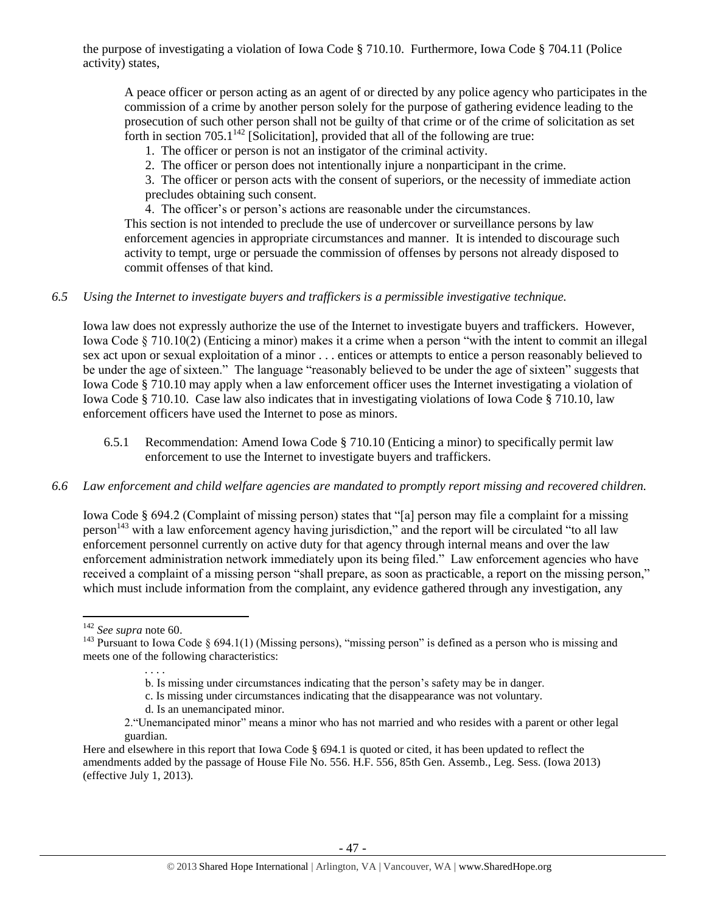the purpose of investigating a violation of Iowa Code § 710.10. Furthermore, Iowa Code § 704.11 (Police activity) states,

A peace officer or person acting as an agent of or directed by any police agency who participates in the commission of a crime by another person solely for the purpose of gathering evidence leading to the prosecution of such other person shall not be guilty of that crime or of the crime of solicitation as set forth in section  $705.1<sup>142</sup>$  [Solicitation], provided that all of the following are true:

- 1. The officer or person is not an instigator of the criminal activity.
- 2. The officer or person does not intentionally injure a nonparticipant in the crime.
- 3. The officer or person acts with the consent of superiors, or the necessity of immediate action precludes obtaining such consent.
- 4. The officer's or person's actions are reasonable under the circumstances.

This section is not intended to preclude the use of undercover or surveillance persons by law enforcement agencies in appropriate circumstances and manner. It is intended to discourage such activity to tempt, urge or persuade the commission of offenses by persons not already disposed to commit offenses of that kind.

#### *6.5 Using the Internet to investigate buyers and traffickers is a permissible investigative technique.*

Iowa law does not expressly authorize the use of the Internet to investigate buyers and traffickers. However, Iowa Code § 710.10(2) (Enticing a minor) makes it a crime when a person "with the intent to commit an illegal sex act upon or sexual exploitation of a minor . . . entices or attempts to entice a person reasonably believed to be under the age of sixteen." The language "reasonably believed to be under the age of sixteen" suggests that Iowa Code § 710.10 may apply when a law enforcement officer uses the Internet investigating a violation of Iowa Code § 710.10. Case law also indicates that in investigating violations of Iowa Code § 710.10, law enforcement officers have used the Internet to pose as minors.

6.5.1 Recommendation: Amend Iowa Code § 710.10 (Enticing a minor) to specifically permit law enforcement to use the Internet to investigate buyers and traffickers.

#### *6.6 Law enforcement and child welfare agencies are mandated to promptly report missing and recovered children.*

Iowa Code § 694.2 (Complaint of missing person) states that "[a] person may file a complaint for a missing person<sup>143</sup> with a law enforcement agency having jurisdiction," and the report will be circulated "to all law enforcement personnel currently on active duty for that agency through internal means and over the law enforcement administration network immediately upon its being filed." Law enforcement agencies who have received a complaint of a missing person "shall prepare, as soon as practicable, a report on the missing person," which must include information from the complaint, any evidence gathered through any investigation, any

<sup>142</sup> *See supra* not[e 60.](#page-16-1)

<sup>&</sup>lt;sup>143</sup> Pursuant to Iowa Code § 694.1(1) (Missing persons), "missing person" is defined as a person who is missing and meets one of the following characteristics:

b. Is missing under circumstances indicating that the person's safety may be in danger.

c. Is missing under circumstances indicating that the disappearance was not voluntary.

d. Is an unemancipated minor.

<sup>2.&</sup>quot;Unemancipated minor" means a minor who has not married and who resides with a parent or other legal guardian.

Here and elsewhere in this report that Iowa Code § 694.1 is quoted or cited, it has been updated to reflect the amendments added by the passage of House File No. 556. H.F. 556, 85th Gen. Assemb., Leg. Sess. (Iowa 2013) (effective July 1, 2013).